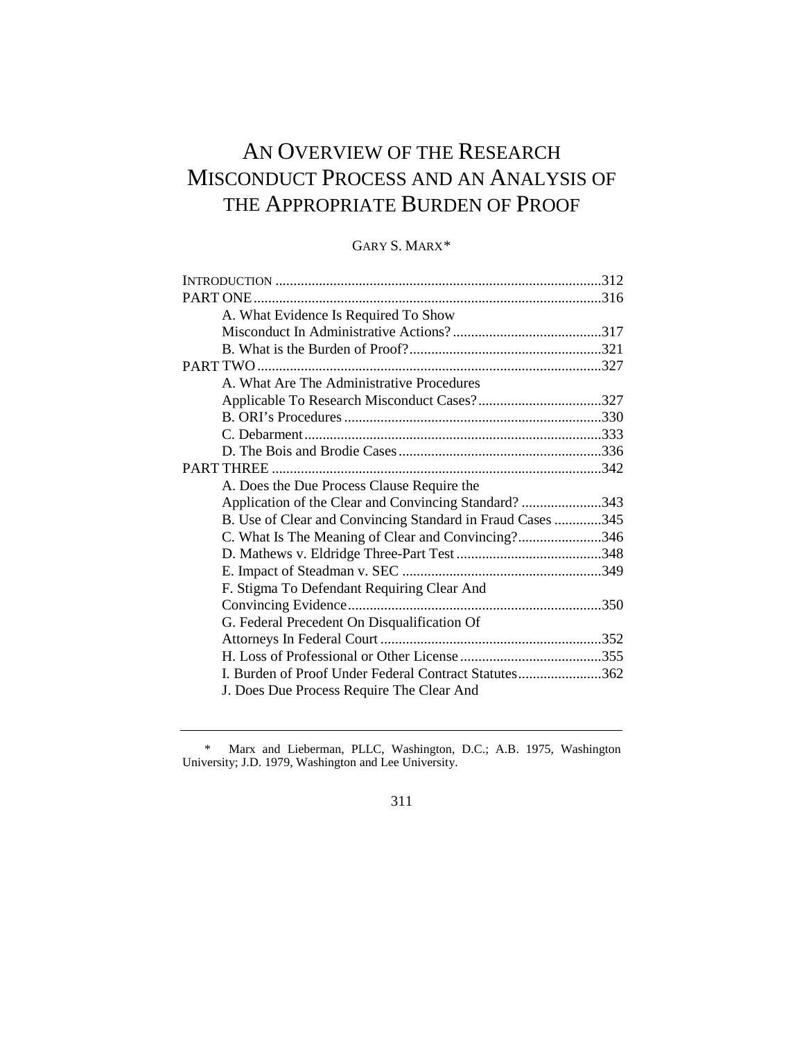# AN OVERVIEW OF THE RESEARCH MISCONDUCT PROCESS AND AN ANALYSIS OF THE APPROPRIATE BURDEN OF PROOF

## GARY S. MARX[\\*](#page-0-0)

| A. What Evidence Is Required To Show                       |  |
|------------------------------------------------------------|--|
|                                                            |  |
|                                                            |  |
|                                                            |  |
| A. What Are The Administrative Procedures                  |  |
| Applicable To Research Misconduct Cases?327                |  |
|                                                            |  |
|                                                            |  |
|                                                            |  |
|                                                            |  |
| A. Does the Due Process Clause Require the                 |  |
| Application of the Clear and Convincing Standard?343       |  |
| B. Use of Clear and Convincing Standard in Fraud Cases 345 |  |
| C. What Is The Meaning of Clear and Convincing?346         |  |
|                                                            |  |
|                                                            |  |
| F. Stigma To Defendant Requiring Clear And                 |  |
|                                                            |  |
| G. Federal Precedent On Disqualification Of                |  |
|                                                            |  |
|                                                            |  |
| I. Burden of Proof Under Federal Contract Statutes362      |  |
| J. Does Due Process Require The Clear And                  |  |

## 311

<span id="page-0-0"></span><sup>\*</sup> Marx and Lieberman, PLLC, Washington, D.C.; A.B. 1975, Washington University; J.D. 1979, Washington and Lee University.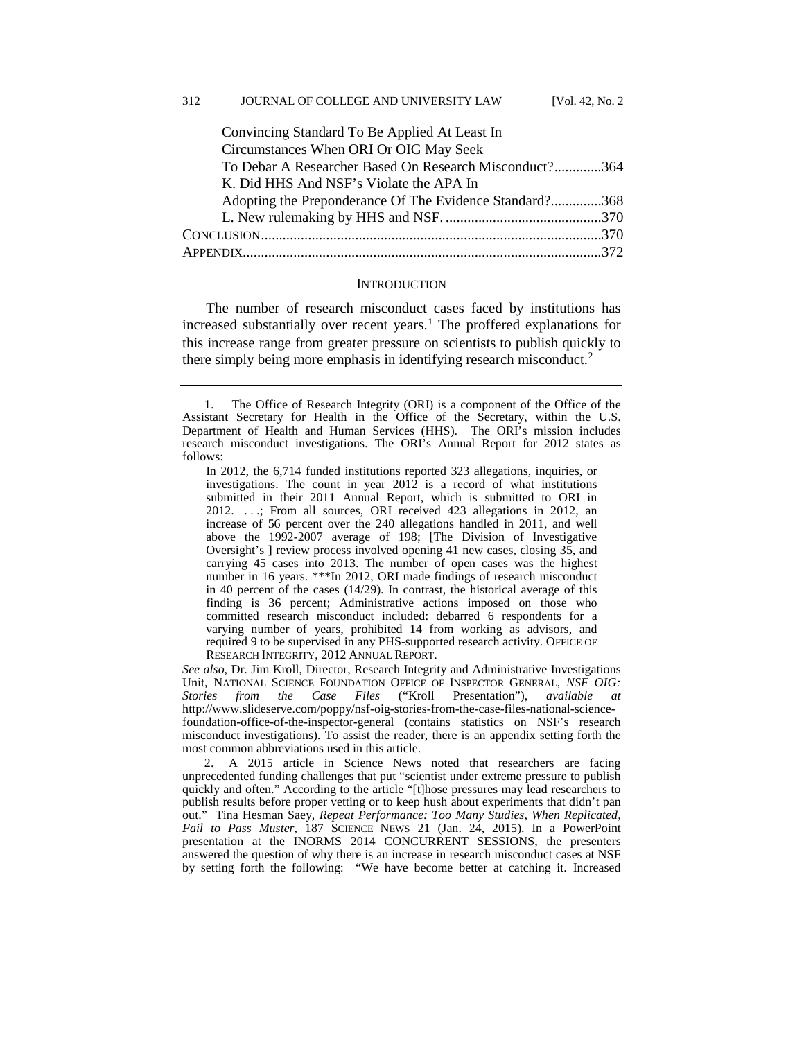| Convincing Standard To Be Applied At Least In           |  |
|---------------------------------------------------------|--|
| Circumstances When ORI Or OIG May Seek                  |  |
| To Debar A Researcher Based On Research Misconduct?364  |  |
| K. Did HHS And NSF's Violate the APA In                 |  |
| Adopting the Preponderance Of The Evidence Standard?368 |  |
|                                                         |  |
|                                                         |  |
|                                                         |  |
|                                                         |  |

#### INTRODUCTION

The number of research misconduct cases faced by institutions has increased substantially over recent years.<sup>[1](#page-1-0)</sup> The proffered explanations for this increase range from greater pressure on scientists to publish quickly to there simply being more emphasis in identifying research misconduct.<sup>[2](#page-1-1)</sup>

In 2012, the 6,714 funded institutions reported 323 allegations, inquiries, or investigations. The count in year 2012 is a record of what institutions submitted in their 2011 Annual Report, which is submitted to ORI in 2012. . . .; From all sources, ORI received 423 allegations in 2012, an increase of 56 percent over the 240 allegations handled in 2011, and well above the 1992-2007 average of 198; [The Division of Investigative Oversight's ] review process involved opening 41 new cases, closing 35, and carrying 45 cases into 2013. The number of open cases was the highest number in 16 years. \*\*\*In 2012, ORI made findings of research misconduct in 40 percent of the cases (14/29). In contrast, the historical average of this finding is 36 percent; Administrative actions imposed on those who committed research misconduct included: debarred 6 respondents for a varying number of years, prohibited 14 from working as advisors, and required 9 to be supervised in any PHS-supported research activity. OFFICE OF RESEARCH INTEGRITY, 2012 ANNUAL REPORT.

*See also*, Dr. Jim Kroll, Director, Research Integrity and Administrative Investigations Unit, NATIONAL SCIENCE FOUNDATION OFFICE OF INSPECTOR GENERAL, *NSF OIG: Stories from the Case Files* ("Kroll Presentation"), *available at* http://www.slideserve.com/poppy/nsf-oig-stories-from-the-case-files-national-sciencefoundation-office-of-the-inspector-general (contains statistics on NSF's research misconduct investigations). To assist the reader, there is an appendix setting forth the most common abbreviations used in this article.

<span id="page-1-1"></span>2. A 2015 article in Science News noted that researchers are facing unprecedented funding challenges that put "scientist under extreme pressure to publish quickly and often." According to the article "[t]hose pressures may lead researchers to publish results before proper vetting or to keep hush about experiments that didn't pan out." Tina Hesman Saey, *Repeat Performance: Too Many Studies, When Replicated, Fail to Pass Muster*, 187 SCIENCE NEWS 21 (Jan. 24, 2015). In a PowerPoint presentation at the INORMS 2014 CONCURRENT SESSIONS, the presenters answered the question of why there is an increase in research misconduct cases at NSF by setting forth the following: "We have become better at catching it. Increased

<span id="page-1-0"></span><sup>1.</sup> The Office of Research Integrity (ORI) is a component of the Office of the Assistant Secretary for Health in the Office of the Secretary, within the U.S. Department of Health and Human Services (HHS). The ORI's mission includes research misconduct investigations. The ORI's Annual Report for 2012 states as follows: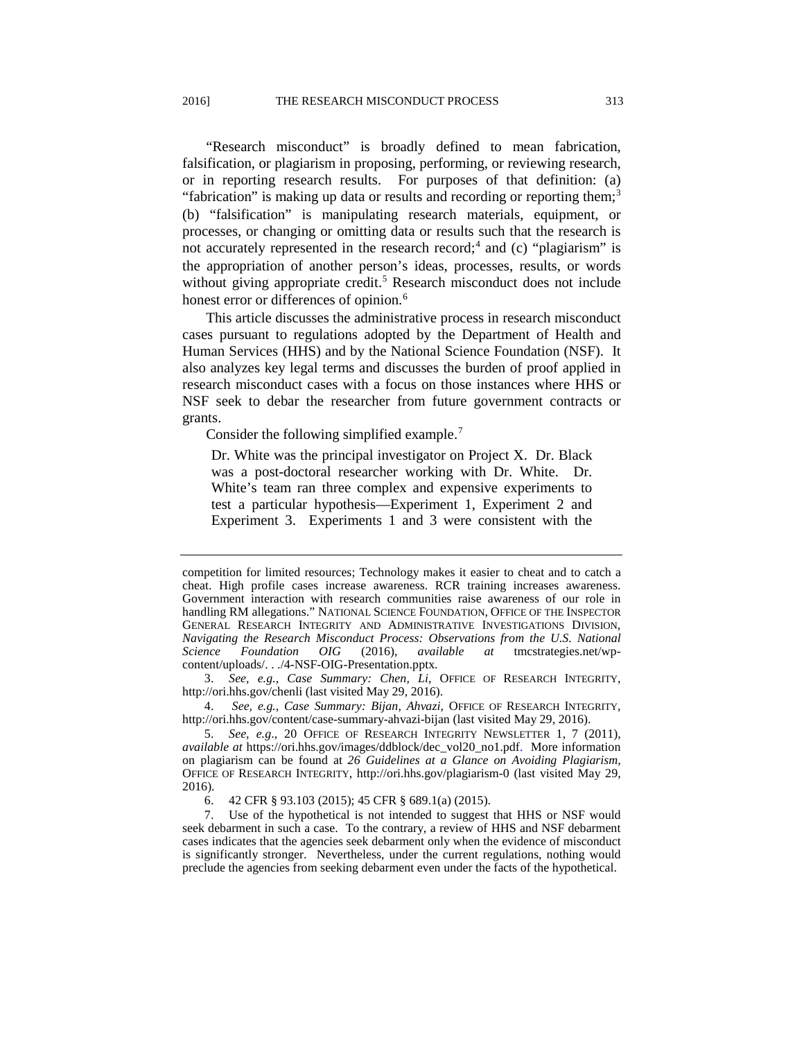"Research misconduct" is broadly defined to mean fabrication, falsification, or plagiarism in proposing, performing, or reviewing research, or in reporting research results. For purposes of that definition: (a) "fabrication" is making up data or results and recording or reporting them;<sup>3</sup> (b) "falsification" is manipulating research materials, equipment, or processes, or changing or omitting data or results such that the research is not accurately represented in the research record;<sup>4</sup> and (c) "plagiarism" is the appropriation of another person's ideas, processes, results, or words without giving appropriate credit.<sup>5</sup> Research misconduct does not include honest error or differences of opinion.<sup>[6](#page-2-3)</sup>

This article discusses the administrative process in research misconduct cases pursuant to regulations adopted by the Department of Health and Human Services (HHS) and by the National Science Foundation (NSF). It also analyzes key legal terms and discusses the burden of proof applied in research misconduct cases with a focus on those instances where HHS or NSF seek to debar the researcher from future government contracts or grants.

Consider the following simplified example. $<sup>7</sup>$  $<sup>7</sup>$  $<sup>7</sup>$ </sup>

Dr. White was the principal investigator on Project X. Dr. Black was a post-doctoral researcher working with Dr. White. Dr. White's team ran three complex and expensive experiments to test a particular hypothesis—Experiment 1, Experiment 2 and Experiment 3. Experiments 1 and 3 were consistent with the

<span id="page-2-0"></span>3. *See, e.g.*, *Case Summary: Chen, Li*, OFFICE OF RESEARCH INTEGRITY, http://ori.hhs.gov/chenli (last visited May 29, 2016).

<span id="page-2-1"></span>4. *See, e.g.*, *Case Summary: Bijan, Ahvazi*, OFFICE OF RESEARCH INTEGRITY, http://ori.hhs.gov/content/case-summary-ahvazi-bijan (last visited May 29, 2016).

competition for limited resources; Technology makes it easier to cheat and to catch a cheat. High profile cases increase awareness. RCR training increases awareness. Government interaction with research communities raise awareness of our role in handling RM allegations." NATIONAL SCIENCE FOUNDATION, OFFICE OF THE INSPECTOR GENERAL RESEARCH INTEGRITY AND ADMINISTRATIVE INVESTIGATIONS DIVISION, *Navigating the Research Misconduct Process: Observations from the U.S. National Science Foundation OIG* (2016), *available at* tmcstrategies.net/wpcontent/uploads/. . ./4-NSF-OIG-Presentation.pptx.

<span id="page-2-2"></span><sup>5.</sup> *See, e.g*., 20 OFFICE OF RESEARCH INTEGRITY NEWSLETTER 1, 7 (2011), *available at* https://ori.hhs.gov/images/ddblock/dec\_vol20\_no1.pdf. More information on plagiarism can be found at *26 Guidelines at a Glance on Avoiding Plagiarism*, OFFICE OF RESEARCH INTEGRITY, http://ori.hhs.gov/plagiarism-0 (last visited May 29, 2016).

<sup>6.</sup> 42 CFR § 93.103 (2015); 45 CFR § 689.1(a) (2015).

<span id="page-2-4"></span><span id="page-2-3"></span><sup>7.</sup> Use of the hypothetical is not intended to suggest that HHS or NSF would seek debarment in such a case. To the contrary, a review of HHS and NSF debarment cases indicates that the agencies seek debarment only when the evidence of misconduct is significantly stronger. Nevertheless, under the current regulations, nothing would preclude the agencies from seeking debarment even under the facts of the hypothetical.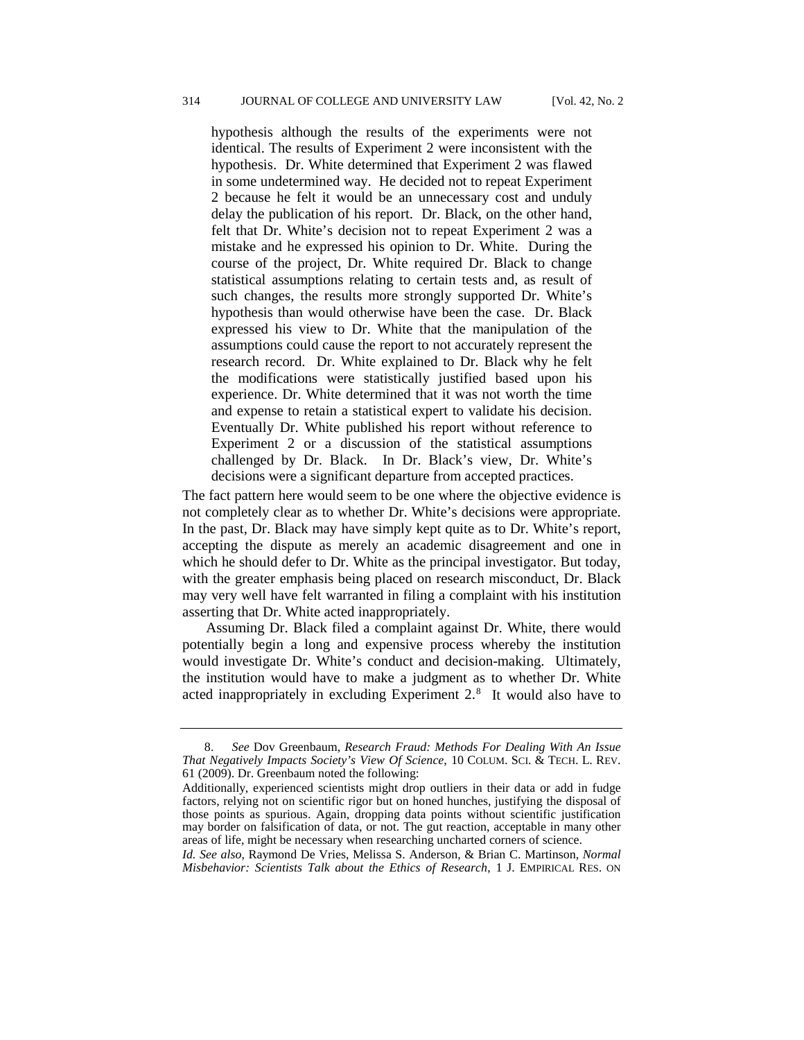hypothesis although the results of the experiments were not identical. The results of Experiment 2 were inconsistent with the hypothesis. Dr. White determined that Experiment 2 was flawed in some undetermined way. He decided not to repeat Experiment 2 because he felt it would be an unnecessary cost and unduly delay the publication of his report. Dr. Black, on the other hand, felt that Dr. White's decision not to repeat Experiment 2 was a mistake and he expressed his opinion to Dr. White. During the course of the project, Dr. White required Dr. Black to change statistical assumptions relating to certain tests and, as result of such changes, the results more strongly supported Dr. White's hypothesis than would otherwise have been the case. Dr. Black expressed his view to Dr. White that the manipulation of the assumptions could cause the report to not accurately represent the research record. Dr. White explained to Dr. Black why he felt the modifications were statistically justified based upon his experience. Dr. White determined that it was not worth the time and expense to retain a statistical expert to validate his decision. Eventually Dr. White published his report without reference to Experiment 2 or a discussion of the statistical assumptions challenged by Dr. Black. In Dr. Black's view, Dr. White's decisions were a significant departure from accepted practices.

The fact pattern here would seem to be one where the objective evidence is not completely clear as to whether Dr. White's decisions were appropriate. In the past, Dr. Black may have simply kept quite as to Dr. White's report, accepting the dispute as merely an academic disagreement and one in which he should defer to Dr. White as the principal investigator. But today, with the greater emphasis being placed on research misconduct, Dr. Black may very well have felt warranted in filing a complaint with his institution asserting that Dr. White acted inappropriately.

Assuming Dr. Black filed a complaint against Dr. White, there would potentially begin a long and expensive process whereby the institution would investigate Dr. White's conduct and decision-making. Ultimately, the institution would have to make a judgment as to whether Dr. White acted inappropriately in excluding Experiment 2.[8](#page-3-0) It would also have to

*Id. See also*, Raymond De Vries, Melissa S. Anderson, & Brian C. Martinson, *Normal Misbehavior: Scientists Talk about the Ethics of Research*, 1 J. EMPIRICAL RES. ON

<span id="page-3-0"></span><sup>8.</sup> *See* Dov Greenbaum, *Research Fraud: Methods For Dealing With An Issue That Negatively Impacts Society's View Of Science*, 10 COLUM. SCI. & TECH. L. REV. 61 (2009). Dr. Greenbaum noted the following:

Additionally, experienced scientists might drop outliers in their data or add in fudge factors, relying not on scientific rigor but on honed hunches, justifying the disposal of those points as spurious. Again, dropping data points without scientific justification may border on falsification of data, or not. The gut reaction, acceptable in many other areas of life, might be necessary when researching uncharted corners of science.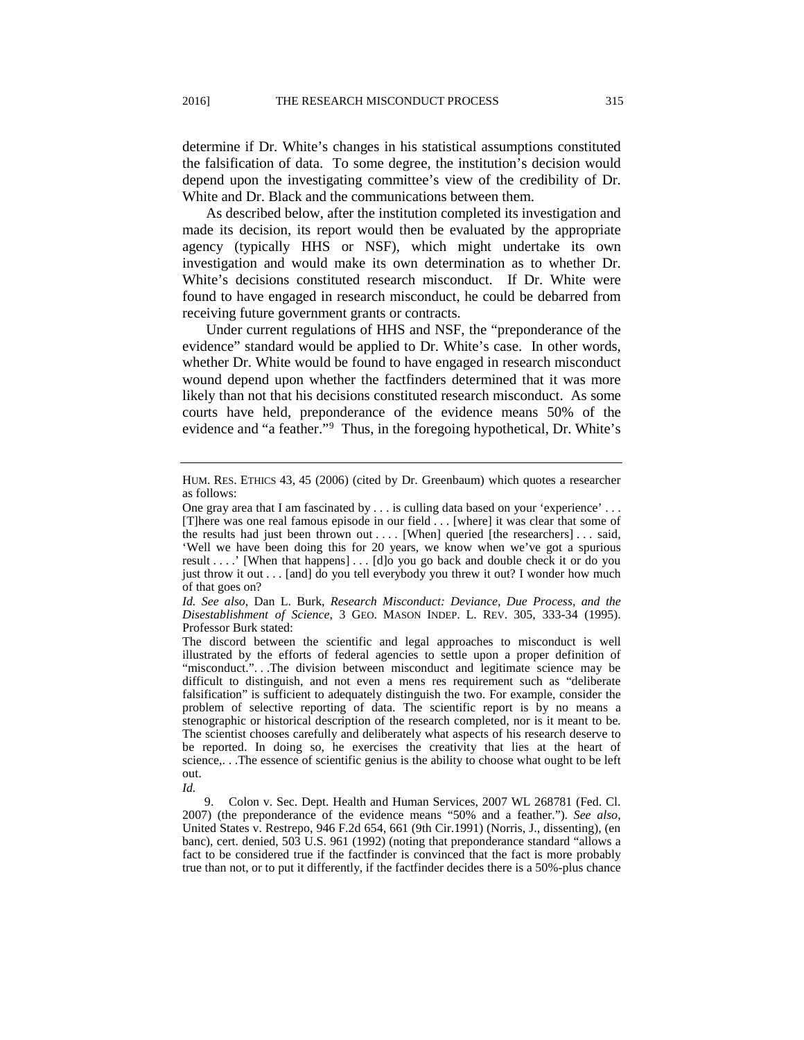determine if Dr. White's changes in his statistical assumptions constituted the falsification of data. To some degree, the institution's decision would depend upon the investigating committee's view of the credibility of Dr. White and Dr. Black and the communications between them.

As described below, after the institution completed its investigation and made its decision, its report would then be evaluated by the appropriate agency (typically HHS or NSF), which might undertake its own investigation and would make its own determination as to whether Dr. White's decisions constituted research misconduct. If Dr. White were found to have engaged in research misconduct, he could be debarred from receiving future government grants or contracts.

Under current regulations of HHS and NSF, the "preponderance of the evidence" standard would be applied to Dr. White's case. In other words, whether Dr. White would be found to have engaged in research misconduct wound depend upon whether the factfinders determined that it was more likely than not that his decisions constituted research misconduct. As some courts have held, preponderance of the evidence means 50% of the evidence and "a feather."[9](#page-4-0) Thus, in the foregoing hypothetical, Dr. White's

*Id. See also*, Dan L. Burk, *Research Misconduct: Deviance, Due Process, and the Disestablishment of Science*, 3 GEO. MASON INDEP. L. REV. 305, 333-34 (1995). Professor Burk stated:

HUM. RES. ETHICS 43, 45 (2006) (cited by Dr. Greenbaum) which quotes a researcher as follows:

One gray area that I am fascinated by . . . is culling data based on your 'experience' . . . [T]here was one real famous episode in our field . . . [where] it was clear that some of the results had just been thrown out . . . . [When] queried [the researchers] . . . said, 'Well we have been doing this for 20 years, we know when we've got a spurious result . . . .' [When that happens] . . . [d]o you go back and double check it or do you just throw it out . . . [and] do you tell everybody you threw it out? I wonder how much of that goes on?

The discord between the scientific and legal approaches to misconduct is well illustrated by the efforts of federal agencies to settle upon a proper definition of "misconduct.". . .The division between misconduct and legitimate science may be difficult to distinguish, and not even a mens res requirement such as "deliberate falsification" is sufficient to adequately distinguish the two. For example, consider the problem of selective reporting of data. The scientific report is by no means a stenographic or historical description of the research completed, nor is it meant to be. The scientist chooses carefully and deliberately what aspects of his research deserve to be reported. In doing so, he exercises the creativity that lies at the heart of science,. . .The essence of scientific genius is the ability to choose what ought to be left out.

*Id.*

<span id="page-4-0"></span><sup>9.</sup> Colon v. Sec. Dept. Health and Human Services, 2007 WL 268781 (Fed. Cl. 2007) (the preponderance of the evidence means "50% and a feather."). *See also*, United States v. Restrepo, 946 F.2d 654, 661 (9th Cir.1991) (Norris, J., dissenting), (en banc), cert. denied, 503 U.S. 961 (1992) (noting that preponderance standard "allows a fact to be considered true if the factfinder is convinced that the fact is more probably true than not, or to put it differently, if the factfinder decides there is a 50%-plus chance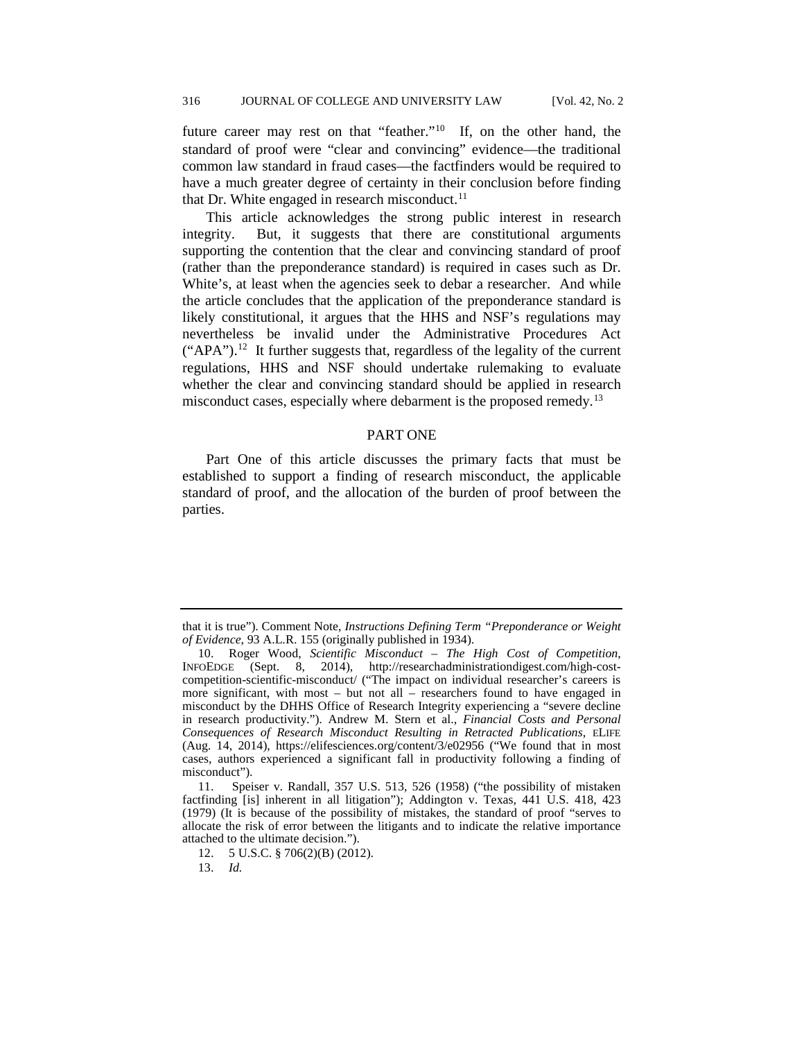future career may rest on that "feather."[10](#page-5-0) If, on the other hand, the standard of proof were "clear and convincing" evidence—the traditional common law standard in fraud cases—the factfinders would be required to have a much greater degree of certainty in their conclusion before finding that Dr. White engaged in research misconduct.<sup>[11](#page-5-1)</sup>

This article acknowledges the strong public interest in research integrity. But, it suggests that there are constitutional arguments supporting the contention that the clear and convincing standard of proof (rather than the preponderance standard) is required in cases such as Dr. White's, at least when the agencies seek to debar a researcher. And while the article concludes that the application of the preponderance standard is likely constitutional, it argues that the HHS and NSF's regulations may nevertheless be invalid under the Administrative Procedures Act  $("APA").<sup>12</sup>$  $("APA").<sup>12</sup>$  $("APA").<sup>12</sup>$  It further suggests that, regardless of the legality of the current regulations, HHS and NSF should undertake rulemaking to evaluate whether the clear and convincing standard should be applied in research misconduct cases, especially where debarment is the proposed remedy.<sup>[13](#page-5-3)</sup>

#### PART ONE

Part One of this article discusses the primary facts that must be established to support a finding of research misconduct, the applicable standard of proof, and the allocation of the burden of proof between the parties.

<span id="page-5-3"></span>13. *Id.*

that it is true"). Comment Note, *Instructions Defining Term "Preponderance or Weight of Evidence*, 93 A.L.R. 155 (originally published in 1934).

<span id="page-5-0"></span><sup>10.</sup> Roger Wood, *Scientific Misconduct – The High Cost of Competition*, INFOEDGE (Sept. 8, 2014), http://researchadministrationdigest.com/high-costcompetition-scientific-misconduct/ ("The impact on individual researcher's careers is more significant, with most – but not all – researchers found to have engaged in misconduct by the DHHS Office of Research Integrity experiencing a "severe decline in research productivity."). Andrew M. Stern et al., *Financial Costs and Personal Consequences of Research Misconduct Resulting in Retracted Publications*, ELIFE (Aug. 14, 2014), https://elifesciences.org/content/3/e02956 ("We found that in most cases, authors experienced a significant fall in productivity following a finding of misconduct").

<span id="page-5-2"></span><span id="page-5-1"></span><sup>11.</sup> Speiser v. Randall, 357 U.S. 513, 526 (1958) ("the possibility of mistaken factfinding [is] inherent in all litigation"); Addington v. Texas, 441 U.S. 418, 423 (1979) (It is because of the possibility of mistakes, the standard of proof "serves to allocate the risk of error between the litigants and to indicate the relative importance attached to the ultimate decision.").

<sup>12.</sup> 5 U.S.C. § 706(2)(B) (2012).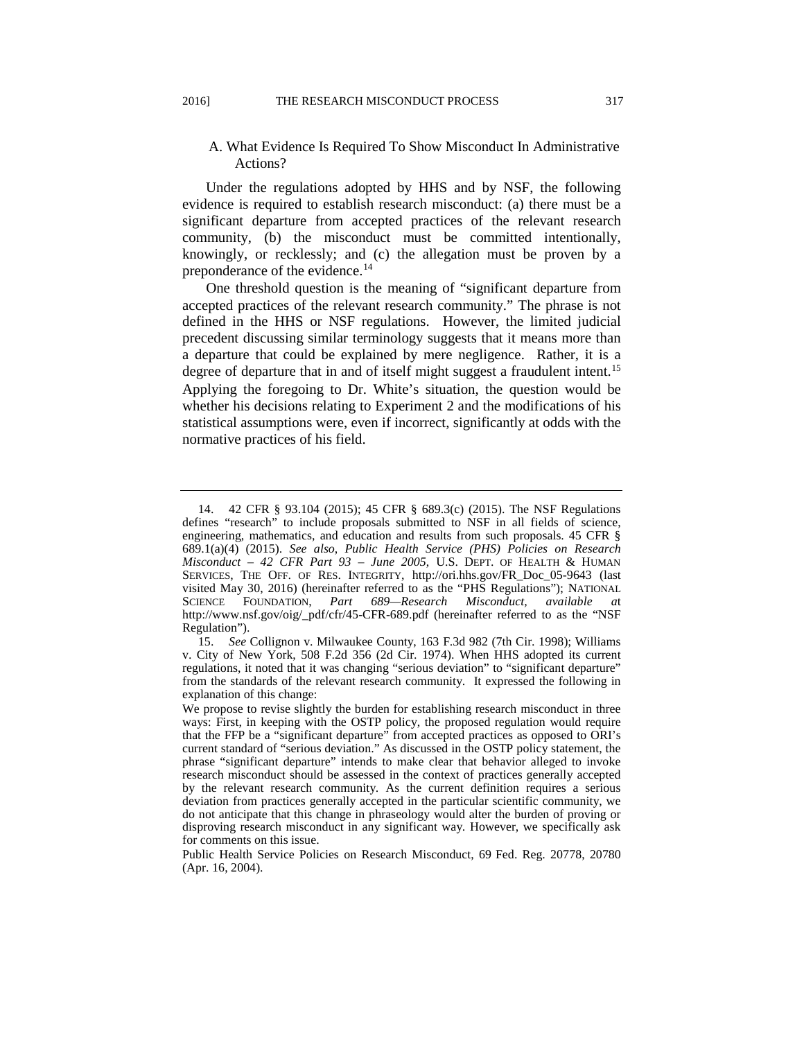A. What Evidence Is Required To Show Misconduct In Administrative Actions?

Under the regulations adopted by HHS and by NSF, the following evidence is required to establish research misconduct: (a) there must be a significant departure from accepted practices of the relevant research community, (b) the misconduct must be committed intentionally, knowingly, or recklessly; and (c) the allegation must be proven by a preponderance of the evidence.<sup>[14](#page-6-0)</sup>

One threshold question is the meaning of "significant departure from accepted practices of the relevant research community." The phrase is not defined in the HHS or NSF regulations. However, the limited judicial precedent discussing similar terminology suggests that it means more than a departure that could be explained by mere negligence. Rather, it is a degree of departure that in and of itself might suggest a fraudulent intent.<sup>15</sup> Applying the foregoing to Dr. White's situation, the question would be whether his decisions relating to Experiment 2 and the modifications of his statistical assumptions were, even if incorrect, significantly at odds with the normative practices of his field.

<span id="page-6-0"></span><sup>14.</sup> 42 CFR § 93.104 (2015); 45 CFR § 689.3(c) (2015). The NSF Regulations defines "research" to include proposals submitted to NSF in all fields of science, engineering, mathematics, and education and results from such proposals. 45 CFR § 689.1(a)(4) (2015). *See also*, *Public Health Service (PHS) Policies on Research Misconduct – 42 CFR Part 93 – June 2005*, U.S. DEPT. OF HEALTH & HUMAN SERVICES, THE OFF. OF RES. INTEGRITY, http://ori.hhs.gov/FR\_Doc\_05-9643 (last visited May 30, 2016) (hereinafter referred to as the "PHS Regulations"); NATIONAL SCIENCE FOUNDATION, *Part 689—Research Misconduct, available a*t http://www.nsf.gov/oig/\_pdf/cfr/45-CFR-689.pdf (hereinafter referred to as the "NSF Regulation").

<span id="page-6-1"></span><sup>15.</sup> *See* Collignon v. Milwaukee County, 163 F.3d 982 (7th Cir. 1998); Williams v. City of New York, 508 F.2d 356 (2d Cir. 1974). When HHS adopted its current regulations, it noted that it was changing "serious deviation" to "significant departure" from the standards of the relevant research community. It expressed the following in explanation of this change:

We propose to revise slightly the burden for establishing research misconduct in three ways: First, in keeping with the OSTP policy, the proposed regulation would require that the FFP be a "significant departure" from accepted practices as opposed to ORI's current standard of "serious deviation." As discussed in the OSTP policy statement, the phrase "significant departure" intends to make clear that behavior alleged to invoke research misconduct should be assessed in the context of practices generally accepted by the relevant research community. As the current definition requires a serious deviation from practices generally accepted in the particular scientific community, we do not anticipate that this change in phraseology would alter the burden of proving or disproving research misconduct in any significant way. However, we specifically ask for comments on this issue.

Public Health Service Policies on Research Misconduct, 69 Fed. Reg. 20778, 20780 (Apr. 16, 2004).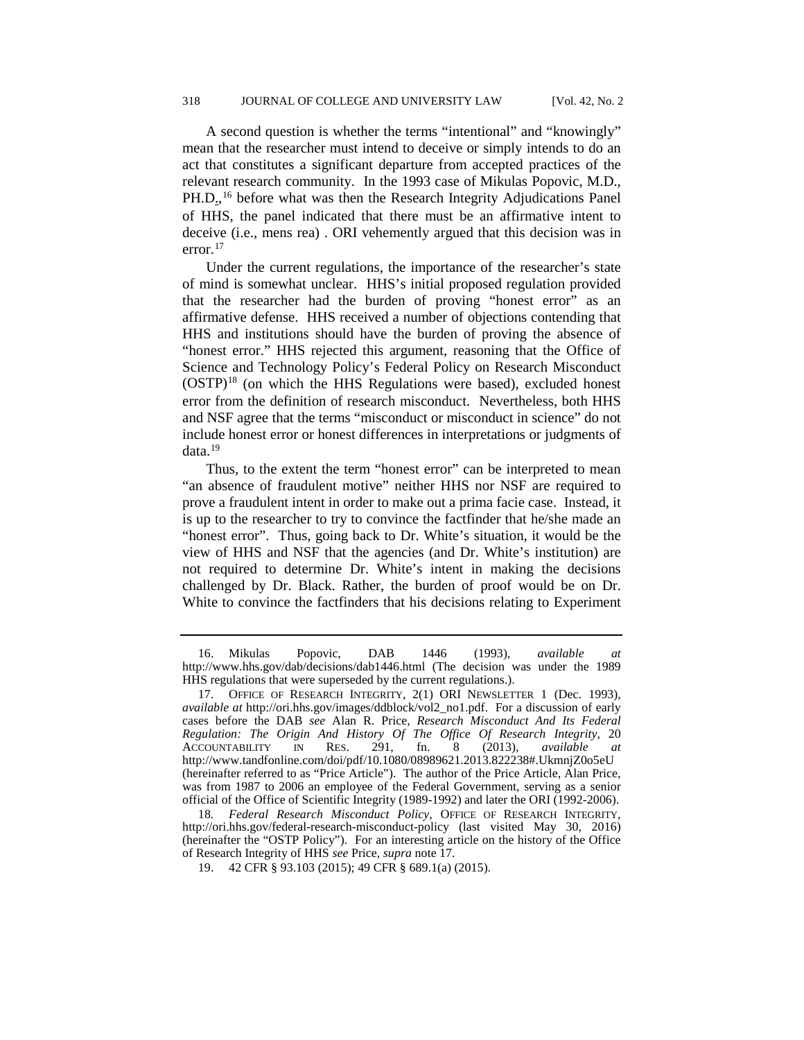A second question is whether the terms "intentional" and "knowingly" mean that the researcher must intend to deceive or simply intends to do an act that constitutes a significant departure from accepted practices of the relevant research community. In the 1993 case of Mikulas Popovic, M.D., PH.D.,<sup>[16](#page-7-0)</sup> before what was then the Research Integrity Adjudications Panel of HHS, the panel indicated that there must be an affirmative intent to deceive (i.e., mens rea) . ORI vehemently argued that this decision was in error.[17](#page-7-1)

Under the current regulations, the importance of the researcher's state of mind is somewhat unclear. HHS's initial proposed regulation provided that the researcher had the burden of proving "honest error" as an affirmative defense. HHS received a number of objections contending that HHS and institutions should have the burden of proving the absence of "honest error." HHS rejected this argument, reasoning that the Office of Science and Technology Policy's Federal Policy on Research Misconduct  $(OSTP)^{18}$  $(OSTP)^{18}$  $(OSTP)^{18}$  (on which the HHS Regulations were based), excluded honest error from the definition of research misconduct. Nevertheless, both HHS and NSF agree that the terms "misconduct or misconduct in science" do not include honest error or honest differences in interpretations or judgments of data.[19](#page-7-3)

Thus, to the extent the term "honest error" can be interpreted to mean "an absence of fraudulent motive" neither HHS nor NSF are required to prove a fraudulent intent in order to make out a prima facie case. Instead, it is up to the researcher to try to convince the factfinder that he/she made an "honest error". Thus, going back to Dr. White's situation, it would be the view of HHS and NSF that the agencies (and Dr. White's institution) are not required to determine Dr. White's intent in making the decisions challenged by Dr. Black. Rather, the burden of proof would be on Dr. White to convince the factfinders that his decisions relating to Experiment

<span id="page-7-0"></span><sup>16.</sup> Mikulas Popovic, DAB 1446 (1993), *available at*  http://www.hhs.gov/dab/decisions/dab1446.html (The decision was under the 1989 HHS regulations that were superseded by the current regulations.).

<span id="page-7-1"></span><sup>17.</sup> OFFICE OF RESEARCH INTEGRITY, 2(1) ORI NEWSLETTER 1 (Dec. 1993), *available at* http://ori.hhs.gov/images/ddblock/vol2\_no1.pdf. For a discussion of early cases before the DAB *see* Alan R. Price, *Research Misconduct And Its Federal Regulation: The Origin And History Of The Office Of Research Integrity*, 20 ACCOUNTABILITY IN RES. 291, fn. 8 (2013), *available at* http://www.tandfonline.com/doi/pdf/10.1080/08989621.2013.822238#.UkmnjZ0o5eU (hereinafter referred to as "Price Article"). The author of the Price Article, Alan Price, was from 1987 to 2006 an employee of the Federal Government, serving as a senior official of the Office of Scientific Integrity (1989-1992) and later the ORI (1992-2006).

<span id="page-7-3"></span><span id="page-7-2"></span><sup>18</sup>*. Federal Research Misconduct Policy*, OFFICE OF RESEARCH INTEGRITY, http://ori.hhs.gov/federal-research-misconduct-policy (last visited May 30, 2016) (hereinafter the "OSTP Policy"). For an interesting article on the history of the Office of Research Integrity of HHS *see* Price, *supra* note 17.

<sup>19.</sup> 42 CFR § 93.103 (2015); 49 CFR § 689.1(a) (2015).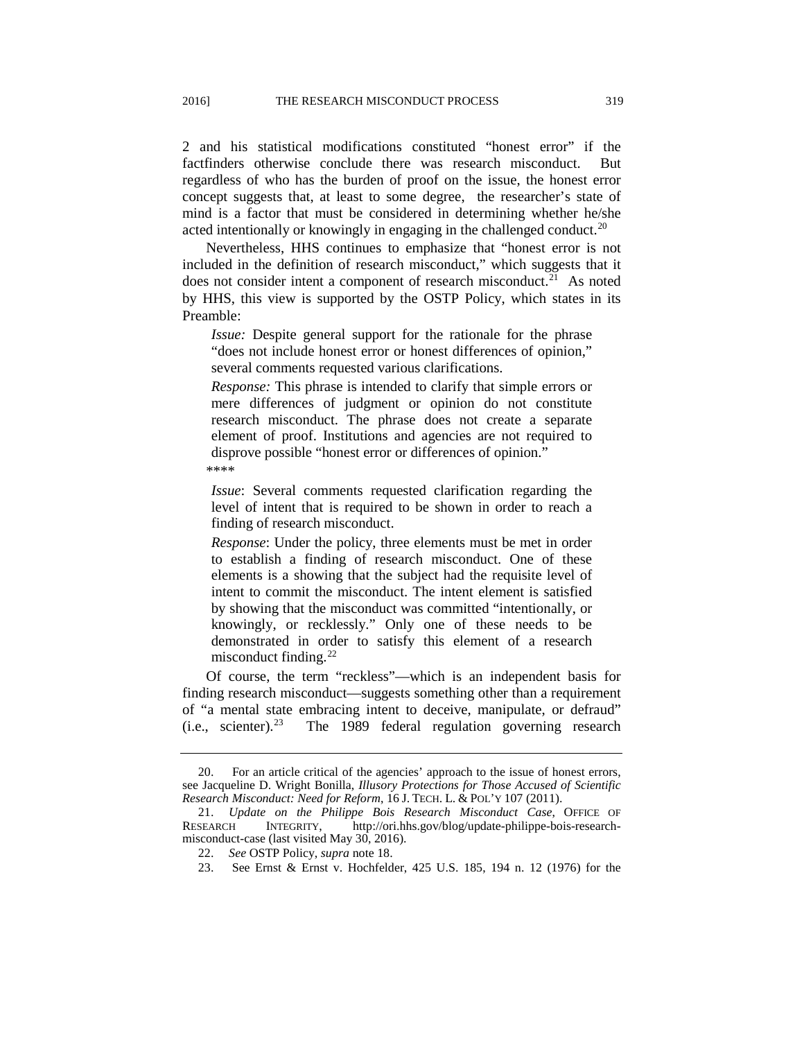2 and his statistical modifications constituted "honest error" if the factfinders otherwise conclude there was research misconduct. But regardless of who has the burden of proof on the issue, the honest error concept suggests that, at least to some degree, the researcher's state of mind is a factor that must be considered in determining whether he/she acted intentionally or knowingly in engaging in the challenged conduct.<sup>20</sup>

Nevertheless, HHS continues to emphasize that "honest error is not included in the definition of research misconduct," which suggests that it does not consider intent a component of research misconduct.<sup>[21](#page-8-1)</sup> As noted by HHS, this view is supported by the OSTP Policy, which states in its Preamble:

*Issue:* Despite general support for the rationale for the phrase "does not include honest error or honest differences of opinion," several comments requested various clarifications.

*Response:* This phrase is intended to clarify that simple errors or mere differences of judgment or opinion do not constitute research misconduct. The phrase does not create a separate element of proof. Institutions and agencies are not required to disprove possible "honest error or differences of opinion." \*\*\*\*

*Issue*: Several comments requested clarification regarding the level of intent that is required to be shown in order to reach a finding of research misconduct.

*Response*: Under the policy, three elements must be met in order to establish a finding of research misconduct. One of these elements is a showing that the subject had the requisite level of intent to commit the misconduct. The intent element is satisfied by showing that the misconduct was committed "intentionally, or knowingly, or recklessly." Only one of these needs to be demonstrated in order to satisfy this element of a research misconduct finding.<sup>[22](#page-8-2)</sup>

Of course, the term "reckless"—which is an independent basis for finding research misconduct—suggests something other than a requirement of "a mental state embracing intent to deceive, manipulate, or defraud"  $(i.e.,$  scienter).<sup>23</sup> The 1989 federal regulation governing research

<span id="page-8-0"></span><sup>20.</sup> For an article critical of the agencies' approach to the issue of honest errors, see Jacqueline D. Wright Bonilla, *Illusory Protections for Those Accused of Scientific Research Misconduct: Need for Reform*, 16 J. TECH. L. & POL'Y 107 (2011).

<span id="page-8-3"></span><span id="page-8-2"></span><span id="page-8-1"></span><sup>21.</sup> *Update on the Philippe Bois Research Misconduct Case*, OFFICE OF http://ori.hhs.gov/blog/update-philippe-bois-researchmisconduct-case (last visited May 30, 2016).

<sup>22.</sup> *See* OSTP Policy, *supra* note 18.

<sup>23.</sup> See Ernst & Ernst v. Hochfelder, 425 U.S. 185, 194 n. 12 (1976) for the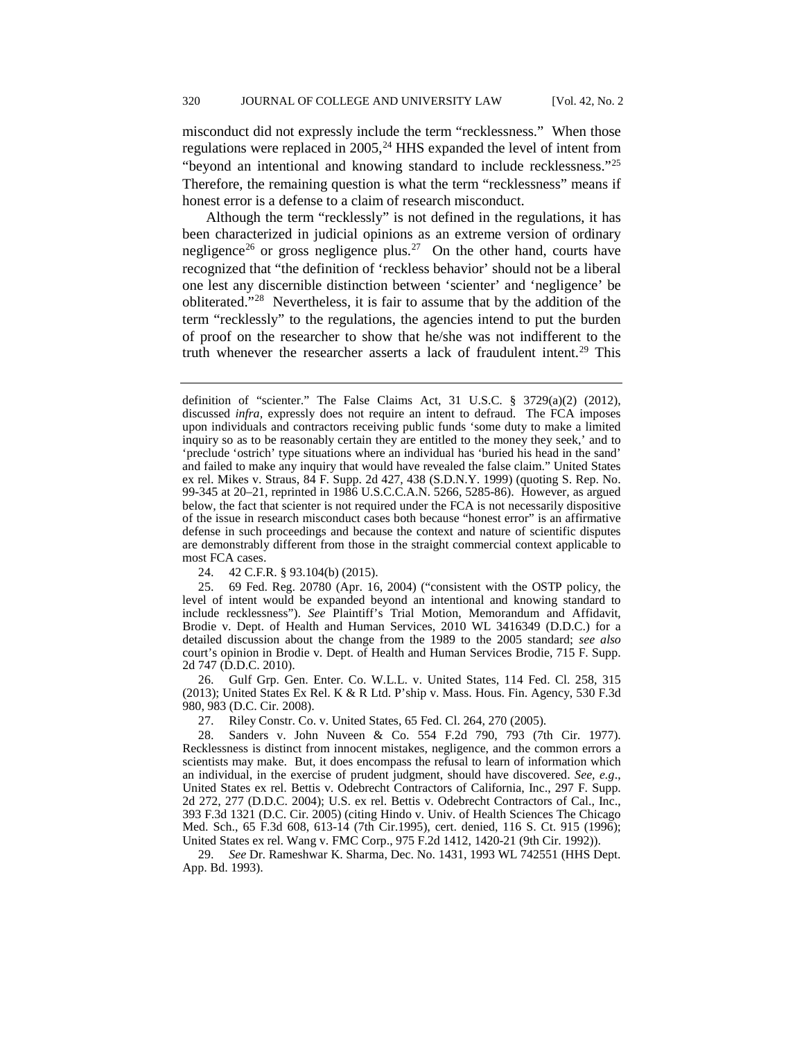misconduct did not expressly include the term "recklessness." When those regulations were replaced in  $2005$ ,<sup>[24](#page-9-0)</sup> HHS expanded the level of intent from "beyond an intentional and knowing standard to include recklessness."[25](#page-9-1) Therefore, the remaining question is what the term "recklessness" means if honest error is a defense to a claim of research misconduct.

Although the term "recklessly" is not defined in the regulations, it has been characterized in judicial opinions as an extreme version of ordinary negligence<sup>[26](#page-9-2)</sup> or gross negligence plus.<sup>27</sup> On the other hand, courts have recognized that "the definition of 'reckless behavior' should not be a liberal one lest any discernible distinction between 'scienter' and 'negligence' be obliterated."[28](#page-9-4) Nevertheless, it is fair to assume that by the addition of the term "recklessly" to the regulations, the agencies intend to put the burden of proof on the researcher to show that he/she was not indifferent to the truth whenever the researcher asserts a lack of fraudulent intent.<sup>[29](#page-9-5)</sup> This

24. 42 C.F.R. § 93.104(b) (2015).

<span id="page-9-1"></span><span id="page-9-0"></span>25. 69 Fed. Reg. 20780 (Apr. 16, 2004) ("consistent with the OSTP policy, the level of intent would be expanded beyond an intentional and knowing standard to include recklessness"). *See* Plaintiff's Trial Motion, Memorandum and Affidavit, Brodie v. Dept. of Health and Human Services, 2010 WL 3416349 (D.D.C.) for a detailed discussion about the change from the 1989 to the 2005 standard; *see also* court's opinion in Brodie v. Dept. of Health and Human Services Brodie, 715 F. Supp. 2d 747 (D.D.C. 2010).

<span id="page-9-2"></span>26. Gulf Grp. Gen. Enter. Co. W.L.L. v. United States, 114 Fed. Cl. 258, 315 (2013); United States Ex Rel. K & R Ltd. P'ship v. Mass. Hous. Fin. Agency, 530 F.3d 980, 983 (D.C. Cir. 2008).

27. Riley Constr. Co. v. United States, 65 Fed. Cl. 264, 270 (2005).

<span id="page-9-5"></span>29. *See* Dr. Rameshwar K. Sharma, Dec. No. 1431, 1993 WL 742551 (HHS Dept. App. Bd. 1993).

definition of "scienter." The False Claims Act, 31 U.S.C.  $\S$  3729(a)(2) (2012), discussed *infra,* expressly does not require an intent to defraud. The FCA imposes upon individuals and contractors receiving public funds 'some duty to make a limited inquiry so as to be reasonably certain they are entitled to the money they seek,' and to 'preclude 'ostrich' type situations where an individual has 'buried his head in the sand' and failed to make any inquiry that would have revealed the false claim." United States ex rel. Mikes v. Straus, 84 F. Supp. 2d 427, 438 (S.D.N.Y. 1999) (quoting S. Rep. No. 99-345 at 20–21, reprinted in 1986 U.S.C.C.A.N. 5266, 5285-86). However, as argued below, the fact that scienter is not required under the FCA is not necessarily dispositive of the issue in research misconduct cases both because "honest error" is an affirmative defense in such proceedings and because the context and nature of scientific disputes are demonstrably different from those in the straight commercial context applicable to most FCA cases.

<span id="page-9-4"></span><span id="page-9-3"></span><sup>28.</sup> Sanders v. John Nuveen & Co. 554 F.2d 790, 793 (7th Cir. 1977). Recklessness is distinct from innocent mistakes, negligence, and the common errors a scientists may make. But, it does encompass the refusal to learn of information which an individual, in the exercise of prudent judgment, should have discovered. *See, e.g*., United States ex rel. Bettis v. Odebrecht Contractors of California, Inc., 297 F. Supp. 2d 272, 277 (D.D.C. 2004); U.S. ex rel. Bettis v. Odebrecht Contractors of Cal., Inc., 393 F.3d 1321 (D.C. Cir. 2005) (citing Hindo v. Univ. of Health Sciences The Chicago Med. Sch., 65 F.3d 608, 613-14 (7th Cir.1995), cert. denied, 116 S. Ct. 915 (1996); United States ex rel. Wang v. FMC Corp., 975 F.2d 1412, 1420-21 (9th Cir. 1992)).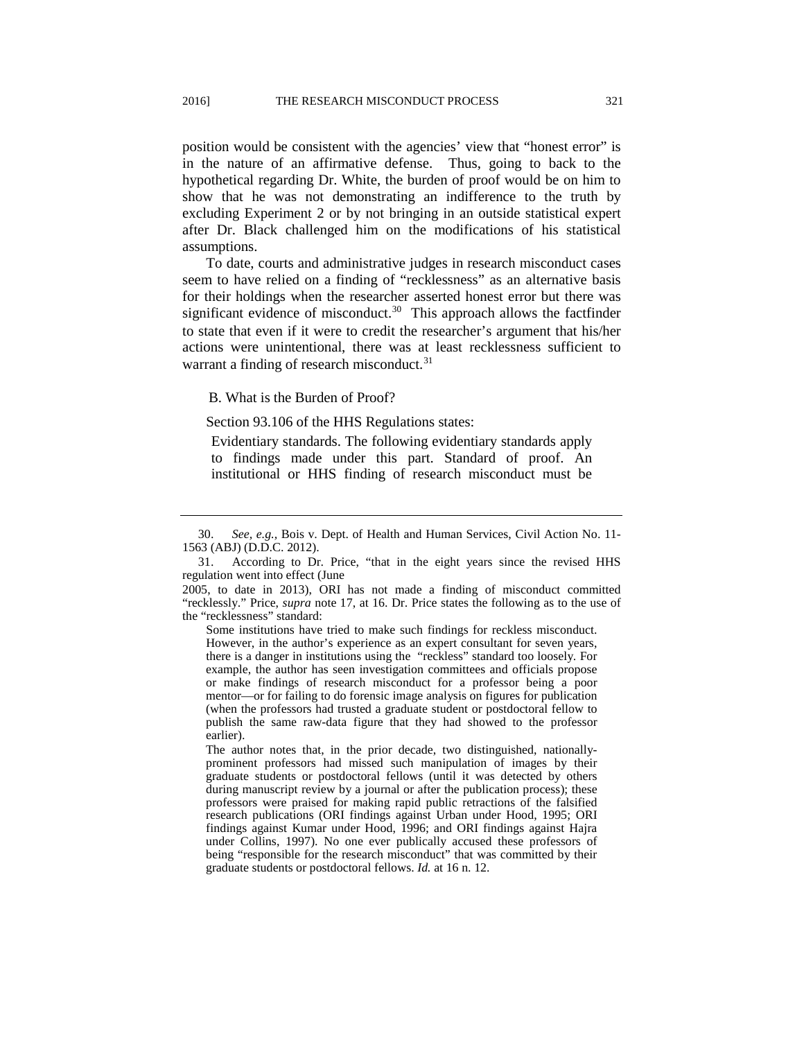position would be consistent with the agencies' view that "honest error" is in the nature of an affirmative defense. Thus, going to back to the hypothetical regarding Dr. White, the burden of proof would be on him to show that he was not demonstrating an indifference to the truth by excluding Experiment 2 or by not bringing in an outside statistical expert after Dr. Black challenged him on the modifications of his statistical assumptions.

To date, courts and administrative judges in research misconduct cases seem to have relied on a finding of "recklessness" as an alternative basis for their holdings when the researcher asserted honest error but there was significant evidence of misconduct.<sup>30</sup> This approach allows the factfinder to state that even if it were to credit the researcher's argument that his/her actions were unintentional, there was at least recklessness sufficient to warrant a finding of research misconduct.<sup>31</sup>

B. What is the Burden of Proof?

Section 93.106 of the HHS Regulations states:

Evidentiary standards. The following evidentiary standards apply to findings made under this part. Standard of proof. An institutional or HHS finding of research misconduct must be

Some institutions have tried to make such findings for reckless misconduct. However, in the author's experience as an expert consultant for seven years, there is a danger in institutions using the "reckless" standard too loosely. For example, the author has seen investigation committees and officials propose or make findings of research misconduct for a professor being a poor mentor—or for failing to do forensic image analysis on figures for publication (when the professors had trusted a graduate student or postdoctoral fellow to publish the same raw-data figure that they had showed to the professor earlier).

<span id="page-10-0"></span><sup>30.</sup> *See, e.g.,* Bois v. Dept. of Health and Human Services, Civil Action No. 11- 1563 (ABJ) (D.D.C. 2012).

<span id="page-10-1"></span><sup>31.</sup> According to Dr. Price, "that in the eight years since the revised HHS regulation went into effect (June

<sup>2005,</sup> to date in 2013), ORI has not made a finding of misconduct committed "recklessly." Price, *supra* note 17, at 16. Dr. Price states the following as to the use of the "recklessness" standard:

The author notes that, in the prior decade, two distinguished, nationallyprominent professors had missed such manipulation of images by their graduate students or postdoctoral fellows (until it was detected by others during manuscript review by a journal or after the publication process); these professors were praised for making rapid public retractions of the falsified research publications (ORI findings against Urban under Hood, 1995; ORI findings against Kumar under Hood, 1996; and ORI findings against Hajra under Collins, 1997). No one ever publically accused these professors of being "responsible for the research misconduct" that was committed by their graduate students or postdoctoral fellows. *Id.* at 16 n. 12.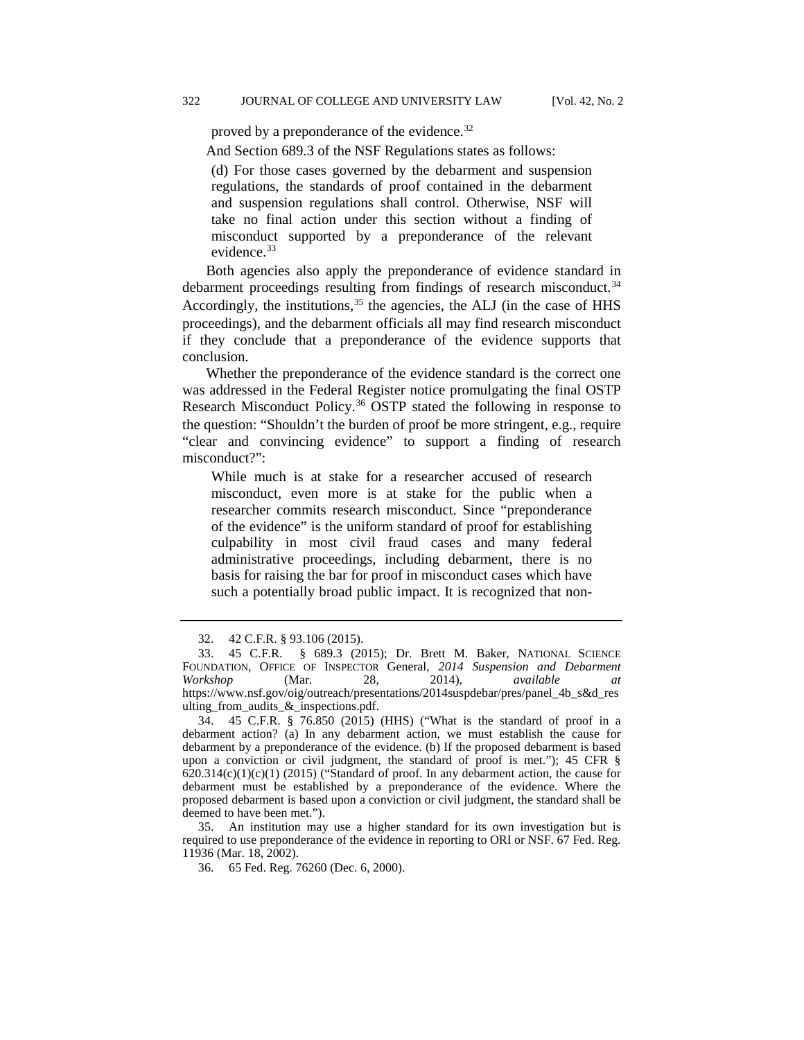proved by a preponderance of the evidence.<sup>[32](#page-11-0)</sup>

And Section 689.3 of the NSF Regulations states as follows:

(d) For those cases governed by the debarment and suspension regulations, the standards of proof contained in the debarment and suspension regulations shall control. Otherwise, NSF will take no final action under this section without a finding of misconduct supported by a preponderance of the relevant evidence.<sup>[33](#page-11-1)</sup>

Both agencies also apply the preponderance of evidence standard in debarment proceedings resulting from findings of research misconduct.<sup>[34](#page-11-2)</sup> Accordingly, the institutions,  $35$  the agencies, the ALJ (in the case of HHS proceedings), and the debarment officials all may find research misconduct if they conclude that a preponderance of the evidence supports that conclusion.

Whether the preponderance of the evidence standard is the correct one was addressed in the Federal Register notice promulgating the final OSTP Research Misconduct Policy.[36](#page-11-4) OSTP stated the following in response to the question: "Shouldn't the burden of proof be more stringent, e.g., require "clear and convincing evidence" to support a finding of research misconduct?":

While much is at stake for a researcher accused of research misconduct, even more is at stake for the public when a researcher commits research misconduct. Since "preponderance of the evidence" is the uniform standard of proof for establishing culpability in most civil fraud cases and many federal administrative proceedings, including debarment, there is no basis for raising the bar for proof in misconduct cases which have such a potentially broad public impact. It is recognized that non-

<sup>32.</sup> 42 C.F.R. § 93.106 (2015).

<span id="page-11-1"></span><span id="page-11-0"></span><sup>33.</sup> 45 C.F.R. § 689.3 (2015); Dr. Brett M. Baker, NATIONAL SCIENCE FOUNDATION, OFFICE OF INSPECTOR General, 2014 Suspension and Debarment Workshop (Mar. 28, 2014), *available at at* https://www.nsf.gov/oig/outreach/presentations/2014suspdebar/pres/panel\_4b\_s&d\_res ulting\_from\_audits\_&\_inspections.pdf.

<span id="page-11-2"></span><sup>34.</sup> 45 C.F.R. § 76.850 (2015) (HHS) ("What is the standard of proof in a debarment action? (a) In any debarment action, we must establish the cause for debarment by a preponderance of the evidence. (b) If the proposed debarment is based upon a conviction or civil judgment, the standard of proof is met."); 45 CFR §  $620.314(c)(1)(c)(1)$  (2015) ("Standard of proof. In any debarment action, the cause for debarment must be established by a preponderance of the evidence. Where the proposed debarment is based upon a conviction or civil judgment, the standard shall be deemed to have been met.").

<span id="page-11-4"></span><span id="page-11-3"></span><sup>35.</sup> An institution may use a higher standard for its own investigation but is required to use preponderance of the evidence in reporting to ORI or NSF. 67 Fed. Reg. 11936 (Mar. 18, 2002).

<sup>36.</sup> 65 Fed. Reg. 76260 (Dec. 6, 2000).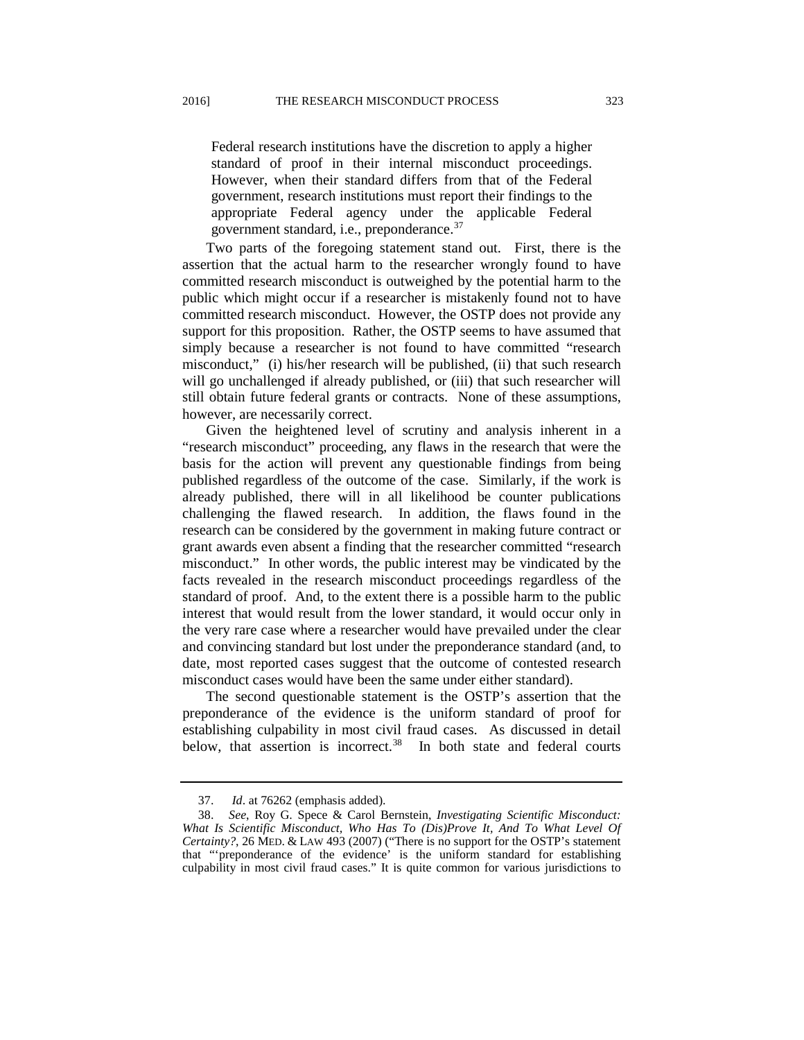Federal research institutions have the discretion to apply a higher standard of proof in their internal misconduct proceedings. However, when their standard differs from that of the Federal government, research institutions must report their findings to the appropriate Federal agency under the applicable Federal government standard, i.e., preponderance.<sup>[37](#page-12-0)</sup>

Two parts of the foregoing statement stand out. First, there is the assertion that the actual harm to the researcher wrongly found to have committed research misconduct is outweighed by the potential harm to the public which might occur if a researcher is mistakenly found not to have committed research misconduct. However, the OSTP does not provide any support for this proposition. Rather, the OSTP seems to have assumed that simply because a researcher is not found to have committed "research misconduct," (i) his/her research will be published, (ii) that such research will go unchallenged if already published, or (iii) that such researcher will still obtain future federal grants or contracts. None of these assumptions, however, are necessarily correct.

Given the heightened level of scrutiny and analysis inherent in a "research misconduct" proceeding, any flaws in the research that were the basis for the action will prevent any questionable findings from being published regardless of the outcome of the case. Similarly, if the work is already published, there will in all likelihood be counter publications challenging the flawed research. In addition, the flaws found in the research can be considered by the government in making future contract or grant awards even absent a finding that the researcher committed "research misconduct." In other words, the public interest may be vindicated by the facts revealed in the research misconduct proceedings regardless of the standard of proof. And, to the extent there is a possible harm to the public interest that would result from the lower standard, it would occur only in the very rare case where a researcher would have prevailed under the clear and convincing standard but lost under the preponderance standard (and, to date, most reported cases suggest that the outcome of contested research misconduct cases would have been the same under either standard).

The second questionable statement is the OSTP's assertion that the preponderance of the evidence is the uniform standard of proof for establishing culpability in most civil fraud cases. As discussed in detail below, that assertion is incorrect.<sup>[38](#page-12-1)</sup> In both state and federal courts

<sup>37.</sup> *Id*. at 76262 (emphasis added).

<span id="page-12-1"></span><span id="page-12-0"></span><sup>38.</sup> *See*, Roy G. Spece & Carol Bernstein, *Investigating Scientific Misconduct:*  What Is Scientific Misconduct, Who Has To (Dis)Prove It, And To What Level Of *Certainty?*, 26 MED. & LAW 493 (2007) ("There is no support for the OSTP's statement that "'preponderance of the evidence' is the uniform standard for establishing culpability in most civil fraud cases." It is quite common for various jurisdictions to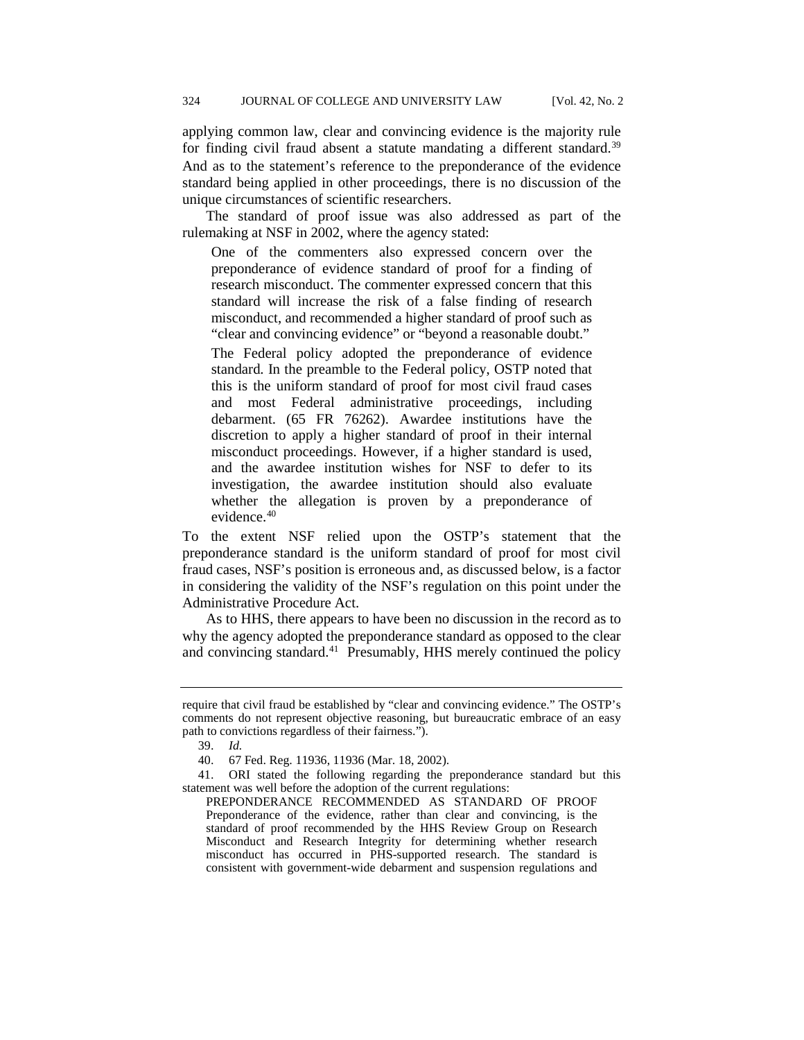applying common law, clear and convincing evidence is the majority rule for finding civil fraud absent a statute mandating a different standard.<sup>39</sup> And as to the statement's reference to the preponderance of the evidence standard being applied in other proceedings, there is no discussion of the unique circumstances of scientific researchers.

The standard of proof issue was also addressed as part of the rulemaking at NSF in 2002, where the agency stated:

One of the commenters also expressed concern over the preponderance of evidence standard of proof for a finding of research misconduct. The commenter expressed concern that this standard will increase the risk of a false finding of research misconduct, and recommended a higher standard of proof such as "clear and convincing evidence" or "beyond a reasonable doubt."

The Federal policy adopted the preponderance of evidence standard. In the preamble to the Federal policy, OSTP noted that this is the uniform standard of proof for most civil fraud cases and most Federal administrative proceedings, including debarment. (65 FR 76262). Awardee institutions have the discretion to apply a higher standard of proof in their internal misconduct proceedings. However, if a higher standard is used, and the awardee institution wishes for NSF to defer to its investigation, the awardee institution should also evaluate whether the allegation is proven by a preponderance of evidence.[40](#page-13-1)

To the extent NSF relied upon the OSTP's statement that the preponderance standard is the uniform standard of proof for most civil fraud cases, NSF's position is erroneous and, as discussed below, is a factor in considering the validity of the NSF's regulation on this point under the Administrative Procedure Act.

As to HHS, there appears to have been no discussion in the record as to why the agency adopted the preponderance standard as opposed to the clear and convincing standard.<sup>41</sup> Presumably, HHS merely continued the policy

require that civil fraud be established by "clear and convincing evidence." The OSTP's comments do not represent objective reasoning, but bureaucratic embrace of an easy path to convictions regardless of their fairness.").

<sup>39.</sup> *Id.*

<sup>40.</sup> 67 Fed. Reg. 11936, 11936 (Mar. 18, 2002).

<span id="page-13-2"></span><span id="page-13-1"></span><span id="page-13-0"></span><sup>41.</sup> ORI stated the following regarding the preponderance standard but this statement was well before the adoption of the current regulations:

PREPONDERANCE RECOMMENDED AS STANDARD OF PROOF Preponderance of the evidence, rather than clear and convincing, is the standard of proof recommended by the HHS Review Group on Research Misconduct and Research Integrity for determining whether research misconduct has occurred in PHS-supported research. The standard is consistent with government-wide debarment and suspension regulations and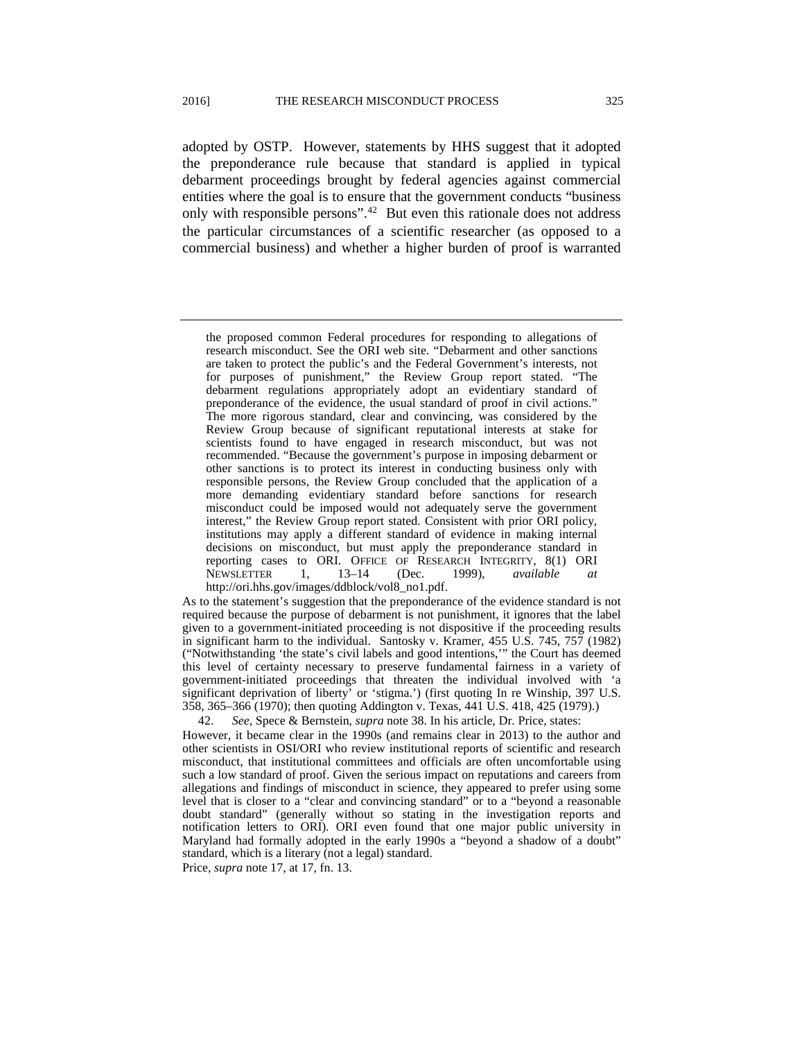adopted by OSTP. However, statements by HHS suggest that it adopted the preponderance rule because that standard is applied in typical debarment proceedings brought by federal agencies against commercial entities where the goal is to ensure that the government conducts "business only with responsible persons".<sup>[42](#page-14-0)</sup> But even this rationale does not address the particular circumstances of a scientific researcher (as opposed to a commercial business) and whether a higher burden of proof is warranted

As to the statement's suggestion that the preponderance of the evidence standard is not required because the purpose of debarment is not punishment, it ignores that the label given to a government-initiated proceeding is not dispositive if the proceeding results in significant harm to the individual. Santosky v. Kramer, 455 U.S. 745, 757 (1982) ("Notwithstanding 'the state's civil labels and good intentions,'" the Court has deemed this level of certainty necessary to preserve fundamental fairness in a variety of government-initiated proceedings that threaten the individual involved with 'a significant deprivation of liberty' or 'stigma.') (first quoting In re Winship, 397 U.S. 358, 365–366 (1970); then quoting Addington v. Texas, 441 U.S. 418, 425 (1979).)

<span id="page-14-0"></span>42. *See*, Spece & Bernstein, *supra* note 38. In his article, Dr. Price, states: However, it became clear in the 1990s (and remains clear in 2013) to the author and other scientists in OSI/ORI who review institutional reports of scientific and research misconduct, that institutional committees and officials are often uncomfortable using such a low standard of proof. Given the serious impact on reputations and careers from allegations and findings of misconduct in science, they appeared to prefer using some level that is closer to a "clear and convincing standard" or to a "beyond a reasonable doubt standard" (generally without so stating in the investigation reports and notification letters to ORI). ORI even found that one major public university in Maryland had formally adopted in the early 1990s a "beyond a shadow of a doubt" standard, which is a literary (not a legal) standard.

Price, *supra* note 17, at 17, fn. 13.

the proposed common Federal procedures for responding to allegations of research misconduct. See the ORI web site. "Debarment and other sanctions are taken to protect the public's and the Federal Government's interests, not for purposes of punishment," the Review Group report stated. "The debarment regulations appropriately adopt an evidentiary standard of preponderance of the evidence, the usual standard of proof in civil actions." The more rigorous standard, clear and convincing, was considered by the Review Group because of significant reputational interests at stake for scientists found to have engaged in research misconduct, but was not recommended. "Because the government's purpose in imposing debarment or other sanctions is to protect its interest in conducting business only with responsible persons, the Review Group concluded that the application of a more demanding evidentiary standard before sanctions for research misconduct could be imposed would not adequately serve the government interest," the Review Group report stated. Consistent with prior ORI policy, institutions may apply a different standard of evidence in making internal decisions on misconduct, but must apply the preponderance standard in reporting cases to ORI. OFFICE OF RESEARCH INTEGRITY, 8(1) ORI NEWSLETTER 1, 13–14 (Dec. 1999), *available at*  http://ori.hhs.gov/images/ddblock/vol8\_no1.pdf.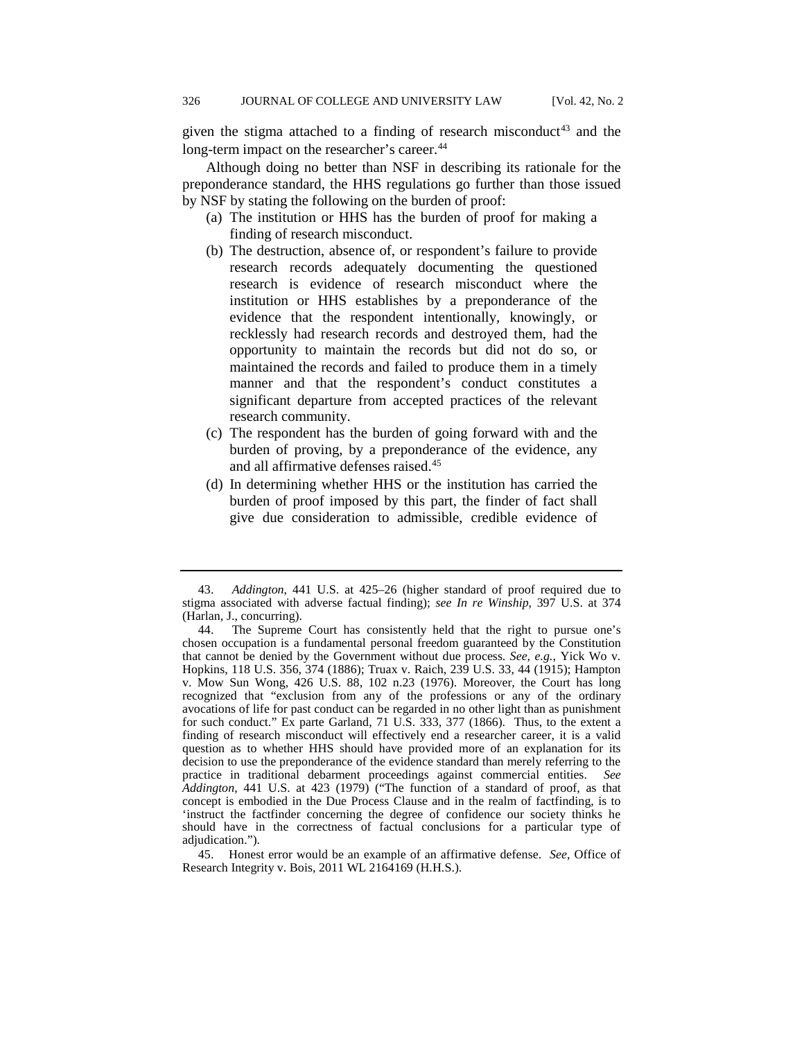given the stigma attached to a finding of research misconduct<sup>[43](#page-15-0)</sup> and the long-term impact on the researcher's career.<sup>44</sup>

Although doing no better than NSF in describing its rationale for the preponderance standard, the HHS regulations go further than those issued by NSF by stating the following on the burden of proof:

- (a) The institution or HHS has the burden of proof for making a finding of research misconduct.
- (b) The destruction, absence of, or respondent's failure to provide research records adequately documenting the questioned research is evidence of research misconduct where the institution or HHS establishes by a preponderance of the evidence that the respondent intentionally, knowingly, or recklessly had research records and destroyed them, had the opportunity to maintain the records but did not do so, or maintained the records and failed to produce them in a timely manner and that the respondent's conduct constitutes a significant departure from accepted practices of the relevant research community.
- (c) The respondent has the burden of going forward with and the burden of proving, by a preponderance of the evidence, any and all affirmative defenses raised.[45](#page-15-2)
- (d) In determining whether HHS or the institution has carried the burden of proof imposed by this part, the finder of fact shall give due consideration to admissible, credible evidence of

<span id="page-15-0"></span><sup>43.</sup> *Addington*, 441 U.S. at 425–26 (higher standard of proof required due to stigma associated with adverse factual finding); *see In re Winship*, 397 U.S. at 374 (Harlan, J., concurring).

<span id="page-15-1"></span><sup>44.</sup> The Supreme Court has consistently held that the right to pursue one's chosen occupation is a fundamental personal freedom guaranteed by the Constitution that cannot be denied by the Government without due process. *See, e.g.*, Yick Wo v. Hopkins, 118 U.S. 356, 374 (1886); Truax v. Raich, 239 U.S. 33, 44 (1915); Hampton v. Mow Sun Wong, 426 U.S. 88, 102 n.23 (1976). Moreover, the Court has long recognized that "exclusion from any of the professions or any of the ordinary avocations of life for past conduct can be regarded in no other light than as punishment for such conduct." Ex parte Garland, 71 U.S. 333, 377 (1866). Thus, to the extent a finding of research misconduct will effectively end a researcher career, it is a valid question as to whether HHS should have provided more of an explanation for its decision to use the preponderance of the evidence standard than merely referring to the practice in traditional debarment proceedings against commercial entities. *See Addington*, 441 U.S. at 423 (1979) ("The function of a standard of proof, as that concept is embodied in the Due Process Clause and in the realm of factfinding, is to 'instruct the factfinder concerning the degree of confidence our society thinks he should have in the correctness of factual conclusions for a particular type of adjudication.").

<span id="page-15-2"></span><sup>45.</sup> Honest error would be an example of an affirmative defense. *See*, Office of Research Integrity v. Bois, 2011 WL 2164169 (H.H.S.).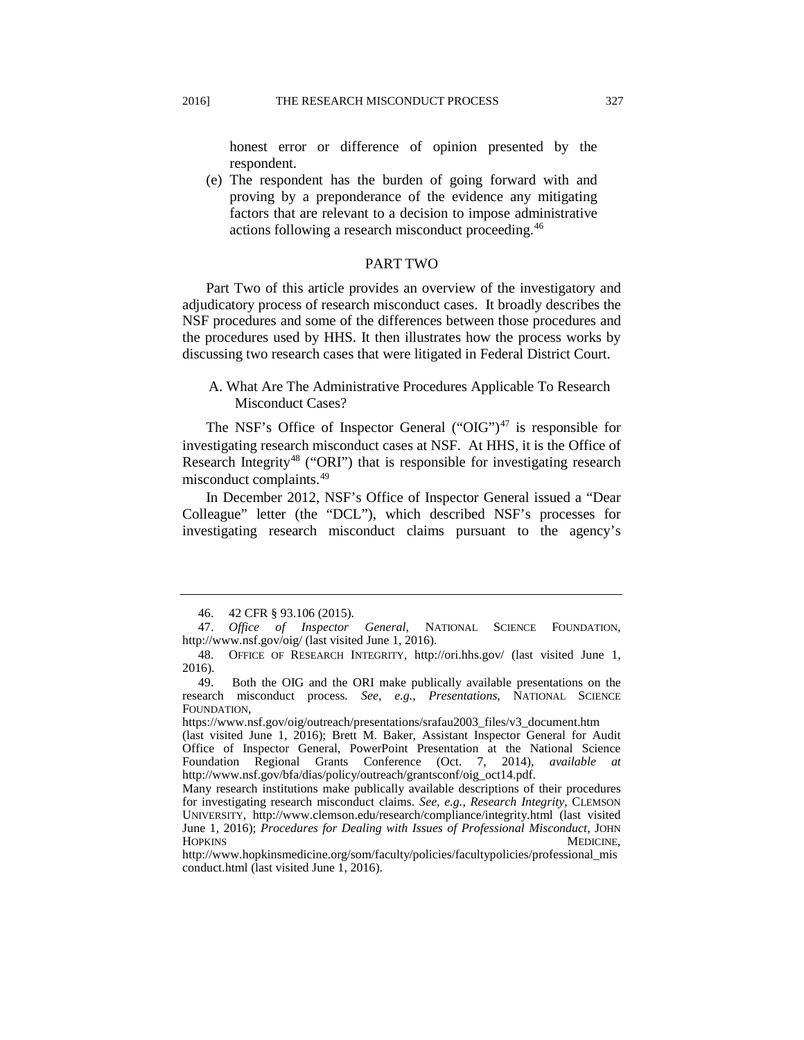honest error or difference of opinion presented by the respondent.

(e) The respondent has the burden of going forward with and proving by a preponderance of the evidence any mitigating factors that are relevant to a decision to impose administrative actions following a research misconduct proceeding.[46](#page-16-0)

#### PART TWO

Part Two of this article provides an overview of the investigatory and adjudicatory process of research misconduct cases. It broadly describes the NSF procedures and some of the differences between those procedures and the procedures used by HHS. It then illustrates how the process works by discussing two research cases that were litigated in Federal District Court.

A. What Are The Administrative Procedures Applicable To Research Misconduct Cases?

The NSF's Office of Inspector General  $("OIG")^{47}$  $("OIG")^{47}$  $("OIG")^{47}$  is responsible for investigating research misconduct cases at NSF. At HHS, it is the Office of Research Integrity<sup>[48](#page-16-2)</sup> ("ORI") that is responsible for investigating research misconduct complaints.[49](#page-16-3)

In December 2012, NSF's Office of Inspector General issued a "Dear Colleague" letter (the "DCL"), which described NSF's processes for investigating research misconduct claims pursuant to the agency's

https://www.nsf.gov/oig/outreach/presentations/srafau2003\_files/v3\_document.htm

<sup>46.</sup> 42 CFR § 93.106 (2015).

<span id="page-16-1"></span><span id="page-16-0"></span><sup>47.</sup> *Office of Inspector General*, NATIONAL SCIENCE FOUNDATION, http://www.nsf.gov/oig/ (last visited June 1, 2016).

<span id="page-16-2"></span><sup>48.</sup> OFFICE OF RESEARCH INTEGRITY, http://ori.hhs.gov/ (last visited June 1, 2016).

<span id="page-16-3"></span><sup>49.</sup> Both the OIG and the ORI make publically available presentations on the research misconduct process*. See, e.g.*, *Presentations*, NATIONAL SCIENCE FOUNDATION,

<sup>(</sup>last visited June 1, 2016); Brett M. Baker, Assistant Inspector General for Audit Office of Inspector General, PowerPoint Presentation at the National Science Foundation Regional Grants Conference (Oct. 7, 2014), *available at*  http://www.nsf.gov/bfa/dias/policy/outreach/grantsconf/oig\_oct14.pdf.

Many research institutions make publically available descriptions of their procedures for investigating research misconduct claims. *See, e.g.*, *Research Integrity*, CLEMSON UNIVERSITY, http://www.clemson.edu/research/compliance/integrity.html (last visited June 1, 2016); *Procedures for Dealing with Issues of Professional Misconduct*, JOHN HOPKINS MEDICINE,

http://www.hopkinsmedicine.org/som/faculty/policies/facultypolicies/professional\_mis conduct.html (last visited June 1, 2016).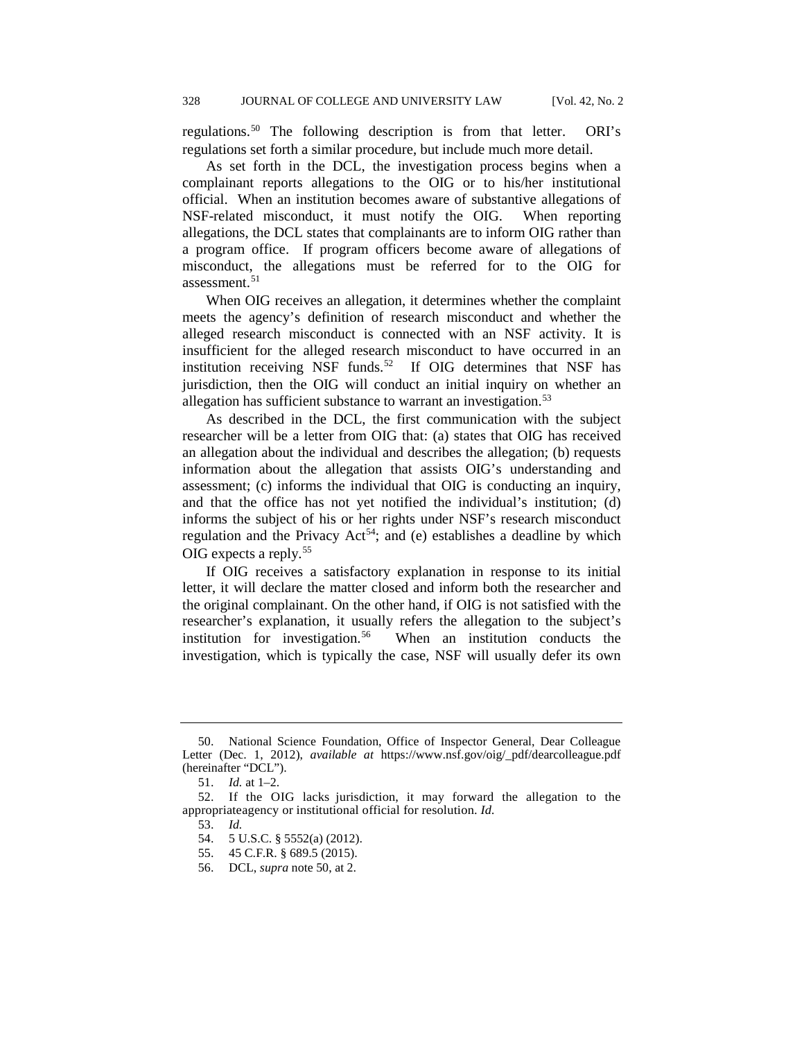regulations.[50](#page-17-0) The following description is from that letter. ORI's regulations set forth a similar procedure, but include much more detail.

As set forth in the DCL, the investigation process begins when a complainant reports allegations to the OIG or to his/her institutional official. When an institution becomes aware of substantive allegations of NSF-related misconduct, it must notify the OIG. When reporting allegations, the DCL states that complainants are to inform OIG rather than a program office. If program officers become aware of allegations of misconduct, the allegations must be referred for to the OIG for assessment.<sup>[51](#page-17-1)</sup>

When OIG receives an allegation, it determines whether the complaint meets the agency's definition of research misconduct and whether the alleged research misconduct is connected with an NSF activity. It is insufficient for the alleged research misconduct to have occurred in an institution receiving NSF funds.<sup>52</sup> If OIG determines that NSF has jurisdiction, then the OIG will conduct an initial inquiry on whether an allegation has sufficient substance to warrant an investigation.<sup>[53](#page-17-3)</sup>

As described in the DCL, the first communication with the subject researcher will be a letter from OIG that: (a) states that OIG has received an allegation about the individual and describes the allegation; (b) requests information about the allegation that assists OIG's understanding and assessment; (c) informs the individual that OIG is conducting an inquiry, and that the office has not yet notified the individual's institution; (d) informs the subject of his or her rights under NSF's research misconduct regulation and the Privacy Act<sup>54</sup>; and (e) establishes a deadline by which OIG expects a reply.<sup>[55](#page-17-5)</sup>

If OIG receives a satisfactory explanation in response to its initial letter, it will declare the matter closed and inform both the researcher and the original complainant. On the other hand, if OIG is not satisfied with the researcher's explanation, it usually refers the allegation to the subject's institution for investigation.<sup>56</sup> When an institution conducts the When an institution conducts the investigation, which is typically the case, NSF will usually defer its own

<span id="page-17-0"></span><sup>50.</sup> National Science Foundation, Office of Inspector General, Dear Colleague Letter (Dec. 1, 2012), *available at* https://www.nsf.gov/oig/\_pdf/dearcolleague.pdf (hereinafter "DCL").

<sup>51.</sup> *Id.* at 1–2.

<span id="page-17-6"></span><span id="page-17-5"></span><span id="page-17-4"></span><span id="page-17-3"></span><span id="page-17-2"></span><span id="page-17-1"></span><sup>52.</sup> If the OIG lacks jurisdiction, it may forward the allegation to the appropriateagency or institutional official for resolution. *Id.*

<sup>53.</sup> *Id.*

<sup>54.</sup> 5 U.S.C. § 5552(a) (2012).

<sup>55.</sup> 45 C.F.R. § 689.5 (2015).

<sup>56.</sup> DCL, *supra* note 50, at 2.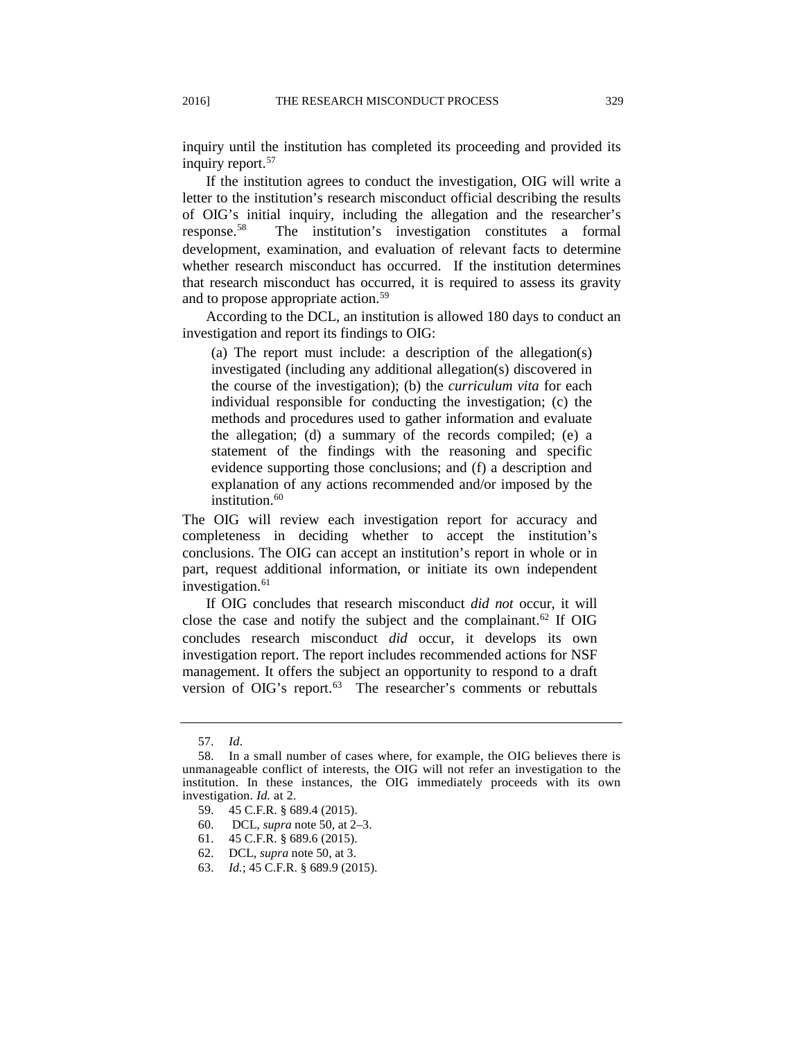inquiry until the institution has completed its proceeding and provided its inquiry report.<sup>[57](#page-18-0)</sup>

If the institution agrees to conduct the investigation, OIG will write a letter to the institution's research misconduct official describing the results of OIG's initial inquiry, including the allegation and the researcher's response.[58](#page-18-1) The institution's investigation constitutes a formal development, examination, and evaluation of relevant facts to determine whether research misconduct has occurred. If the institution determines that research misconduct has occurred, it is required to assess its gravity and to propose appropriate action.<sup>59</sup>

According to the DCL, an institution is allowed 180 days to conduct an investigation and report its findings to OIG:

(a) The report must include: a description of the allegation(s) investigated (including any additional allegation(s) discovered in the course of the investigation); (b) the *curriculum vita* for each individual responsible for conducting the investigation; (c) the methods and procedures used to gather information and evaluate the allegation; (d) a summary of the records compiled; (e) a statement of the findings with the reasoning and specific evidence supporting those conclusions; and (f) a description and explanation of any actions recommended and/or imposed by the institution.<sup>[60](#page-18-3)</sup>

The OIG will review each investigation report for accuracy and completeness in deciding whether to accept the institution's conclusions. The OIG can accept an institution's report in whole or in part, request additional information, or initiate its own independent investigation. $61$ 

If OIG concludes that research misconduct *did not* occur, it will close the case and notify the subject and the complainant.<sup>62</sup> If OIG concludes research misconduct *did* occur, it develops its own investigation report. The report includes recommended actions for NSF management. It offers the subject an opportunity to respond to a draft version of OIG's report. $63$  The researcher's comments or rebuttals

<sup>57.</sup> *Id*.

<span id="page-18-3"></span><span id="page-18-2"></span><span id="page-18-1"></span><span id="page-18-0"></span><sup>58.</sup> In a small number of cases where, for example, the OIG believes there is unmanageable conflict of interests, the OIG will not refer an investigation to the institution. In these instances, the OIG immediately proceeds with its own investigation. *Id.* at 2.

<sup>59.</sup> 45 C.F.R. § 689.4 (2015).

<sup>60.</sup> DCL, *supra* note 50, at 2–3.

<sup>61.</sup> 45 C.F.R. § 689.6 (2015).

<span id="page-18-5"></span><span id="page-18-4"></span><sup>62.</sup> DCL, *supra* note 50, at 3.

<span id="page-18-6"></span><sup>63.</sup> *Id.*; 45 C.F.R. § 689.9 (2015).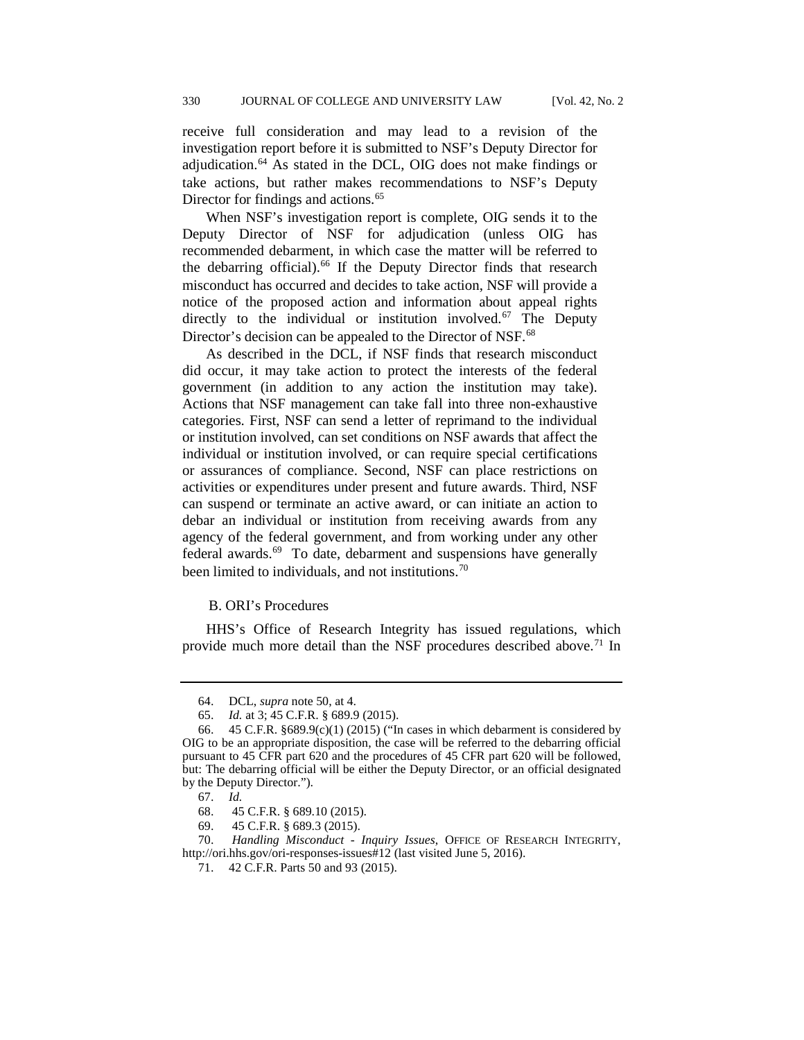receive full consideration and may lead to a revision of the investigation report before it is submitted to NSF's Deputy Director for adjudication.[64](#page-19-0) As stated in the DCL, OIG does not make findings or take actions, but rather makes recommendations to NSF's Deputy Director for findings and actions.<sup>[65](#page-19-1)</sup>

When NSF's investigation report is complete, OIG sends it to the Deputy Director of NSF for adjudication (unless OIG has recommended debarment, in which case the matter will be referred to the debarring official).<sup>[66](#page-19-2)</sup> If the Deputy Director finds that research misconduct has occurred and decides to take action, NSF will provide a notice of the proposed action and information about appeal rights directly to the individual or institution involved.<sup>[67](#page-19-3)</sup> The Deputy Director's decision can be appealed to the Director of NSF.<sup>[68](#page-19-4)</sup>

As described in the DCL, if NSF finds that research misconduct did occur, it may take action to protect the interests of the federal government (in addition to any action the institution may take). Actions that NSF management can take fall into three non-exhaustive categories. First, NSF can send a letter of reprimand to the individual or institution involved, can set conditions on NSF awards that affect the individual or institution involved, or can require special certifications or assurances of compliance. Second, NSF can place restrictions on activities or expenditures under present and future awards. Third, NSF can suspend or terminate an active award, or can initiate an action to debar an individual or institution from receiving awards from any agency of the federal government, and from working under any other federal awards.[69](#page-19-5) To date, debarment and suspensions have generally been limited to individuals, and not institutions.<sup>[70](#page-19-6)</sup>

B. ORI's Procedures

HHS's Office of Research Integrity has issued regulations, which provide much more detail than the NSF procedures described above.<sup>[71](#page-19-7)</sup> In

<sup>64.</sup> DCL, *supra* note 50, at 4.

<sup>65.</sup> *Id.* at 3; 45 C.F.R. § 689.9 (2015).

<span id="page-19-2"></span><span id="page-19-1"></span><span id="page-19-0"></span><sup>66. 45</sup> C.F.R.  $§689.9(c)(1)$  (2015) ("In cases in which debarment is considered by OIG to be an appropriate disposition, the case will be referred to the debarring official pursuant to 45 CFR part 620 and the procedures of 45 CFR part 620 will be followed, but: The debarring official will be either the Deputy Director, or an official designated by the Deputy Director.").

<sup>67.</sup> *Id.*

<sup>68. 45</sup> C.F.R. § 689.10 (2015).

<sup>69. 45</sup> C.F.R. § 689.3 (2015).

<span id="page-19-7"></span><span id="page-19-6"></span><span id="page-19-5"></span><span id="page-19-4"></span><span id="page-19-3"></span><sup>70.</sup> *Handling Misconduct - Inquiry Issues*, OFFICE OF RESEARCH INTEGRITY, http://ori.hhs.gov/ori-responses-issues#12 (last visited June 5, 2016).

<sup>71.</sup> 42 C.F.R. Parts 50 and 93 (2015).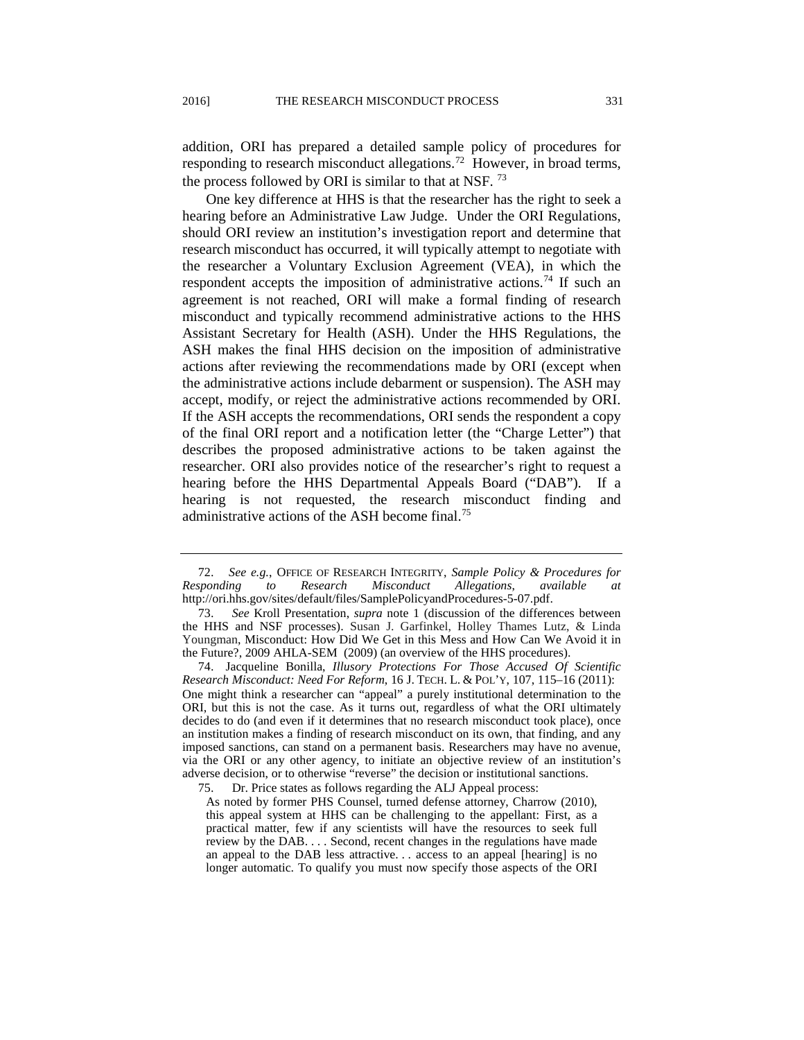addition, ORI has prepared a detailed sample policy of procedures for responding to research misconduct allegations.<sup>72</sup> However, in broad terms, the process followed by ORI is similar to that at NSF.<sup>[73](#page-20-1)</sup>

One key difference at HHS is that the researcher has the right to seek a hearing before an Administrative Law Judge. Under the ORI Regulations, should ORI review an institution's investigation report and determine that research misconduct has occurred, it will typically attempt to negotiate with the researcher a Voluntary Exclusion Agreement (VEA), in which the respondent accepts the imposition of administrative actions.<sup>[74](#page-20-2)</sup> If such an agreement is not reached, ORI will make a formal finding of research misconduct and typically recommend administrative actions to the HHS Assistant Secretary for Health (ASH). Under the HHS Regulations, the ASH makes the final HHS decision on the imposition of administrative actions after reviewing the recommendations made by ORI (except when the administrative actions include debarment or suspension). The ASH may accept, modify, or reject the administrative actions recommended by ORI. If the ASH accepts the recommendations, ORI sends the respondent a copy of the final ORI report and a notification letter (the "Charge Letter") that describes the proposed administrative actions to be taken against the researcher. ORI also provides notice of the researcher's right to request a hearing before the HHS Departmental Appeals Board ("DAB"). If a hearing is not requested, the research misconduct finding and administrative actions of the ASH become final.<sup>[75](#page-20-3)</sup>

<span id="page-20-2"></span>74. Jacqueline Bonilla, *Illusory Protections For Those Accused Of Scientific Research Misconduct: Need For Reform*, 16 J. TECH. L. & POL'Y, 107, 115–16 (2011): One might think a researcher can "appeal" a purely institutional determination to the ORI, but this is not the case. As it turns out, regardless of what the ORI ultimately decides to do (and even if it determines that no research misconduct took place), once an institution makes a finding of research misconduct on its own, that finding, and any imposed sanctions, can stand on a permanent basis. Researchers may have no avenue, via the ORI or any other agency, to initiate an objective review of an institution's adverse decision, or to otherwise "reverse" the decision or institutional sanctions.

<span id="page-20-3"></span>75. Dr. Price states as follows regarding the ALJ Appeal process:

As noted by former PHS Counsel, turned defense attorney, Charrow (2010), this appeal system at HHS can be challenging to the appellant: First, as a practical matter, few if any scientists will have the resources to seek full review by the DAB. . . . Second, recent changes in the regulations have made an appeal to the DAB less attractive. . . access to an appeal [hearing] is no longer automatic. To qualify you must now specify those aspects of the ORI

<span id="page-20-0"></span><sup>72.</sup> *See e.g.*, OFFICE OF RESEARCH INTEGRITY, *Sample Policy & Procedures for Responding to Research Misconduct Allegations*, *available at* http://ori.hhs.gov/sites/default/files/SamplePolicyandProcedures-5-07.pdf.

<span id="page-20-1"></span><sup>73.</sup> *See* Kroll Presentation, *supra* note 1 (discussion of the differences between the HHS and NSF processes). Susan J. Garfinkel, Holley Thames Lutz, & Linda Youngman, Misconduct: How Did We Get in this Mess and How Can We Avoid it in the Future?, 2009 AHLA-SEM (2009) (an overview of the HHS procedures).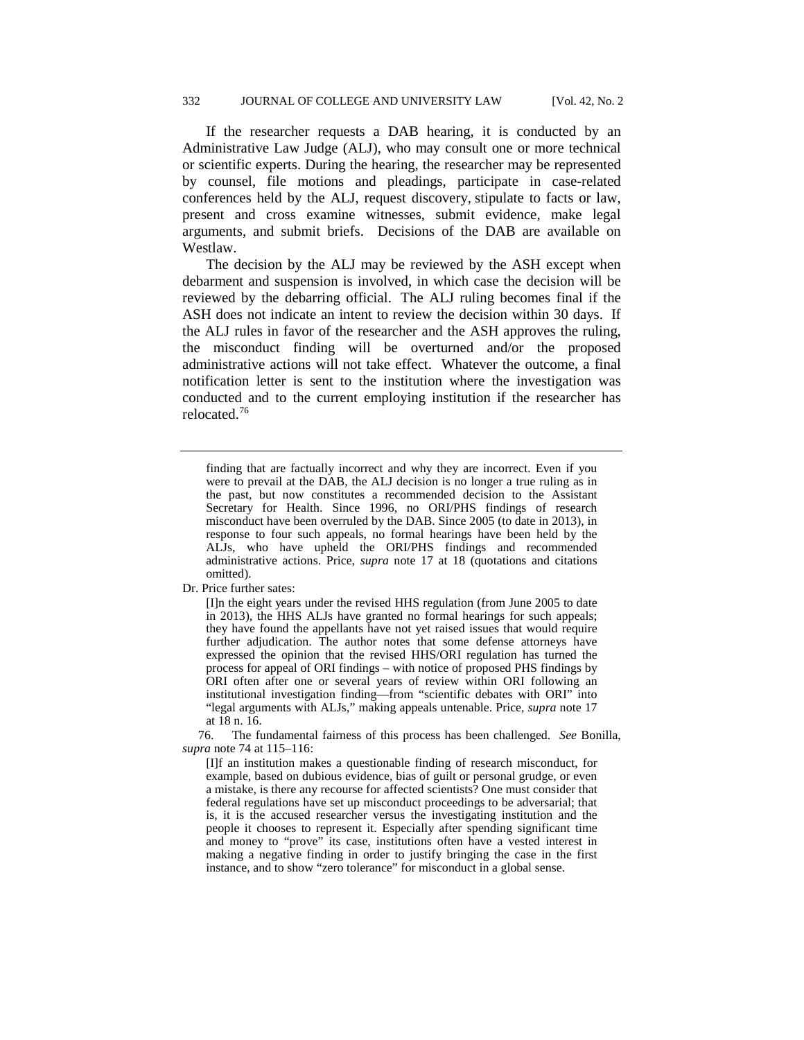If the researcher requests a DAB hearing, it is conducted by an Administrative Law Judge (ALJ), who may consult one or more technical or scientific experts. During the hearing, the researcher may be represented by counsel, file motions and pleadings, participate in case-related conferences held by the ALJ, request discovery, stipulate to facts or law, present and cross examine witnesses, submit evidence, make legal arguments, and submit briefs. Decisions of the DAB are available on Westlaw.

The decision by the ALJ may be reviewed by the ASH except when debarment and suspension is involved, in which case the decision will be reviewed by the debarring official. The ALJ ruling becomes final if the ASH does not indicate an intent to review the decision within 30 days. If the ALJ rules in favor of the researcher and the ASH approves the ruling, the misconduct finding will be overturned and/or the proposed administrative actions will not take effect. Whatever the outcome, a final notification letter is sent to the institution where the investigation was conducted and to the current employing institution if the researcher has relocated.[76](#page-21-0)

<span id="page-21-0"></span>76. The fundamental fairness of this process has been challenged. *See* Bonilla, *supra* note 74 at 115–116:

finding that are factually incorrect and why they are incorrect. Even if you were to prevail at the DAB, the ALJ decision is no longer a true ruling as in the past, but now constitutes a recommended decision to the Assistant Secretary for Health. Since 1996, no ORI/PHS findings of research misconduct have been overruled by the DAB. Since 2005 (to date in 2013), in response to four such appeals, no formal hearings have been held by the ALJs, who have upheld the ORI/PHS findings and recommended administrative actions. Price, *supra* note 17 at 18 (quotations and citations omitted).

Dr. Price further sates:

<sup>[</sup>I]n the eight years under the revised HHS regulation (from June 2005 to date in 2013), the HHS ALJs have granted no formal hearings for such appeals; they have found the appellants have not yet raised issues that would require further adjudication. The author notes that some defense attorneys have expressed the opinion that the revised HHS/ORI regulation has turned the process for appeal of ORI findings – with notice of proposed PHS findings by ORI often after one or several years of review within ORI following an institutional investigation finding—from "scientific debates with ORI" into "legal arguments with ALJs," making appeals untenable. Price, *supra* note 17 at 18 n. 16.

<sup>[</sup>I]f an institution makes a questionable finding of research misconduct, for example, based on dubious evidence, bias of guilt or personal grudge, or even a mistake, is there any recourse for affected scientists? One must consider that federal regulations have set up misconduct proceedings to be adversarial; that is, it is the accused researcher versus the investigating institution and the people it chooses to represent it. Especially after spending significant time and money to "prove" its case, institutions often have a vested interest in making a negative finding in order to justify bringing the case in the first instance, and to show "zero tolerance" for misconduct in a global sense.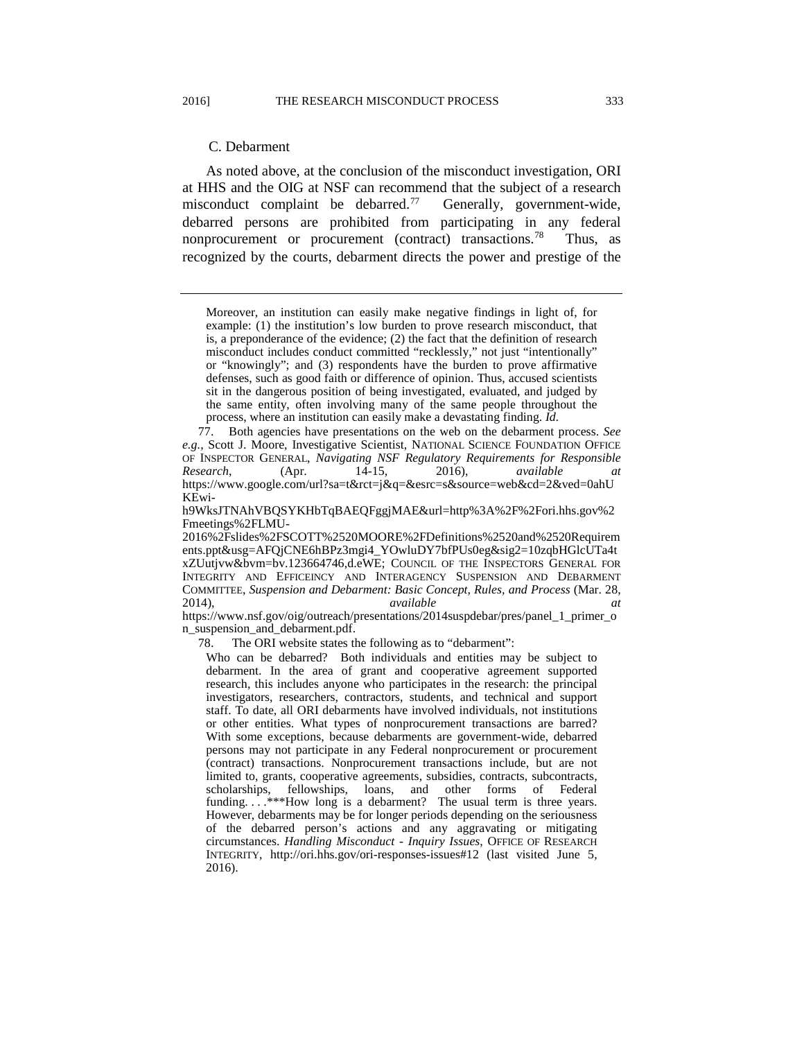#### C. Debarment

As noted above, at the conclusion of the misconduct investigation, ORI at HHS and the OIG at NSF can recommend that the subject of a research misconduct complaint be debarred.<sup>77</sup> Generally, government-wide, debarred persons are prohibited from participating in any federal nonprocurement or procurement (contract) transactions.<sup>[78](#page-22-1)</sup> Thus, as recognized by the courts, debarment directs the power and prestige of the

78. The ORI website states the following as to "debarment":

Moreover, an institution can easily make negative findings in light of, for example: (1) the institution's low burden to prove research misconduct, that is, a preponderance of the evidence; (2) the fact that the definition of research misconduct includes conduct committed "recklessly," not just "intentionally" or "knowingly"; and (3) respondents have the burden to prove affirmative defenses, such as good faith or difference of opinion. Thus, accused scientists sit in the dangerous position of being investigated, evaluated, and judged by the same entity, often involving many of the same people throughout the process, where an institution can easily make a devastating finding. *Id.*

<span id="page-22-0"></span><sup>77.</sup> Both agencies have presentations on the web on the debarment process. *See e.g.*, Scott J. Moore, Investigative Scientist, NATIONAL SCIENCE FOUNDATION OFFICE OF INSPECTOR GENERAL, *Navigating NSF Regulatory Requirements for Responsible Research*, (Apr. 14-15, 2016), *available at*  https://www.google.com/url?sa=t&rct=j&q=&esrc=s&source=web&cd=2&ved=0ahU KEwi-

h9WksJTNAhVBQSYKHbTqBAEQFggjMAE&url=http%3A%2F%2Fori.hhs.gov%2 Fmeetings%2FLMU-

<sup>2016%2</sup>Fslides%2FSCOTT%2520MOORE%2FDefinitions%2520and%2520Requirem ents.ppt&usg=AFQjCNE6hBPz3mgi4\_YOwluDY7bfPUs0eg&sig2=10zqbHGlcUTa4t xZUutjvw&bvm=bv.123664746,d.eWE; COUNCIL OF THE INSPECTORS GENERAL FOR INTEGRITY AND EFFICEINCY AND INTERAGENCY SUSPENSION AND DEBARMENT COMMITTEE, *Suspension and Debarment: Basic Concept, Rules, and Process* (Mar. 28, 2014), *available at* 

<span id="page-22-1"></span>https://www.nsf.gov/oig/outreach/presentations/2014suspdebar/pres/panel\_1\_primer\_o n\_suspension\_and\_debarment.pdf.

Who can be debarred? Both individuals and entities may be subject to debarment. In the area of grant and cooperative agreement supported research, this includes anyone who participates in the research: the principal investigators, researchers, contractors, students, and technical and support staff. To date, all ORI debarments have involved individuals, not institutions or other entities. What types of nonprocurement transactions are barred? With some exceptions, because debarments are government-wide, debarred persons may not participate in any Federal nonprocurement or procurement (contract) transactions. Nonprocurement transactions include, but are not limited to, grants, cooperative agreements, subsidies, contracts, subcontracts, scholarships, fellowships, loans, and other forms of Federal funding. . . \*\*\*How long is a debarment? The usual term is three years. However, debarments may be for longer periods depending on the seriousness of the debarred person's actions and any aggravating or mitigating circumstances. *Handling Misconduct - Inquiry Issues*, OFFICE OF RESEARCH INTEGRITY, http://ori.hhs.gov/ori-responses-issues#12 (last visited June 5, 2016).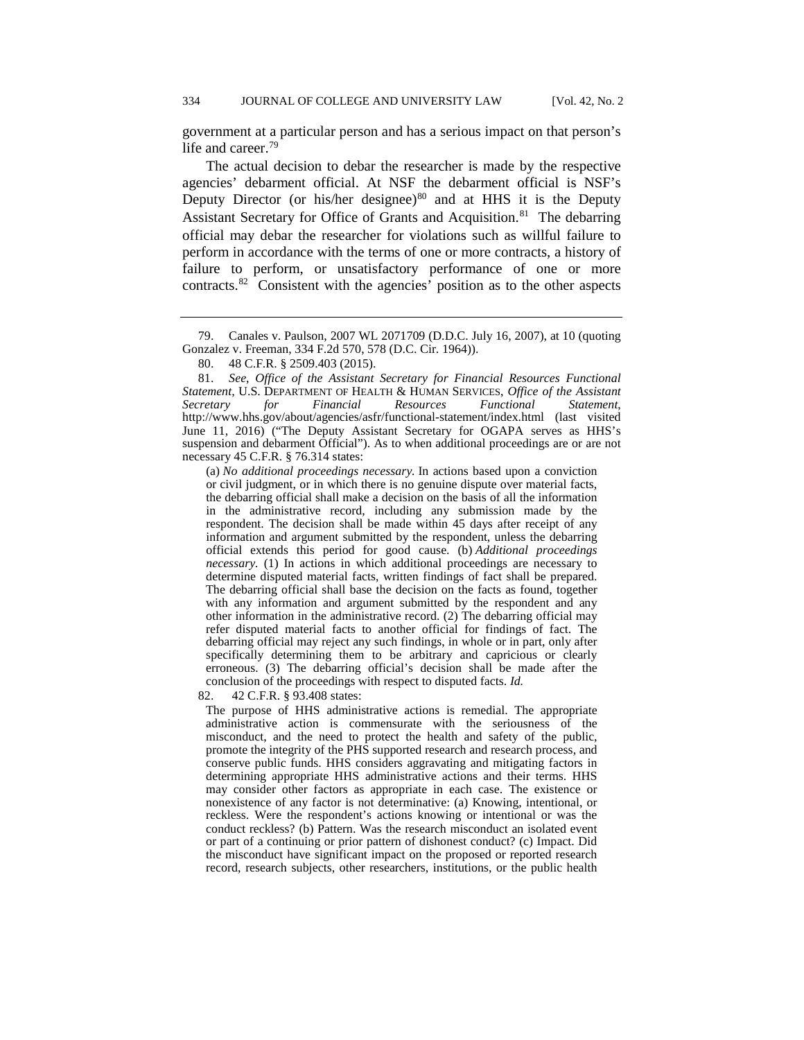government at a particular person and has a serious impact on that person's life and career.<sup>[79](#page-23-0)</sup>

The actual decision to debar the researcher is made by the respective agencies' debarment official. At NSF the debarment official is NSF's Deputy Director (or his/her designee) $80$  and at HHS it is the Deputy Assistant Secretary for Office of Grants and Acquisition.<sup>81</sup> The debarring official may debar the researcher for violations such as willful failure to perform in accordance with the terms of one or more contracts, a history of failure to perform, or unsatisfactory performance of one or more contracts. $82$  Consistent with the agencies' position as to the other aspects

<span id="page-23-2"></span><span id="page-23-1"></span>81. *See*, *Office of the Assistant Secretary for Financial Resources Functional Statement,* U.S. DEPARTMENT OF HEALTH & HUMAN SERVICES, *Office of the Assistant Secretary for Financial Resources Functional Statement*, http://www.hhs.gov/about/agencies/asfr/functional-statement/index.html (last visited June 11, 2016) ("The Deputy Assistant Secretary for OGAPA serves as HHS's suspension and debarment Official"). As to when additional proceedings are or are not necessary 45 C.F.R. § 76.314 states:

(a) *No additional proceedings necessary.* In actions based upon a conviction or civil judgment, or in which there is no genuine dispute over material facts, the debarring official shall make a decision on the basis of all the information in the administrative record, including any submission made by the respondent. The decision shall be made within 45 days after receipt of any information and argument submitted by the respondent, unless the debarring official extends this period for good cause. (b) *Additional proceedings necessary.* (1) In actions in which additional proceedings are necessary to determine disputed material facts, written findings of fact shall be prepared. The debarring official shall base the decision on the facts as found, together with any information and argument submitted by the respondent and any other information in the administrative record. (2) The debarring official may refer disputed material facts to another official for findings of fact. The debarring official may reject any such findings, in whole or in part, only after specifically determining them to be arbitrary and capricious or clearly erroneous. (3) The debarring official's decision shall be made after the conclusion of the proceedings with respect to disputed facts. *Id.*

<span id="page-23-3"></span>82. [42 C.F.R. § 93.408](https://web2.westlaw.com/find/default.wl?mt=205&db=1000547&docname=42CFRS93.408&rp=%2ffind%2fdefault.wl&findtype=L&ordoc=0363193670&tc=-1&vr=2.0&fn=_top&sv=Split&tf=-1&pbc=3AEB5BBA&rs=WLW14.10) states:

The purpose of HHS administrative actions is remedial. The appropriate administrative action is commensurate with the seriousness of the misconduct, and the need to protect the health and safety of the public, promote the integrity of the PHS supported research and research process, and conserve public funds. HHS considers aggravating and mitigating factors in determining appropriate HHS administrative actions and their terms. HHS may consider other factors as appropriate in each case. The existence or nonexistence of any factor is not determinative: (a) Knowing, intentional, or reckless. Were the respondent's actions knowing or intentional or was the conduct reckless? (b) Pattern. Was the research misconduct an isolated event or part of a continuing or prior pattern of dishonest conduct? (c) Impact. Did the misconduct have significant impact on the proposed or reported research record, research subjects, other researchers, institutions, or the public health

<span id="page-23-0"></span><sup>79.</sup> Canales v. Paulson, 2007 WL 2071709 (D.D.C. July 16, 2007), at 10 (quoting Gonzalez v. Freeman, 334 F.2d 570, 578 (D.C. Cir. 1964)).

<sup>80.</sup> 48 C.F.R. § 2509.403 (2015).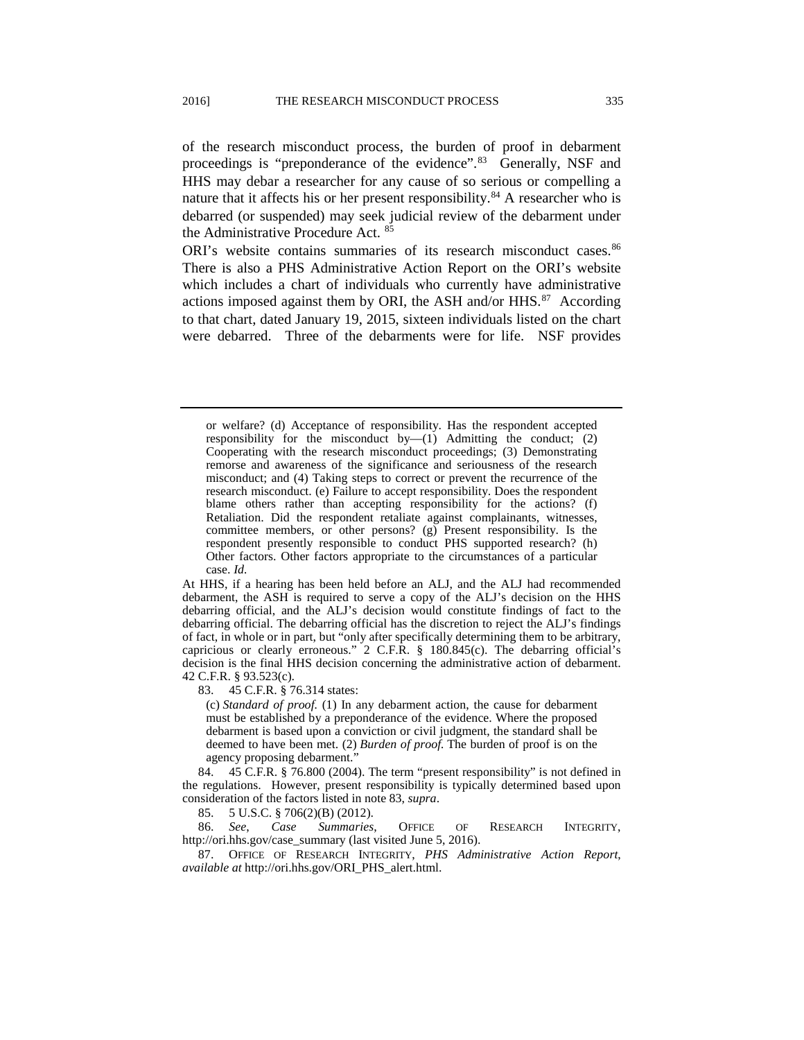of the research misconduct process, the burden of proof in debarment proceedings is "preponderance of the evidence".<sup>83</sup> Generally, NSF and HHS may debar a researcher for any cause of so serious or compelling a nature that it affects his or her present responsibility.<sup>[84](#page-24-1)</sup> A researcher who is debarred (or suspended) may seek judicial review of the debarment under the Administrative Procedure Act. [85](#page-24-2)

ORI's website contains summaries of its research misconduct cases.<sup>86</sup> There is also a PHS Administrative Action Report on the ORI's website which includes a chart of individuals who currently have administrative actions imposed against them by ORI, the ASH and/or  $HHS$ .<sup>87</sup> According to that chart, dated January 19, 2015, sixteen individuals listed on the chart were debarred. Three of the debarments were for life. NSF provides

At HHS, if a hearing has been held before an ALJ, and the ALJ had recommended debarment, the ASH is required to serve a copy of the ALJ's decision on the HHS debarring official, and the ALJ's decision would constitute findings of fact to the debarring official. The debarring official has the discretion to reject the ALJ's findings of fact, in whole or in part, but "only after specifically determining them to be arbitrary, capricious or clearly erroneous." 2 C.F.R. § 180.845(c). The debarring official's decision is the final HHS decision concerning the administrative action of debarment. 42 C.F.R. § 93.523(c).

<span id="page-24-0"></span>83. 45 C.F.R. § 76.314 states:

(c) *Standard of proof.* (1) In any debarment action, the cause for debarment must be established by a preponderance of the evidence. Where the proposed debarment is based upon a conviction or civil judgment, the standard shall be deemed to have been met. (2) *Burden of proof.* The burden of proof is on the agency proposing debarment."

<span id="page-24-1"></span>84. 45 C.F.R. § 76.800 (2004). The term "present responsibility" is not defined in the regulations. However, present responsibility is typically determined based upon consideration of the factors listed in note 83, *supra*.

85. 5 U.S.C. § 706(2)(B) (2012).

<span id="page-24-3"></span><span id="page-24-2"></span>86. *See*, *Case Summaries*, OFFICE OF RESEARCH INTEGRITY, http://ori.hhs.gov/case\_summary (last visited June 5, 2016).

<span id="page-24-4"></span>87. OFFICE OF RESEARCH INTEGRITY, *PHS Administrative Action Report*, *available at* http://ori.hhs.gov/ORI\_PHS\_alert.html.

or welfare? (d) Acceptance of responsibility. Has the respondent accepted responsibility for the misconduct by— $(1)$  Admitting the conduct;  $(2)$ Cooperating with the research misconduct proceedings; (3) Demonstrating remorse and awareness of the significance and seriousness of the research misconduct; and (4) Taking steps to correct or prevent the recurrence of the research misconduct. (e) Failure to accept responsibility. Does the respondent blame others rather than accepting responsibility for the actions? (f) Retaliation. Did the respondent retaliate against complainants, witnesses, committee members, or other persons? (g) Present responsibility. Is the respondent presently responsible to conduct PHS supported research? (h) Other factors. Other factors appropriate to the circumstances of a particular case. *Id.*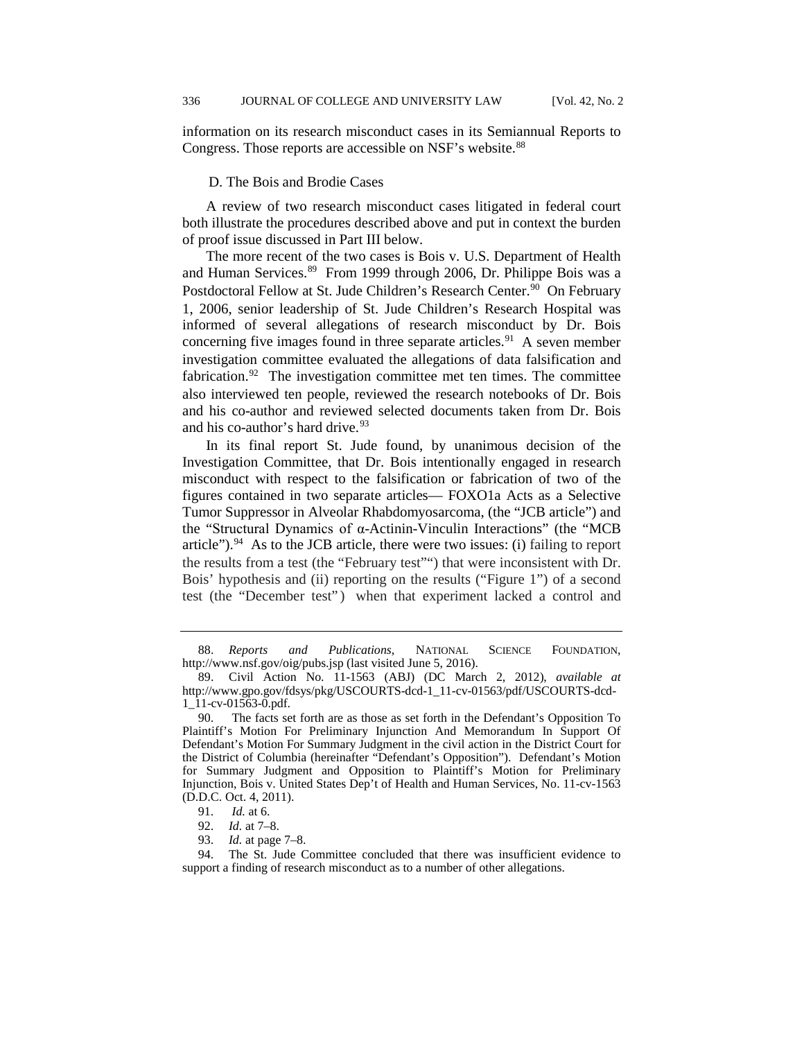information on its research misconduct cases in its Semiannual Reports to Congress. Those reports are accessible on NSF's website.<sup>[88](#page-25-0)</sup>

#### D. The Bois and Brodie Cases

A review of two research misconduct cases litigated in federal court both illustrate the procedures described above and put in context the burden of proof issue discussed in Part III below.

The more recent of the two cases is Bois v. U.S. Department of Health and Human Services.<sup>89</sup> From 1999 through 2006, Dr. Philippe Bois was a Postdoctoral Fellow at St. Jude Children's Research Center.<sup>[90](#page-25-2)</sup> On February 1, 2006, senior leadership of St. Jude Children's Research Hospital was informed of several allegations of research misconduct by Dr. Bois concerning five images found in three separate articles.<sup>91</sup> A seven member investigation committee evaluated the allegations of data falsification and fabrication.<sup>92</sup> The investigation committee met ten times. The committee also interviewed ten people, reviewed the research notebooks of Dr. Bois and his co-author and reviewed selected documents taken from Dr. Bois and his co-author's hard drive.<sup>[93](#page-25-5)</sup>

In its final report St. Jude found, by unanimous decision of the Investigation Committee, that Dr. Bois intentionally engaged in research misconduct with respect to the falsification or fabrication of two of the figures contained in two separate articles— FOXO1a Acts as a Selective Tumor Suppressor in Alveolar Rhabdomyosarcoma, (the "JCB article") and the "Structural Dynamics of α-Actinin-Vinculin Interactions" (the "MCB article"). $94$  As to the JCB article, there were two issues: (i) failing to report the results from a test (the "February test"") that were inconsistent with Dr. Bois' hypothesis and (ii) reporting on the results ("Figure 1") of a second test (the "December test") when that experiment lacked a control and

<span id="page-25-0"></span><sup>88.</sup> *Reports and Publications*, NATIONAL SCIENCE FOUNDATION, http://www.nsf.gov/oig/pubs.jsp (last visited June 5, 2016).

<span id="page-25-1"></span><sup>89.</sup> Civil Action No. 11-1563 (ABJ) (DC March 2, 2012), *available at* http://www.gpo.gov/fdsys/pkg/USCOURTS-dcd-1\_11-cv-01563/pdf/USCOURTS-dcd- $1\_11$ -cv-015 $63$ -0.pdf.

<span id="page-25-2"></span><sup>90.</sup> The facts set forth are as those as set forth in the Defendant's Opposition To Plaintiff's Motion For Preliminary Injunction And Memorandum In Support Of Defendant's Motion For Summary Judgment in the civil action in the District Court for the District of Columbia (hereinafter "Defendant's Opposition"). Defendant's Motion for Summary Judgment and Opposition to Plaintiff's Motion for Preliminary Injunction, Bois v. United States Dep't of Health and Human Services, No. 11-cv-1563 (D.D.C. Oct. 4, 2011).

<sup>91.</sup> *Id.* at 6.

<sup>92.</sup> *Id.* at 7–8.

<sup>93.</sup> *Id.* at page 7–8.

<span id="page-25-6"></span><span id="page-25-5"></span><span id="page-25-4"></span><span id="page-25-3"></span><sup>94.</sup> The St. Jude Committee concluded that there was insufficient evidence to support a finding of research misconduct as to a number of other allegations.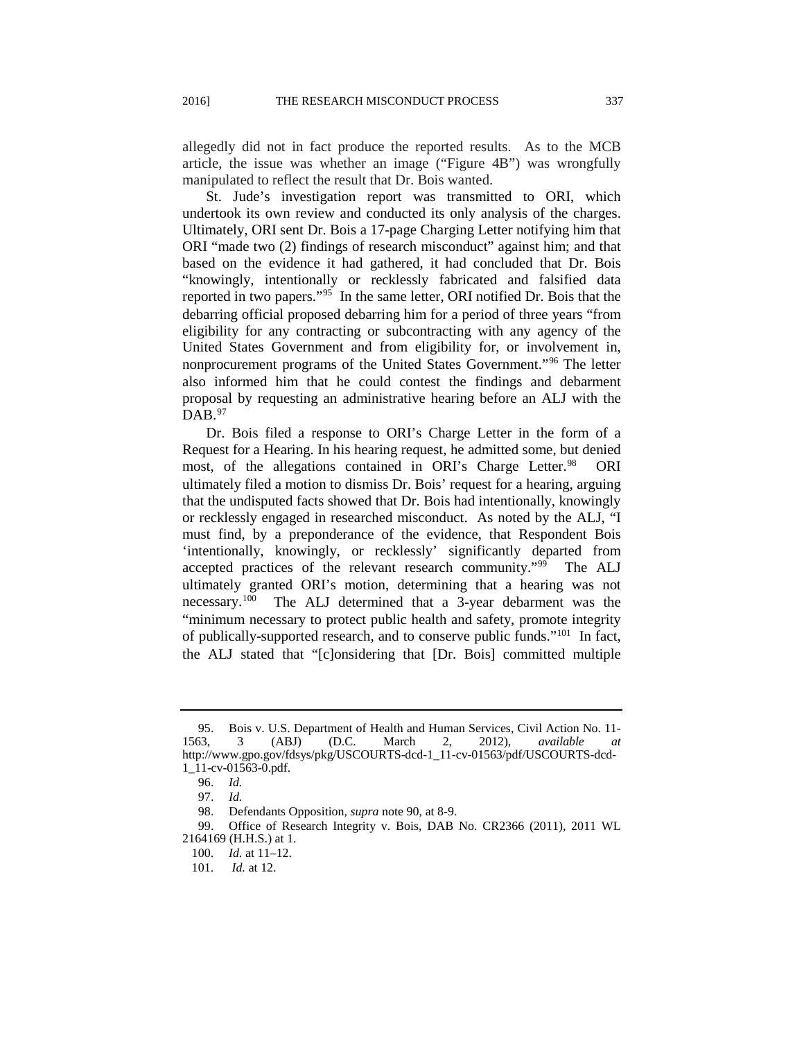allegedly did not in fact produce the reported results. As to the MCB article, the issue was whether an image ("Figure 4B") was wrongfully manipulated to reflect the result that Dr. Bois wanted.

St. Jude's investigation report was transmitted to ORI, which undertook its own review and conducted its only analysis of the charges. Ultimately, ORI sent Dr. Bois a 17-page Charging Letter notifying him that ORI "made two (2) findings of research misconduct" against him; and that based on the evidence it had gathered, it had concluded that Dr. Bois "knowingly, intentionally or recklessly fabricated and falsified data reported in two papers."<sup>[95](#page-26-0)</sup> In the same letter, ORI notified Dr. Bois that the debarring official proposed debarring him for a period of three years "from eligibility for any contracting or subcontracting with any agency of the United States Government and from eligibility for, or involvement in, nonprocurement programs of the United States Government."[96](#page-26-1) The letter also informed him that he could contest the findings and debarment proposal by requesting an administrative hearing before an ALJ with the  $DAB.<sup>97</sup>$  $DAB.<sup>97</sup>$  $DAB.<sup>97</sup>$ 

Dr. Bois filed a response to ORI's Charge Letter in the form of a Request for a Hearing. In his hearing request, he admitted some, but denied most, of the allegations contained in ORI's Charge Letter.<sup>[98](#page-26-3)</sup> ORI ultimately filed a motion to dismiss Dr. Bois' request for a hearing, arguing that the undisputed facts showed that Dr. Bois had intentionally, knowingly or recklessly engaged in researched misconduct. As noted by the ALJ, "I must find, by a preponderance of the evidence, that Respondent Bois 'intentionally, knowingly, or recklessly' significantly departed from accepted practices of the relevant research community."[99](#page-26-4) The ALJ ultimately granted ORI's motion, determining that a hearing was not necessary.[100](#page-26-5) The ALJ determined that a 3-year debarment was the "minimum necessary to protect public health and safety, promote integrity of publically-supported research, and to conserve public funds.["101](#page-26-6) In fact, the ALJ stated that "[c]onsidering that [Dr. Bois] committed multiple

<span id="page-26-0"></span><sup>95.</sup> Bois v. U.S. Department of Health and Human Services*,* Civil Action No. 11- 1563, 3 (ABJ) (D.C. March 2, 2012), *available at* http://www.gpo.gov/fdsys/pkg/USCOURTS-dcd-1\_11-cv-01563/pdf/USCOURTS-dcd-1\_11-cv-01563-0.pdf.

<sup>96.</sup> *Id.*

<sup>97.</sup> *Id.*

<sup>98.</sup> Defendants Opposition, *supra* note 90, at 8-9.

<span id="page-26-6"></span><span id="page-26-5"></span><span id="page-26-4"></span><span id="page-26-3"></span><span id="page-26-2"></span><span id="page-26-1"></span><sup>99.</sup> Office of Research Integrity v. Bois, DAB No. CR2366 (2011), 2011 WL 2164169 (H.H.S.) at 1.

<sup>100.</sup> *Id.* at 11–12.

<sup>101.</sup> *Id.* at 12.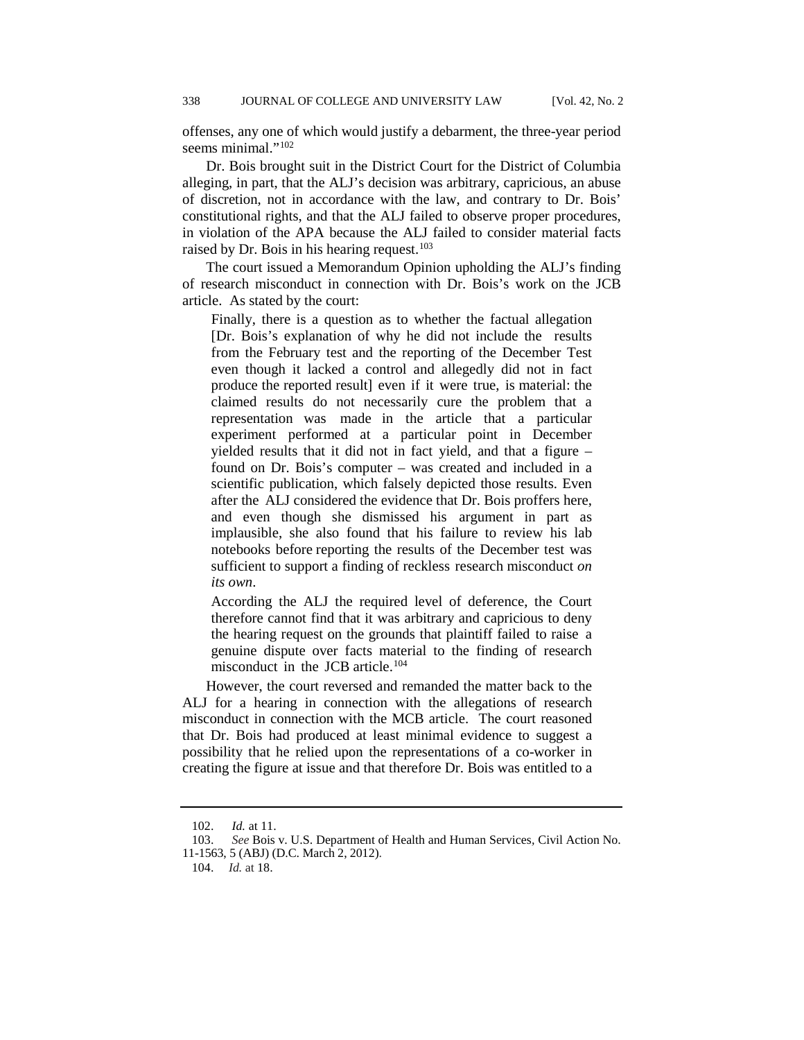offenses, any one of which would justify a debarment, the three-year period seems minimal."<sup>[102](#page-27-0)</sup>

Dr. Bois brought suit in the District Court for the District of Columbia alleging, in part, that the ALJ's decision was arbitrary, capricious, an abuse of discretion, not in accordance with the law, and contrary to Dr. Bois' constitutional rights, and that the ALJ failed to observe proper procedures, in violation of the APA because the ALJ failed to consider material facts raised by Dr. Bois in his hearing request.<sup>103</sup>

The court issued a Memorandum Opinion upholding the ALJ's finding of research misconduct in connection with Dr. Bois's work on the JCB article. As stated by the court:

Finally, there is a question as to whether the factual allegation [Dr. Bois's explanation of why he did not include the results from the February test and the reporting of the December Test even though it lacked a control and allegedly did not in fact produce the reported result] even if it were true, is material: the claimed results do not necessarily cure the problem that a representation was made in the article that a particular experiment performed at a particular point in December yielded results that it did not in fact yield, and that a figure – found on Dr. Bois's computer – was created and included in a scientific publication, which falsely depicted those results. Even after the ALJ considered the evidence that Dr. Bois proffers here, and even though she dismissed his argument in part as implausible, she also found that his failure to review his lab notebooks before reporting the results of the December test was sufficient to support a finding of reckless research misconduct *on its own*.

According the ALJ the required level of deference, the Court therefore cannot find that it was arbitrary and capricious to deny the hearing request on the grounds that plaintiff failed to raise a genuine dispute over facts material to the finding of research misconduct in the JCB article.[104](#page-27-2)

However, the court reversed and remanded the matter back to the ALJ for a hearing in connection with the allegations of research misconduct in connection with the MCB article. The court reasoned that Dr. Bois had produced at least minimal evidence to suggest a possibility that he relied upon the representations of a co-worker in creating the figure at issue and that therefore Dr. Bois was entitled to a

<sup>102.</sup> *Id.* at 11.

<span id="page-27-2"></span><span id="page-27-1"></span><span id="page-27-0"></span><sup>103.</sup> *See* Bois v. U.S. Department of Health and Human Services*,* Civil Action No. 11-1563, 5 (ABJ) (D.C. March 2, 2012).

<sup>104.</sup> *Id.* at 18.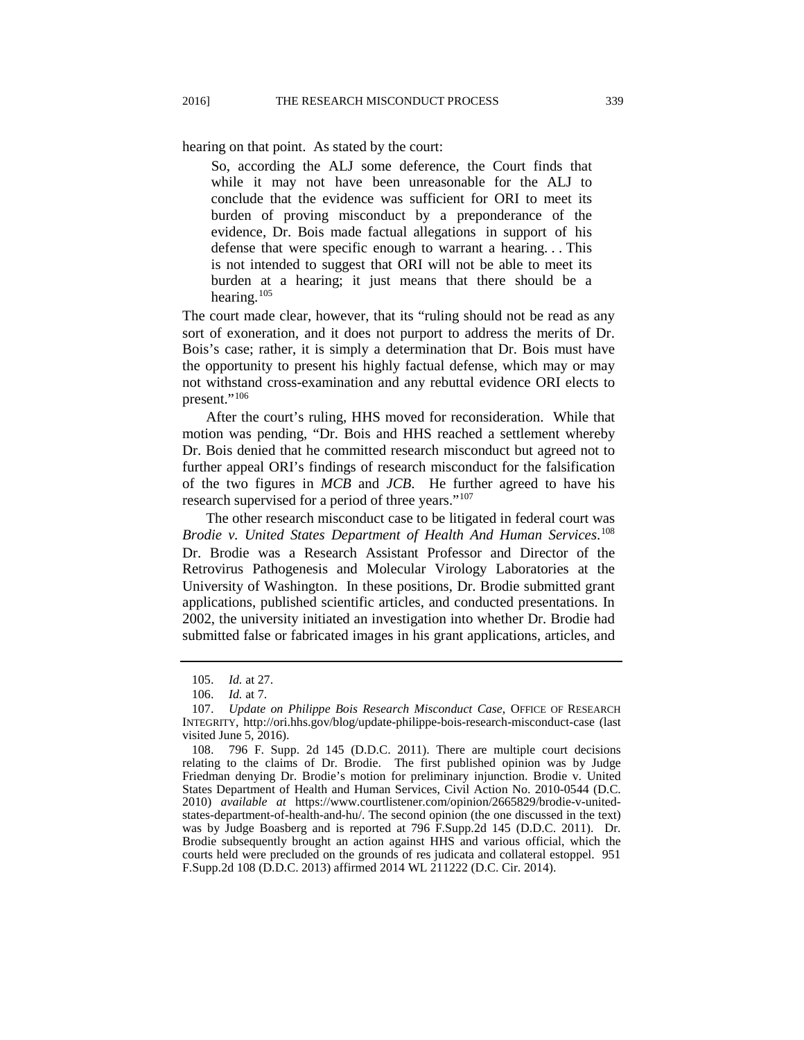hearing on that point. As stated by the court:

So, according the ALJ some deference, the Court finds that while it may not have been unreasonable for the ALJ to conclude that the evidence was sufficient for ORI to meet its burden of proving misconduct by a preponderance of the evidence, Dr. Bois made factual allegations in support of his defense that were specific enough to warrant a hearing. . . This is not intended to suggest that ORI will not be able to meet its burden at a hearing; it just means that there should be a hearing.<sup>[105](#page-28-0)</sup>

The court made clear, however, that its "ruling should not be read as any sort of exoneration, and it does not purport to address the merits of Dr. Bois's case; rather, it is simply a determination that Dr. Bois must have the opportunity to present his highly factual defense, which may or may not withstand cross-examination and any rebuttal evidence ORI elects to present."<sup>[106](#page-28-1)</sup>

After the court's ruling, HHS moved for reconsideration. While that motion was pending, "Dr. Bois and HHS reached a settlement whereby Dr. Bois denied that he committed research misconduct but agreed not to further appeal ORI's findings of research misconduct for the falsification of the two figures in *MCB* and *JCB*. He further agreed to have his research supervised for a period of three years."<sup>107</sup>

The other research misconduct case to be litigated in federal court was *Brodie v. United States Department of Health And Human Services*. [108](#page-28-3) Dr. Brodie was a Research Assistant Professor and Director of the Retrovirus Pathogenesis and Molecular Virology Laboratories at the University of Washington. In these positions, Dr. Brodie submitted grant applications, published scientific articles, and conducted presentations. In 2002, the university initiated an investigation into whether Dr. Brodie had submitted false or fabricated images in his grant applications, articles, and

<sup>105.</sup> *Id.* at 27.

<sup>106.</sup> *Id.* at 7.

<span id="page-28-2"></span><span id="page-28-1"></span><span id="page-28-0"></span><sup>107.</sup> *Update on Philippe Bois Research Misconduct Case*, OFFICE OF RESEARCH INTEGRITY, http://ori.hhs.gov/blog/update-philippe-bois-research-misconduct-case (last visited June 5, 2016).

<span id="page-28-3"></span><sup>108.</sup> 796 F. Supp. 2d 145 (D.D.C. 2011). There are multiple court decisions relating to the claims of Dr. Brodie. The first published opinion was by Judge Friedman denying Dr. Brodie's motion for preliminary injunction. Brodie v. United States Department of Health and Human Services, Civil Action No. 2010-0544 (D.C. 2010) *available at* https://www.courtlistener.com/opinion/2665829/brodie-v-unitedstates-department-of-health-and-hu/. The second opinion (the one discussed in the text) was by Judge Boasberg and is reported at 796 F.Supp.2d 145 (D.D.C. 2011). Dr. Brodie subsequently brought an action against HHS and various official, which the courts held were precluded on the grounds of res judicata and collateral estoppel. 951 F.Supp.2d 108 (D.D.C. 2013) affirmed 2014 WL 211222 (D.C. Cir. 2014).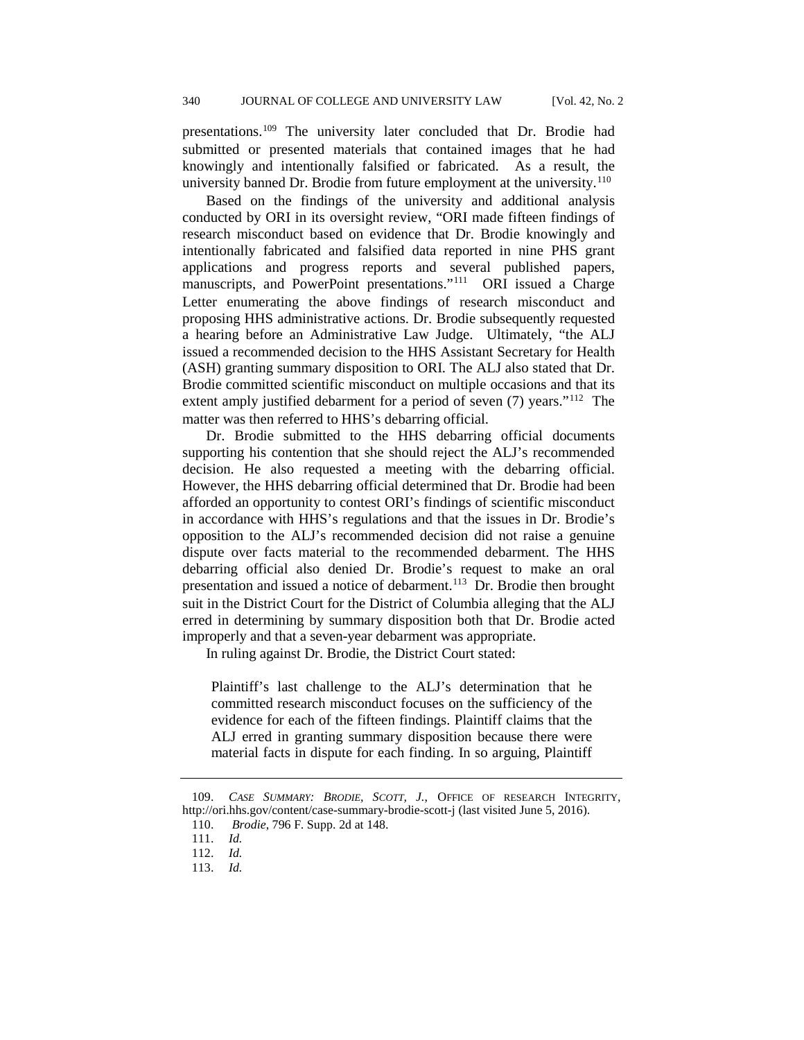presentations.[109](#page-29-0) The university later concluded that Dr. Brodie had submitted or presented materials that contained images that he had knowingly and intentionally falsified or fabricated. As a result, the university banned Dr. Brodie from future employment at the university.<sup>[110](#page-29-1)</sup>

Based on the findings of the university and additional analysis conducted by ORI in its oversight review, "ORI made fifteen findings of research misconduct based on evidence that Dr. Brodie knowingly and intentionally fabricated and falsified data reported in nine PHS grant applications and progress reports and several published papers, manuscripts, and PowerPoint presentations."[111](#page-29-2) ORI issued a Charge Letter enumerating the above findings of research misconduct and proposing HHS administrative actions. Dr. Brodie subsequently requested a hearing before an Administrative Law Judge. Ultimately, "the ALJ issued a recommended decision to the HHS Assistant Secretary for Health (ASH) granting summary disposition to ORI. The ALJ also stated that Dr. Brodie committed scientific misconduct on multiple occasions and that its extent amply justified debarment for a period of seven (7) years."<sup>[112](#page-29-3)</sup> The matter was then referred to HHS's debarring official.

Dr. Brodie submitted to the HHS debarring official documents supporting his contention that she should reject the ALJ's recommended decision. He also requested a meeting with the debarring official. However, the HHS debarring official determined that Dr. Brodie had been afforded an opportunity to contest ORI's findings of scientific misconduct in accordance with HHS's regulations and that the issues in Dr. Brodie's opposition to the ALJ's recommended decision did not raise a genuine dispute over facts material to the recommended debarment. The HHS debarring official also denied Dr. Brodie's request to make an oral presentation and issued a notice of debarment.<sup>113</sup> Dr. Brodie then brought suit in the District Court for the District of Columbia alleging that the ALJ erred in determining by summary disposition both that Dr. Brodie acted improperly and that a seven-year debarment was appropriate.

In ruling against Dr. Brodie, the District Court stated:

Plaintiff's last challenge to the ALJ's determination that he committed research misconduct focuses on the sufficiency of the evidence for each of the fifteen findings. Plaintiff claims that the ALJ erred in granting summary disposition because there were material facts in dispute for each finding. In so arguing, Plaintiff

<span id="page-29-4"></span>113. *Id.*

<span id="page-29-3"></span><span id="page-29-2"></span><span id="page-29-1"></span><span id="page-29-0"></span><sup>109.</sup> *CASE SUMMARY: BRODIE, SCOTT, J.*, OFFICE OF RESEARCH INTEGRITY, http://ori.hhs.gov/content/case-summary-brodie-scott-j (last visited June 5, 2016).

<sup>110.</sup> *Brodie*, 796 F. Supp. 2d at 148.

<sup>111.</sup> *Id.*

<sup>112.</sup> *Id.*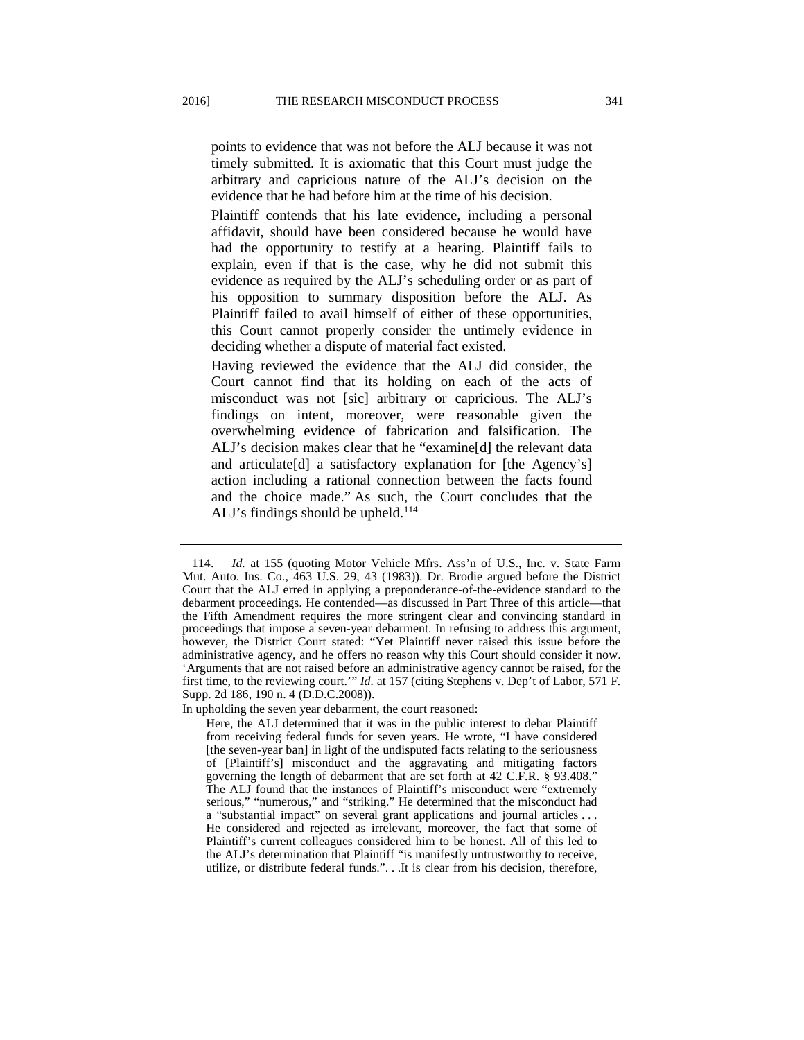points to evidence that was not before the ALJ because it was not timely submitted. It is axiomatic that this Court must judge the arbitrary and capricious nature of the ALJ's decision on the evidence that he had before him at the time of his decision.

Plaintiff contends that his late evidence, including a personal affidavit, should have been considered because he would have had the opportunity to testify at a hearing. Plaintiff fails to explain, even if that is the case, why he did not submit this evidence as required by the ALJ's scheduling order or as part of his opposition to summary disposition before the ALJ. As Plaintiff failed to avail himself of either of these opportunities, this Court cannot properly consider the untimely evidence in deciding whether a dispute of material fact existed.

Having reviewed the evidence that the ALJ did consider, the Court cannot find that its holding on each of the acts of misconduct was not [sic] arbitrary or capricious. The ALJ's findings on intent, moreover, were reasonable given the overwhelming evidence of fabrication and falsification. The ALJ's decision makes clear that he "examine[d] the relevant data and articulate[d] a satisfactory explanation for [the Agency's] action including a rational connection between the facts found and the choice made." As such, the Court concludes that the ALJ's findings should be upheld.<sup>[114](#page-30-0)</sup>

In upholding the seven year debarment, the court reasoned:

<span id="page-30-0"></span><sup>114.</sup> *Id.* at 155 (quoting Motor Vehicle Mfrs. Ass'n of U.S., Inc. v. State Farm Mut. Auto. Ins. Co., 463 U.S. 29, 43 (1983)). Dr. Brodie argued before the District Court that the ALJ erred in applying a preponderance-of-the-evidence standard to the debarment proceedings. He contended—as discussed in Part Three of this article—that the Fifth Amendment requires the more stringent clear and convincing standard in proceedings that impose a seven-year debarment. In refusing to address this argument, however, the District Court stated: "Yet Plaintiff never raised this issue before the administrative agency, and he offers no reason why this Court should consider it now. 'Arguments that are not raised before an administrative agency cannot be raised, for the first time, to the reviewing court.'" *Id.* at 157 (citing Stephens v. Dep't of Labor, 571 F. Supp. 2d 186, 190 n. 4 (D.D.C.2008)).

Here, the ALJ determined that it was in the public interest to debar Plaintiff from receiving federal funds for seven years. He wrote, "I have considered [the seven-year ban] in light of the undisputed facts relating to the seriousness of [Plaintiff's] misconduct and the aggravating and mitigating factors governing the length of debarment that are set forth at 42 C.F.R. § 93.408." The ALJ found that the instances of Plaintiff's misconduct were "extremely serious," "numerous," and "striking." He determined that the misconduct had a "substantial impact" on several grant applications and journal articles . . . He considered and rejected as irrelevant, moreover, the fact that some of Plaintiff's current colleagues considered him to be honest. All of this led to the ALJ's determination that Plaintiff "is manifestly untrustworthy to receive, utilize, or distribute federal funds.". . .It is clear from his decision, therefore,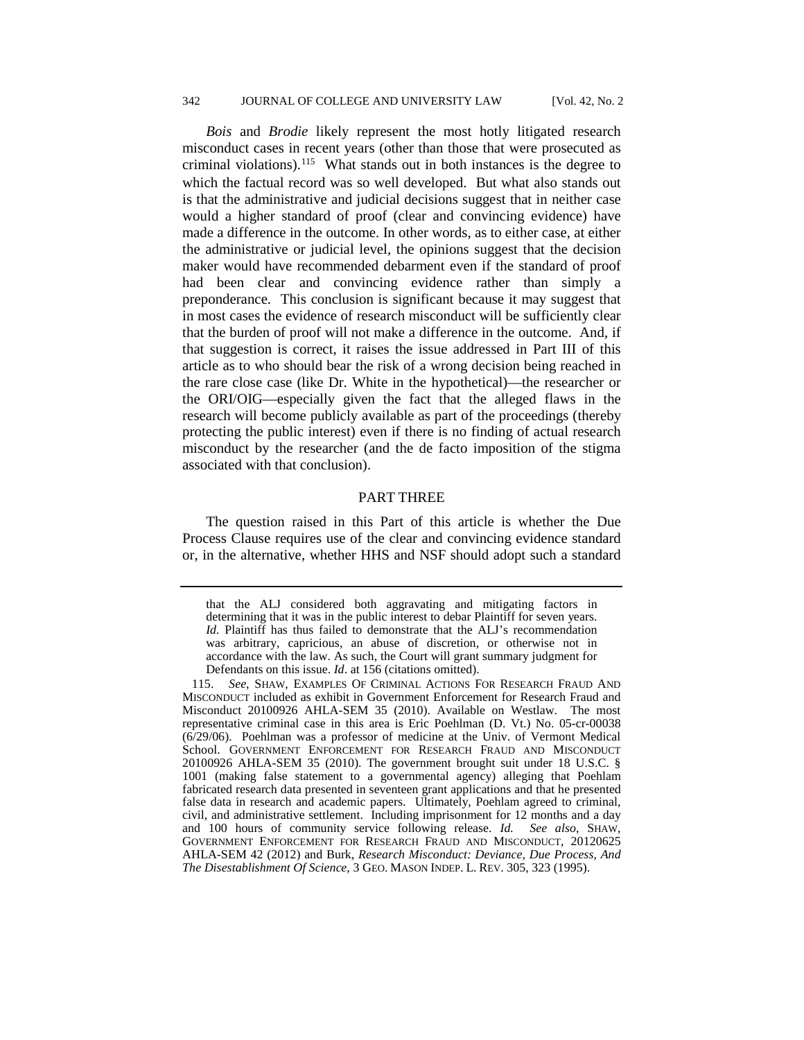*Bois* and *Brodie* likely represent the most hotly litigated research misconduct cases in recent years (other than those that were prosecuted as criminal violations).<sup>[115](#page-31-0)</sup> What stands out in both instances is the degree to which the factual record was so well developed. But what also stands out is that the administrative and judicial decisions suggest that in neither case would a higher standard of proof (clear and convincing evidence) have made a difference in the outcome. In other words, as to either case, at either the administrative or judicial level, the opinions suggest that the decision maker would have recommended debarment even if the standard of proof had been clear and convincing evidence rather than simply a preponderance. This conclusion is significant because it may suggest that in most cases the evidence of research misconduct will be sufficiently clear that the burden of proof will not make a difference in the outcome. And, if that suggestion is correct, it raises the issue addressed in Part III of this article as to who should bear the risk of a wrong decision being reached in the rare close case (like Dr. White in the hypothetical)—the researcher or the ORI/OIG—especially given the fact that the alleged flaws in the research will become publicly available as part of the proceedings (thereby protecting the public interest) even if there is no finding of actual research misconduct by the researcher (and the de facto imposition of the stigma associated with that conclusion).

## PART THREE

The question raised in this Part of this article is whether the Due Process Clause requires use of the clear and convincing evidence standard or, in the alternative, whether HHS and NSF should adopt such a standard

that the ALJ considered both aggravating and mitigating factors in determining that it was in the public interest to debar Plaintiff for seven years. *Id.* Plaintiff has thus failed to demonstrate that the ALJ's recommendation was arbitrary, capricious, an abuse of discretion, or otherwise not in accordance with the law. As such, the Court will grant summary judgment for Defendants on this issue. *Id*. at 156 (citations omitted).

<span id="page-31-0"></span><sup>115.</sup> *See*, SHAW, EXAMPLES OF CRIMINAL ACTIONS FOR RESEARCH FRAUD AND MISCONDUCT included as exhibit in Government Enforcement for Research Fraud and Misconduct 20100926 AHLA-SEM 35 (2010). Available on Westlaw. The most representative criminal case in this area is Eric Poehlman (D. Vt.) No. 05-cr-00038 (6/29/06). Poehlman was a professor of medicine at the Univ. of Vermont Medical School. GOVERNMENT ENFORCEMENT FOR RESEARCH FRAUD AND MISCONDUCT 20100926 AHLA-SEM 35 (2010). The government brought suit under 18 U.S.C. § 1001 (making false statement to a governmental agency) alleging that Poehlam fabricated research data presented in seventeen grant applications and that he presented false data in research and academic papers. Ultimately, Poehlam agreed to criminal, civil, and administrative settlement. Including imprisonment for 12 months and a day and 100 hours of community service following release. *Id. See also*, SHAW, GOVERNMENT ENFORCEMENT FOR RESEARCH FRAUD AND MISCONDUCT, 20120625 AHLA-SEM 42 (2012) and Burk, *Research Misconduct: Deviance, Due Process, And The Disestablishment Of Science*, 3 GEO. MASON INDEP. L. REV. 305, 323 (1995).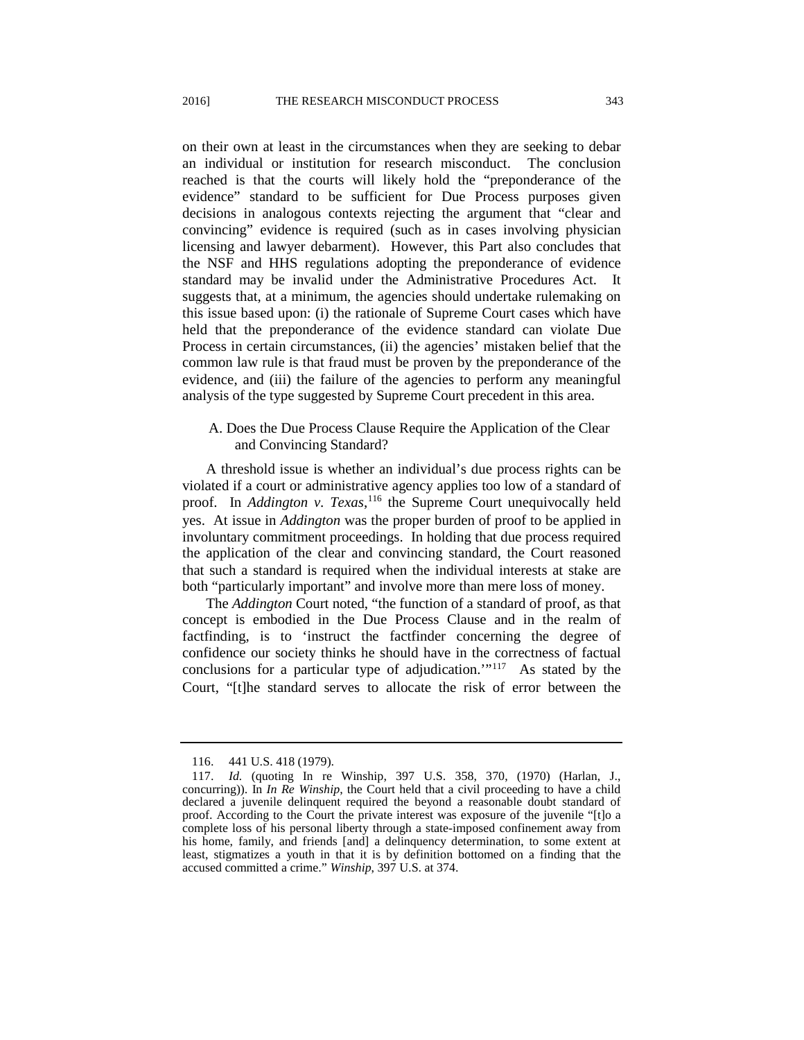on their own at least in the circumstances when they are seeking to debar an individual or institution for research misconduct. The conclusion reached is that the courts will likely hold the "preponderance of the evidence" standard to be sufficient for Due Process purposes given decisions in analogous contexts rejecting the argument that "clear and convincing" evidence is required (such as in cases involving physician licensing and lawyer debarment). However, this Part also concludes that the NSF and HHS regulations adopting the preponderance of evidence standard may be invalid under the Administrative Procedures Act. It suggests that, at a minimum, the agencies should undertake rulemaking on this issue based upon: (i) the rationale of Supreme Court cases which have held that the preponderance of the evidence standard can violate Due Process in certain circumstances, (ii) the agencies' mistaken belief that the common law rule is that fraud must be proven by the preponderance of the evidence, and (iii) the failure of the agencies to perform any meaningful analysis of the type suggested by Supreme Court precedent in this area.

A. Does the Due Process Clause Require the Application of the Clear and Convincing Standard?

A threshold issue is whether an individual's due process rights can be violated if a court or administrative agency applies too low of a standard of proof. In *Addington v. Texas*,<sup>[116](#page-32-0)</sup> the Supreme Court unequivocally held yes. At issue in *Addington* was the proper burden of proof to be applied in involuntary commitment proceedings. In holding that due process required the application of the clear and convincing standard, the Court reasoned that such a standard is required when the individual interests at stake are both "particularly important" and involve more than mere loss of money.

The *Addington* Court noted, "the function of a standard of proof, as that concept is embodied in the Due Process Clause and in the realm of factfinding, is to 'instruct the factfinder concerning the degree of confidence our society thinks he should have in the correctness of factual conclusions for a particular type of adjudication.'"[117](#page-32-1) As stated by the Court, "[t]he standard serves to allocate the risk of error between the

<sup>116.</sup> 441 U.S. 418 (1979).

<span id="page-32-1"></span><span id="page-32-0"></span><sup>117.</sup> *Id.* (quoting In re Winship, 397 U.S. 358, 370, (1970) (Harlan, J., concurring)). In *In Re Winship*, the Court held that a civil proceeding to have a child declared a juvenile delinquent required the beyond a reasonable doubt standard of proof. According to the Court the private interest was exposure of the juvenile "[t]o a complete loss of his personal liberty through a state-imposed confinement away from his home, family, and friends [and] a delinquency determination, to some extent at least, stigmatizes a youth in that it is by definition bottomed on a finding that the accused committed a crime." *Winship*, 397 U.S. at 374.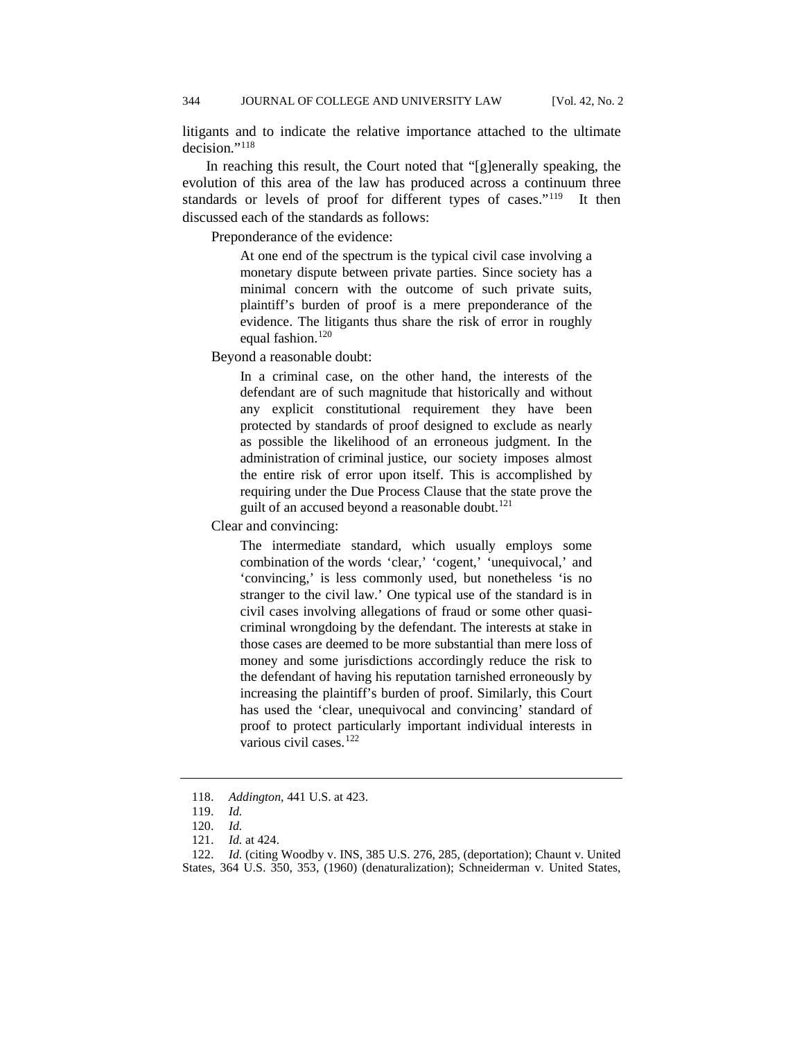litigants and to indicate the relative importance attached to the ultimate decision."[118](#page-33-0)

In reaching this result, the Court noted that "[g]enerally speaking, the evolution of this area of the law has produced across a continuum three standards or levels of proof for different types of cases."<sup>119</sup> It then discussed each of the standards as follows:

Preponderance of the evidence:

At one end of the spectrum is the typical civil case involving a monetary dispute between private parties. Since society has a minimal concern with the outcome of such private suits, plaintiff's burden of proof is a mere preponderance of the evidence. The litigants thus share the risk of error in roughly equal fashion.<sup>[120](#page-33-2)</sup>

Beyond a reasonable doubt:

In a criminal case, on the other hand, the interests of the defendant are of such magnitude that historically and without any explicit constitutional requirement they have been protected by standards of proof designed to exclude as nearly as possible the likelihood of an erroneous judgment. In the administration of criminal justice, our society imposes almost the entire risk of error upon itself. This is accomplished by requiring under the Due Process Clause that the state prove the guilt of an accused beyond a reasonable doubt. $121$ 

Clear and convincing:

The intermediate standard, which usually employs some combination of the words 'clear,' 'cogent,' 'unequivocal,' and 'convincing,' is less commonly used, but nonetheless 'is no stranger to the civil law.' One typical use of the standard is in civil cases involving allegations of fraud or some other quasicriminal wrongdoing by the defendant. The interests at stake in those cases are deemed to be more substantial than mere loss of money and some jurisdictions accordingly reduce the risk to the defendant of having his reputation tarnished erroneously by increasing the plaintiff's burden of proof. Similarly, this Court has used the 'clear, unequivocal and convincing' standard of proof to protect particularly important individual interests in various civil cases. $122$ 

<span id="page-33-0"></span><sup>118.</sup> *Addington*, 441 U.S. at 423.

<sup>119.</sup> *Id.*

<sup>120.</sup> *Id.*

<sup>121.</sup> *Id.* at 424.

<span id="page-33-4"></span><span id="page-33-3"></span><span id="page-33-2"></span><span id="page-33-1"></span><sup>122.</sup> *Id.* (citing Woodby v. INS, 385 U.S. 276, 285, (deportation); Chaunt v. United States, 364 U.S. 350, 353, (1960) (denaturalization); Schneiderman v. United States,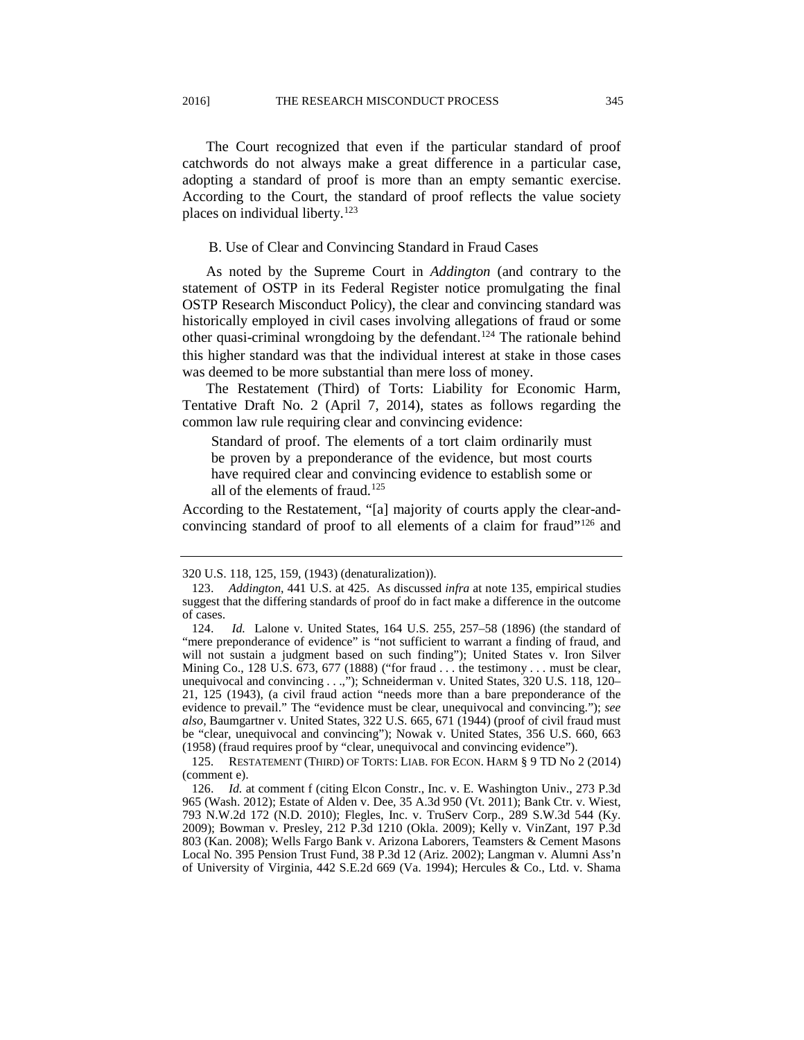The Court recognized that even if the particular standard of proof catchwords do not always make a great difference in a particular case, adopting a standard of proof is more than an empty semantic exercise. According to the Court, the standard of proof reflects the value society places on individual liberty.<sup>[123](#page-34-0)</sup>

#### B. Use of Clear and Convincing Standard in Fraud Cases

As noted by the Supreme Court in *Addington* (and contrary to the statement of OSTP in its Federal Register notice promulgating the final OSTP Research Misconduct Policy), the clear and convincing standard was historically employed in civil cases involving allegations of fraud or some other quasi-criminal wrongdoing by the defendant.<sup>[124](#page-34-1)</sup> The rationale behind this higher standard was that the individual interest at stake in those cases was deemed to be more substantial than mere loss of money.

The Restatement (Third) of Torts: Liability for Economic Harm, Tentative Draft No. 2 (April 7, 2014), states as follows regarding the common law rule requiring clear and convincing evidence:

Standard of proof. The elements of a tort claim ordinarily must be proven by a preponderance of the evidence, but most courts have required clear and convincing evidence to establish some or all of the elements of fraud.[125](#page-34-2)

According to the Restatement, "[a] majority of courts apply the clear-andconvincing standard of proof to all elements of a claim for fraud"[126](#page-34-3) and

<sup>320</sup> U.S. 118, 125, 159, (1943) (denaturalization)).

<span id="page-34-0"></span><sup>123.</sup> *Addington*, 441 U.S. at 425. As discussed *infra* at note 135, empirical studies suggest that the differing standards of proof do in fact make a difference in the outcome of cases.

<span id="page-34-1"></span><sup>124.</sup> *Id.* Lalone v. United States, 164 U.S. 255, 257–58 (1896) (the standard of "mere preponderance of evidence" is "not sufficient to warrant a finding of fraud, and will not sustain a judgment based on such finding"); United States v. Iron Silver Mining Co., 128 U.S. 673, 677 (1888) ("for fraud . . . the testimony . . . must be clear, unequivocal and convincing . . .,"); Schneiderman v. United States, 320 U.S. 118, 120– 21, 125 (1943), (a civil fraud action "needs more than a bare preponderance of the evidence to prevail." The "evidence must be clear, unequivocal and convincing."); *see also,* Baumgartner v. United States, 322 U.S. 665, 671 (1944) (proof of civil fraud must be "clear, unequivocal and convincing"); Nowak v. United States, 356 U.S. 660, 663 (1958) (fraud requires proof by "clear, unequivocal and convincing evidence").

<span id="page-34-2"></span><sup>125.</sup> RESTATEMENT (THIRD) OF TORTS: LIAB. FOR ECON. HARM § 9 TD No 2 (2014) (comment e).

<span id="page-34-3"></span><sup>126.</sup> *Id.* at comment f (citing Elcon Constr., Inc. v. E. Washington Univ., 273 P.3d 965 (Wash. 2012); Estate of Alden v. Dee, 35 A.3d 950 (Vt. 2011); Bank Ctr. v. Wiest, 793 N.W.2d 172 (N.D. 2010); Flegles, Inc. v. TruServ Corp., 289 S.W.3d 544 (Ky. 2009); Bowman v. Presley, 212 P.3d 1210 (Okla. 2009); Kelly v. VinZant, 197 P.3d 803 (Kan. 2008); Wells Fargo Bank v. Arizona Laborers, Teamsters & Cement Masons Local No. 395 Pension Trust Fund, 38 P.3d 12 (Ariz. 2002); Langman v. Alumni Ass'n of University of Virginia, 442 S.E.2d 669 (Va. 1994); Hercules & Co., Ltd. v. Shama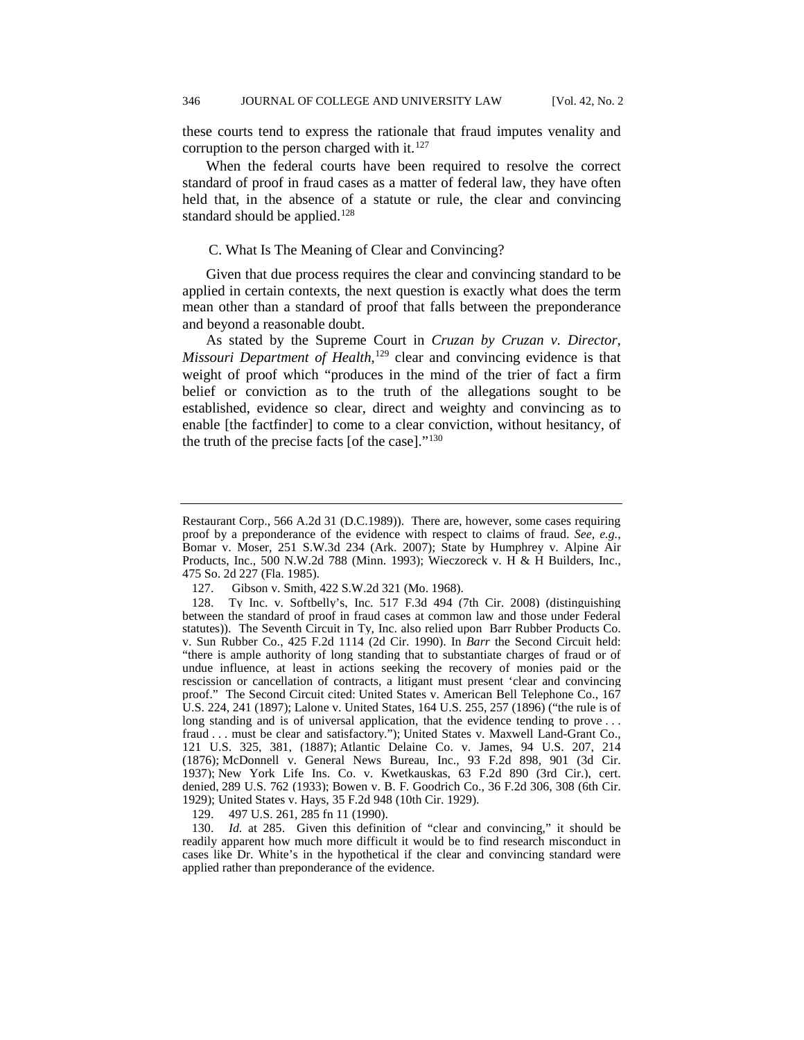these courts tend to express the rationale that fraud imputes venality and corruption to the person charged with it. $127$ 

When the federal courts have been required to resolve the correct standard of proof in fraud cases as a matter of federal law, they have often held that, in the absence of a statute or rule, the clear and convincing standard should be applied.<sup>[128](#page-35-1)</sup>

#### C. What Is The Meaning of Clear and Convincing?

Given that due process requires the clear and convincing standard to be applied in certain contexts, the next question is exactly what does the term mean other than a standard of proof that falls between the preponderance and beyond a reasonable doubt.

As stated by the Supreme Court in *Cruzan by Cruzan v. Director, Missouri Department of Health*, [129](#page-35-2) clear and convincing evidence is that weight of proof which "produces in the mind of the trier of fact a firm belief or conviction as to the truth of the allegations sought to be established, evidence so clear, direct and weighty and convincing as to enable [the factfinder] to come to a clear conviction, without hesitancy, of the truth of the precise facts [of the case]."[130](#page-35-3)

129. 497 U.S. 261, 285 fn 11 (1990).

<span id="page-35-3"></span><span id="page-35-2"></span>130. *Id.* at 285. Given this definition of "clear and convincing," it should be readily apparent how much more difficult it would be to find research misconduct in cases like Dr. White's in the hypothetical if the clear and convincing standard were applied rather than preponderance of the evidence.

Restaurant Corp., 566 A.2d 31 (D.C.1989)). There are, however, some cases requiring proof by a preponderance of the evidence with respect to claims of fraud. *See, e.g.*, Bomar v. Moser, 251 S.W.3d 234 (Ark. 2007); State by Humphrey v. Alpine Air Products, Inc., 500 N.W.2d 788 (Minn. 1993); Wieczoreck v. H & H Builders, Inc., 475 So. 2d 227 (Fla. 1985).

<span id="page-35-1"></span><span id="page-35-0"></span><sup>127.</sup> Gibson v. Smith, 422 S.W.2d 321 (Mo. 1968).<br>128. Ty Inc. v. Softbelly's, Inc. 517 F.3d 494 ( Ty Inc. v. Softbelly's, Inc.  $517$  F.3d 494 (7th Cir. 2008) (distinguishing between the standard of proof in fraud cases at common law and those under Federal statutes)). The Seventh Circuit in Ty, Inc. also relied upon Barr Rubber Products Co. v. Sun Rubber Co., 425 F.2d 1114 (2d Cir. 1990). In *Barr* the Second Circuit held: "there is ample authority of long standing that to substantiate charges of fraud or of undue influence, at least in actions seeking the recovery of monies paid or the rescission or cancellation of contracts, a litigant must present 'clear and convincing proof." The Second Circuit cited: United States v. American Bell Telephone Co., 167 U.S. 224, 241 (1897); Lalone v. United States, 164 U.S. 255, 257 (1896) ("the rule is of long standing and is of universal application, that the evidence tending to prove ... fraud . . . must be clear and satisfactory."); United States v. Maxwell Land-Grant Co., 121 U.S. 325, 381, (1887); Atlantic Delaine Co. v. James, 94 U.S. 207, 214 (1876); McDonnell v. General News Bureau, Inc., 93 F.2d 898, 901 (3d Cir. 1937); New York Life Ins. Co. v. Kwetkauskas, 63 F.2d 890 (3rd Cir.), cert. denied, 289 U.S. 762 (1933); Bowen v. B. F. Goodrich Co., 36 F.2d 306, 308 (6th Cir. 1929); United States v. Hays, 35 F.2d 948 (10th Cir. 1929).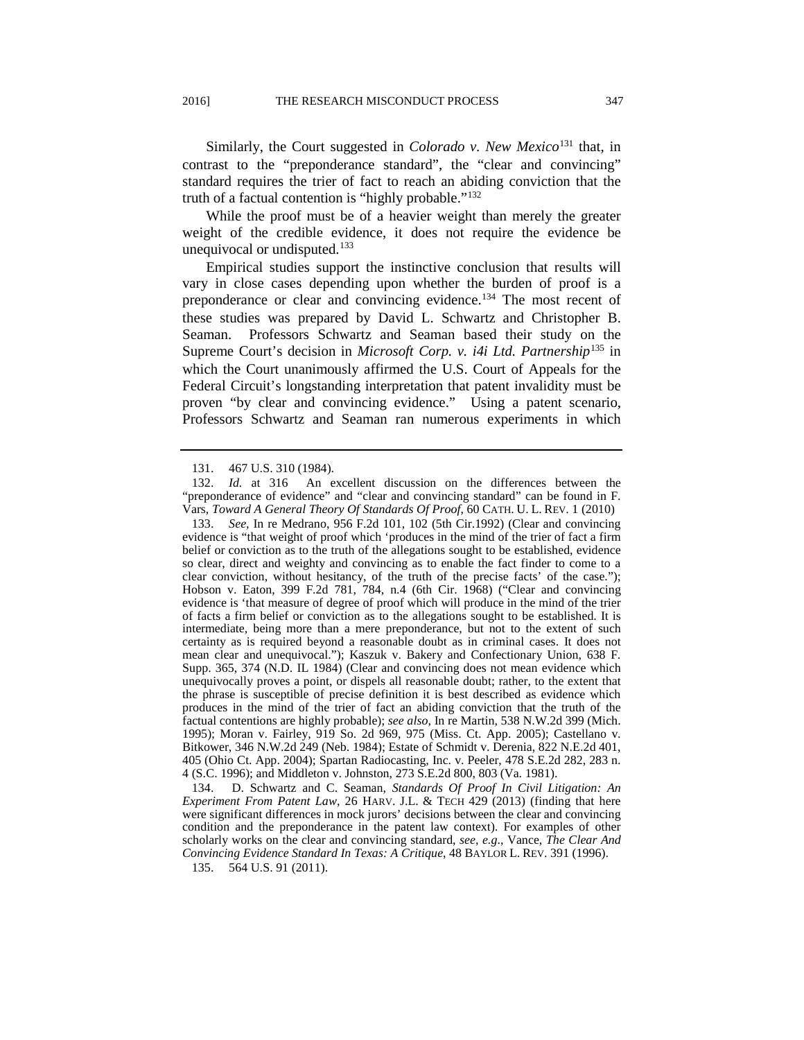Similarly, the Court suggested in *Colorado v. New Mexico*<sup>[131](#page-36-0)</sup> that, in contrast to the "preponderance standard", the "clear and convincing" standard requires the trier of fact to reach an abiding conviction that the truth of a factual contention is "highly probable."[132](#page-36-1)

While the proof must be of a heavier weight than merely the greater weight of the credible evidence, it does not require the evidence be unequivocal or undisputed.<sup>[133](#page-36-2)</sup>

Empirical studies support the instinctive conclusion that results will vary in close cases depending upon whether the burden of proof is a preponderance or clear and convincing evidence.[134](#page-36-3) The most recent of these studies was prepared by David L. Schwartz and Christopher B. Seaman. Professors Schwartz and Seaman based their study on the Supreme Court's decision in *Microsoft Corp. v. i4i Ltd. Partnership*[135](#page-36-4) in which the Court unanimously affirmed the U.S. Court of Appeals for the Federal Circuit's longstanding interpretation that patent invalidity must be proven "by clear and convincing evidence." Using a patent scenario, Professors Schwartz and Seaman ran numerous experiments in which

<span id="page-36-2"></span>133. *See,* In re Medrano, 956 F.2d 101, 102 (5th Cir.1992) (Clear and convincing evidence is "that weight of proof which 'produces in the mind of the trier of fact a firm belief or conviction as to the truth of the allegations sought to be established, evidence so clear, direct and weighty and convincing as to enable the fact finder to come to a clear conviction, without hesitancy, of the truth of the precise facts' of the case."); Hobson v. Eaton, 399 F.2d 781, 784, n.4 (6th Cir. 1968) ("Clear and convincing evidence is 'that measure of degree of proof which will produce in the mind of the trier of facts a firm belief or conviction as to the allegations sought to be established. It is intermediate, being more than a mere preponderance, but not to the extent of such certainty as is required beyond a reasonable doubt as in criminal cases. It does not mean clear and unequivocal."); [Kaszuk v. Bakery and Confectionary Union, 638 F.](http://web2.westlaw.com/find/default.wl?mt=205&db=345&tc=-1&rp=%2ffind%2fdefault.wl&findtype=Y&ordoc=1990390589&serialnum=1986139428&vr=2.0&fn=_top&sv=Split&tf=-1&referencepositiontype=S&pbc=BCA3BCD9&referenceposition=374&rs=WLW14.10)  [Supp. 365, 374 \(N.D. IL 1984\)](http://web2.westlaw.com/find/default.wl?mt=205&db=345&tc=-1&rp=%2ffind%2fdefault.wl&findtype=Y&ordoc=1990390589&serialnum=1986139428&vr=2.0&fn=_top&sv=Split&tf=-1&referencepositiontype=S&pbc=BCA3BCD9&referenceposition=374&rs=WLW14.10) (Clear and convincing does not mean evidence which unequivocally proves a point, or dispels all reasonable doubt; rather, to the extent that the phrase is susceptible of precise definition it is best described as evidence which produces in the mind of the trier of fact an abiding conviction that the truth of the factual contentions are highly probable); *see also*, In re Martin, 538 N.W.2d 399 (Mich. 1995); Moran v. Fairley, 919 So. 2d 969, 975 (Miss. Ct. App. 2005); Castellano v. Bitkower, 346 N.W.2d 249 (Neb. 1984); Estate of Schmidt v. Derenia, 822 N.E.2d 401, 405 (Ohio Ct. App. 2004); Spartan Radiocasting, Inc. v. Peeler, 478 S.E.2d 282, 283 n. 4 (S.C. 1996); and Middleton v. Johnston, 273 S.E.2d 800, 803 (Va. 1981).

<span id="page-36-3"></span>134. D. Schwartz and C. Seaman, *Standards Of Proof In Civil Litigation: An Experiment From Patent Law*, 26 HARV. J.L. & TECH 429 (2013) (finding that here were significant differences in mock jurors' decisions between the clear and convincing condition and the preponderance in the patent law context). For examples of other scholarly works on the clear and convincing standard, *see, e.g*., Vance, *The Clear And Convincing Evidence Standard In Texas: A Critique*, 48 BAYLOR L. REV. 391 (1996).

<span id="page-36-4"></span>135. 564 U.S. 91 (2011).

<sup>131.</sup> 467 U.S. 310 (1984).

<span id="page-36-1"></span><span id="page-36-0"></span><sup>132.</sup> *Id.* at 316 An excellent discussion on the differences between the "preponderance of evidence" and "clear and convincing standard" can be found in F. Vars, *Toward A General Theory Of Standards Of Proof*, 60 CATH. U. L. REV. 1 (2010)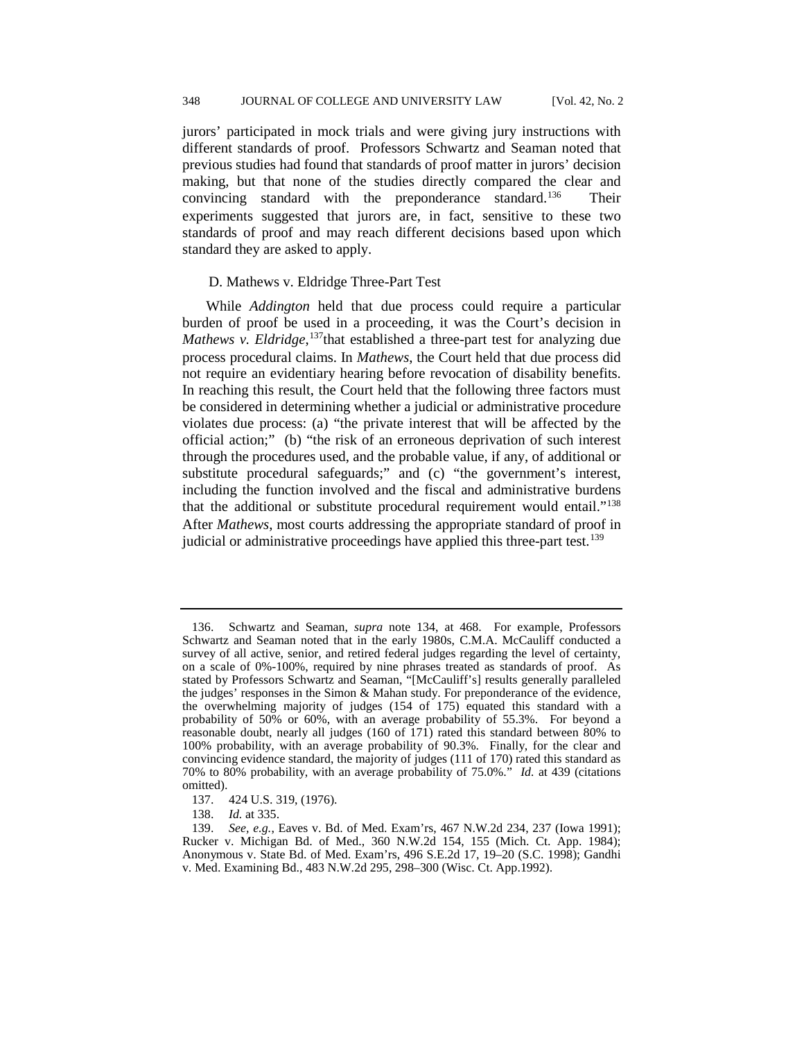jurors' participated in mock trials and were giving jury instructions with different standards of proof. Professors Schwartz and Seaman noted that previous studies had found that standards of proof matter in jurors' decision making, but that none of the studies directly compared the clear and convincing standard with the preponderance standard.[136](#page-37-0) Their experiments suggested that jurors are, in fact, sensitive to these two standards of proof and may reach different decisions based upon which standard they are asked to apply.

## D. Mathews v. Eldridge Three-Part Test

While *Addington* held that due process could require a particular burden of proof be used in a proceeding, it was the Court's decision in Mathews v. Eldridge,<sup>[137](#page-37-1)</sup>that established a three-part test for analyzing due process procedural claims. In *Mathews*, the Court held that due process did not require an evidentiary hearing before revocation of disability benefits. In reaching this result, the Court held that the following three factors must be considered in determining whether a judicial or administrative procedure violates due process: (a) "the private interest that will be affected by the official action;" (b) "the risk of an erroneous deprivation of such interest through the procedures used, and the probable value, if any, of additional or substitute procedural safeguards;" and (c) "the government's interest, including the function involved and the fiscal and administrative burdens that the additional or substitute procedural requirement would entail.["138](#page-37-2)  After *Mathews*, most courts addressing the appropriate standard of proof in judicial or administrative proceedings have applied this three-part test.<sup>[139](#page-37-3)</sup>

<span id="page-37-0"></span><sup>136.</sup> Schwartz and Seaman, *supra* note 134, at 468. For example, Professors Schwartz and Seaman noted that in the early 1980s, C.M.A. McCauliff conducted a survey of all active, senior, and retired federal judges regarding the level of certainty, on a scale of 0%-100%, required by nine phrases treated as standards of proof. As stated by Professors Schwartz and Seaman, "[McCauliff's] results generally paralleled the judges' responses in the Simon & Mahan study. For preponderance of the evidence, the overwhelming majority of judges (154 of 175) equated this standard with a probability of 50% or 60%, with an average probability of 55.3%. For beyond a reasonable doubt, nearly all judges (160 of 171) rated this standard between 80% to 100% probability, with an average probability of 90.3%. Finally, for the clear and convincing evidence standard, the majority of judges (111 of 170) rated this standard as 70% to 80% probability, with an average probability of 75.0%." *Id.* at 439 (citations omitted).

<sup>137.</sup> 424 U.S. 319, (1976).

<sup>138.</sup> *Id.* at 335.

<span id="page-37-3"></span><span id="page-37-2"></span><span id="page-37-1"></span><sup>139.</sup> *See, e.g.*, Eaves v. Bd. of Med. Exam'rs, 467 N.W.2d 234, 237 (Iowa 1991); Rucker v. Michigan Bd. of Med., 360 N.W.2d 154, 155 (Mich. Ct. App. 1984); Anonymous v. State Bd. of Med. Exam'rs, 496 S.E.2d 17, 19–20 (S.C. 1998); Gandhi v. Med. Examining Bd., 483 N.W.2d 295, 298–300 (Wisc. Ct. App.1992).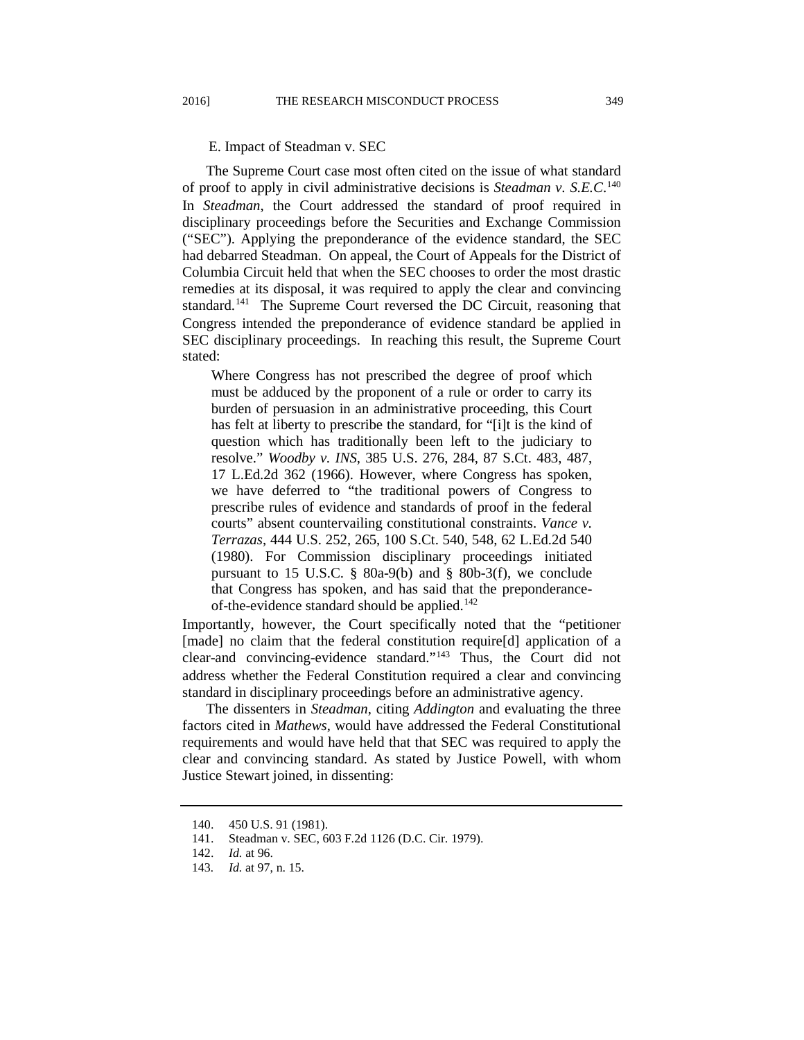#### E. Impact of Steadman v. SEC

The Supreme Court case most often cited on the issue of what standard of proof to apply in civil administrative decisions is *Steadman v. S.E.C*. [140](#page-38-0) In *Steadman*, the Court addressed the standard of proof required in disciplinary proceedings before the Securities and Exchange Commission ("SEC"). Applying the preponderance of the evidence standard, the SEC had debarred Steadman. On appeal, the Court of Appeals for the District of Columbia Circuit held that when the SEC chooses to order the most drastic remedies at its disposal, it was required to apply the clear and convincing standard.<sup>141</sup> The Supreme Court reversed the DC Circuit, reasoning that Congress intended the preponderance of evidence standard be applied in SEC disciplinary proceedings. In reaching this result, the Supreme Court stated:

Where Congress has not prescribed the degree of proof which must be adduced by the proponent of a rule or order to carry its burden of persuasion in an administrative proceeding, this Court has felt at liberty to prescribe the standard, for "[i]t is the kind of question which has traditionally been left to the judiciary to resolve." *Woodby v. INS*, 385 U.S. 276, 284, 87 S.Ct. 483, 487, 17 L.Ed.2d 362 (1966). However, where Congress has spoken, we have deferred to "the traditional powers of Congress to prescribe rules of evidence and standards of proof in the federal courts" absent countervailing constitutional constraints. *Vance v. Terrazas*, 444 U.S. 252, 265, 100 S.Ct. 540, 548, 62 L.Ed.2d 540 (1980). For Commission disciplinary proceedings initiated pursuant to 15 U.S.C.  $\S$  80a-9(b) and  $\S$  80b-3(f), we conclude that Congress has spoken, and has said that the preponderance-of-the-evidence standard should be applied.<sup>[142](#page-38-2)</sup>

Importantly, however, the Court specifically noted that the "petitioner [made] no claim that the federal constitution require[d] application of a clear-and convincing-evidence standard.["143](#page-38-3) Thus, the Court did not address whether the Federal Constitution required a clear and convincing standard in disciplinary proceedings before an administrative agency.

The dissenters in *Steadman*, citing *Addington* and evaluating the three factors cited in *Mathews*, would have addressed the Federal Constitutional requirements and would have held that that SEC was required to apply the clear and convincing standard. As stated by Justice Powell, with whom Justice Stewart joined, in dissenting:

<span id="page-38-0"></span><sup>140.</sup> 450 U.S. 91 (1981).

<span id="page-38-1"></span><sup>141.</sup> Steadman v. SEC, 603 F.2d 1126 (D.C. Cir. 1979).

<span id="page-38-2"></span><sup>142.</sup> *Id.* at 96.

<span id="page-38-3"></span><sup>143</sup>*. Id.* at 97, n. 15.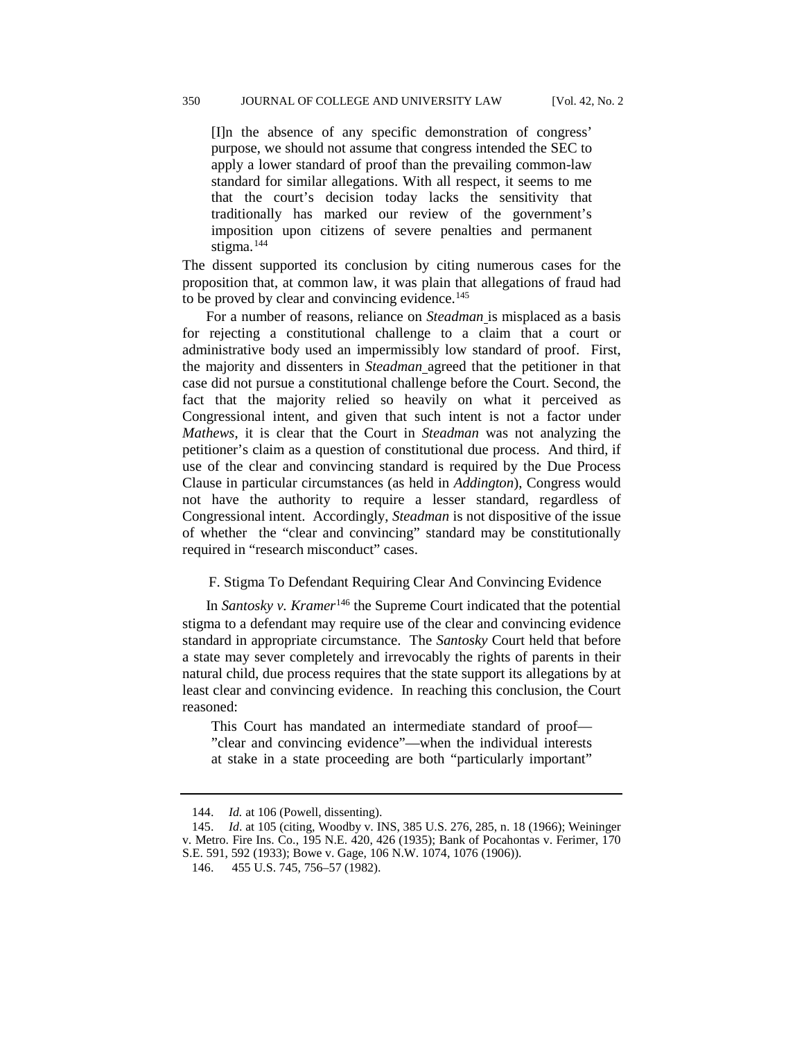[I]n the absence of any specific demonstration of congress' purpose, we should not assume that congress intended the SEC to apply a lower standard of proof than the prevailing common-law standard for similar allegations. With all respect, it seems to me that the court's decision today lacks the sensitivity that traditionally has marked our review of the government's imposition upon citizens of severe penalties and permanent stigma.<sup>[144](#page-39-0)</sup>

The dissent supported its conclusion by citing numerous cases for the proposition that, at common law, it was plain that allegations of fraud had to be proved by clear and convincing evidence. $145$ 

For a number of reasons, reliance on *Steadman* is misplaced as a basis for rejecting a constitutional challenge to a claim that a court or administrative body used an impermissibly low standard of proof. First, the majority and dissenters in *Steadman* agreed that the petitioner in that case did not pursue a constitutional challenge before the Court. Second, the fact that the majority relied so heavily on what it perceived as Congressional intent, and given that such intent is not a factor under *Mathews*, it is clear that the Court in *Steadman* was not analyzing the petitioner's claim as a question of constitutional due process. And third, if use of the clear and convincing standard is required by the Due Process Clause in particular circumstances (as held in *Addington*), Congress would not have the authority to require a lesser standard, regardless of Congressional intent. Accordingly, *Steadman* is not dispositive of the issue of whether the "clear and convincing" standard may be constitutionally required in "research misconduct" cases.

## F. Stigma To Defendant Requiring Clear And Convincing Evidence

In *Santosky v. Kramer*[146](#page-39-2) the Supreme Court indicated that the potential stigma to a defendant may require use of the clear and convincing evidence standard in appropriate circumstance. The *Santosky* Court held that before a state may sever completely and irrevocably the rights of parents in their natural child, due process requires that the state support its allegations by at least clear and convincing evidence. In reaching this conclusion, the Court reasoned:

This Court has mandated an intermediate standard of proof— "clear and convincing evidence"—when the individual interests at stake in a state proceeding are both "particularly important"

<sup>144.</sup> *Id.* at 106 (Powell, dissenting).

<span id="page-39-2"></span><span id="page-39-1"></span><span id="page-39-0"></span><sup>145.</sup> *Id*. at 105 (citing, Woodby v. INS, 385 U.S. 276, 285, n. 18 (1966); Weininger v. Metro. Fire Ins. Co., 195 N.E. 420, 426 (1935); Bank of Pocahontas v. Ferimer, 170 S.E. 591, 592 (1933); Bowe v. Gage, 106 N.W. 1074, 1076 (1906)).

<sup>146. 455</sup> U.S. 745, 756–57 (1982).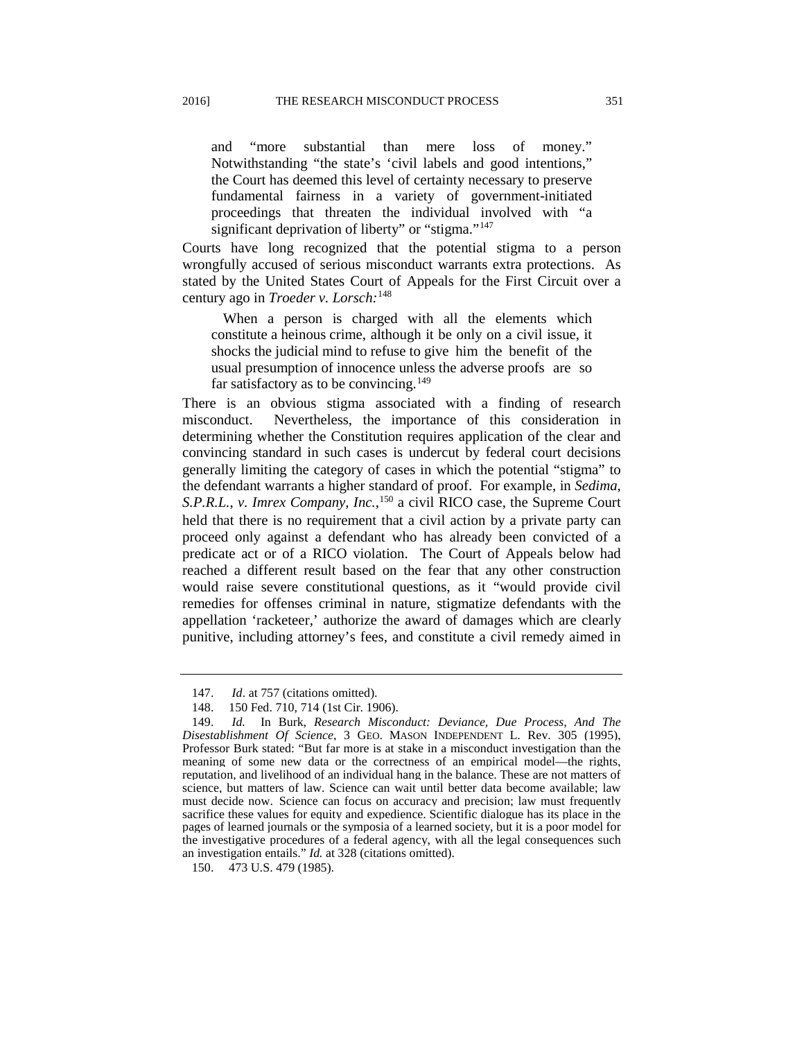and "more substantial than mere loss of money." Notwithstanding "the state's 'civil labels and good intentions," the Court has deemed this level of certainty necessary to preserve fundamental fairness in a variety of government-initiated proceedings that threaten the individual involved with "a significant deprivation of liberty" or "stigma."<sup>[147](#page-40-0)</sup>

Courts have long recognized that the potential stigma to a person wrongfully accused of serious misconduct warrants extra protections. As stated by the United States Court of Appeals for the First Circuit over a century ago in *Troeder v. Lorsch:*[148](#page-40-1)

When a person is charged with all the elements which constitute a heinous crime, although it be only on a civil issue, it shocks the judicial mind to refuse to give him the benefit of the usual presumption of innocence unless the adverse proofs are so far satisfactory as to be convincing.<sup>[149](#page-40-2)</sup>

There is an obvious stigma associated with a finding of research misconduct. Nevertheless, the importance of this consideration in determining whether the Constitution requires application of the clear and convincing standard in such cases is undercut by federal court decisions generally limiting the category of cases in which the potential "stigma" to the defendant warrants a higher standard of proof. For example, in *Sedima, S.P.R.L., v. Imrex Company, Inc.*, [150](#page-40-3) a civil RICO case, the Supreme Court held that there is no requirement that a civil action by a private party can proceed only against a defendant who has already been convicted of a predicate act or of a RICO violation. The Court of Appeals below had reached a different result based on the fear that any other construction would raise severe constitutional questions, as it "would provide civil remedies for offenses criminal in nature, stigmatize defendants with the appellation 'racketeer,' authorize the award of damages which are clearly punitive, including attorney's fees, and constitute a civil remedy aimed in

<sup>147.</sup> *Id*. at 757 (citations omitted).

<sup>148.</sup> 150 Fed. 710, 714 (1st Cir. 1906).

<span id="page-40-2"></span><span id="page-40-1"></span><span id="page-40-0"></span><sup>149.</sup> *Id.* In Burk, *Research Misconduct: Deviance, Due Process, And The Disestablishment Of Science*, 3 GEO. MASON INDEPENDENT L. Rev. 305 (1995), Professor Burk stated: "But far more is at stake in a misconduct investigation than the meaning of some new data or the correctness of an empirical model—the rights, reputation, and livelihood of an individual hang in the balance. These are not matters of science, but matters of law. Science can wait until better data become available; law must decide now. Science can focus on accuracy and precision; law must frequently sacrifice these values for equity and expedience. Scientific dialogue has its place in the pages of learned journals or the symposia of a learned society, but it is a poor model for the investigative procedures of a federal agency, with all the legal consequences such an investigation entails." *Id.* at 328 (citations omitted).

<span id="page-40-3"></span><sup>150.</sup> 473 U.S. 479 (1985).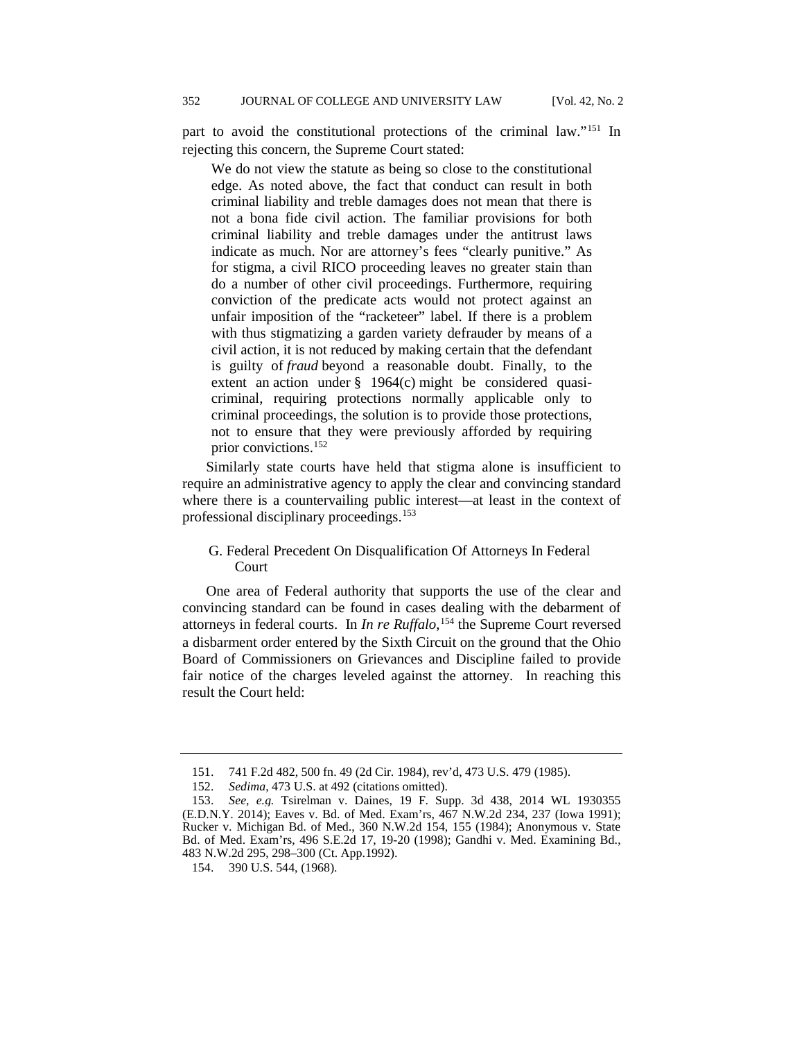part to avoid the constitutional protections of the criminal law."[151](#page-41-0) In rejecting this concern, the Supreme Court stated:

We do not view the statute as being so close to the constitutional edge. As noted above, the fact that conduct can result in both criminal liability and treble damages does not mean that there is not a bona fide civil action. The familiar provisions for both criminal liability and treble damages under the antitrust laws indicate as much. Nor are attorney's fees "clearly punitive." As for stigma, a civil RICO proceeding leaves no greater stain than do a number of other civil proceedings. Furthermore, requiring conviction of the predicate acts would not protect against an unfair imposition of the "racketeer" label. If there is a problem with thus stigmatizing a garden variety defrauder by means of a civil action, it is not reduced by making certain that the defendant is guilty of *fraud* beyond a reasonable doubt. Finally, to the extent an action under § 1964(c) might be considered quasicriminal, requiring protections normally applicable only to criminal proceedings, the solution is to provide those protections, not to ensure that they were previously afforded by requiring prior convictions.[152](#page-41-1)

Similarly state courts have held that stigma alone is insufficient to require an administrative agency to apply the clear and convincing standard where there is a countervailing public interest—at least in the context of professional disciplinary proceedings.<sup>[153](#page-41-2)</sup>

## G. Federal Precedent On Disqualification Of Attorneys In Federal Court

One area of Federal authority that supports the use of the clear and convincing standard can be found in cases dealing with the debarment of attorneys in federal courts. In *In re Ruffalo*, [154](#page-41-3) the Supreme Court reversed a disbarment order entered by the Sixth Circuit on the ground that the Ohio Board of Commissioners on Grievances and Discipline failed to provide fair notice of the charges leveled against the attorney. In reaching this result the Court held:

<sup>151.</sup> 741 F.2d 482, 500 fn. 49 (2d Cir. 1984), rev'd, 473 U.S. 479 (1985).

<sup>152.</sup> *Sedima*, 473 U.S. at 492 (citations omitted).

<span id="page-41-2"></span><span id="page-41-1"></span><span id="page-41-0"></span><sup>153.</sup> *See, e.g.* Tsirelman v. Daines, 19 F. Supp. 3d 438, 2014 WL 1930355 (E.D.N.Y. 2014); Eaves v. Bd. of Med. Exam'rs, 467 N.W.2d 234, 237 (Iowa 1991); Rucker v. Michigan Bd. of Med., 360 N.W.2d 154, 155 (1984); Anonymous v. State Bd. of Med. Exam'rs, 496 S.E.2d 17, 19-20 (1998); Gandhi v. Med. Examining Bd., 483 N.W.2d 295, 298–300 (Ct. App.1992).

<span id="page-41-3"></span><sup>154.</sup> 390 U.S. 544, (1968).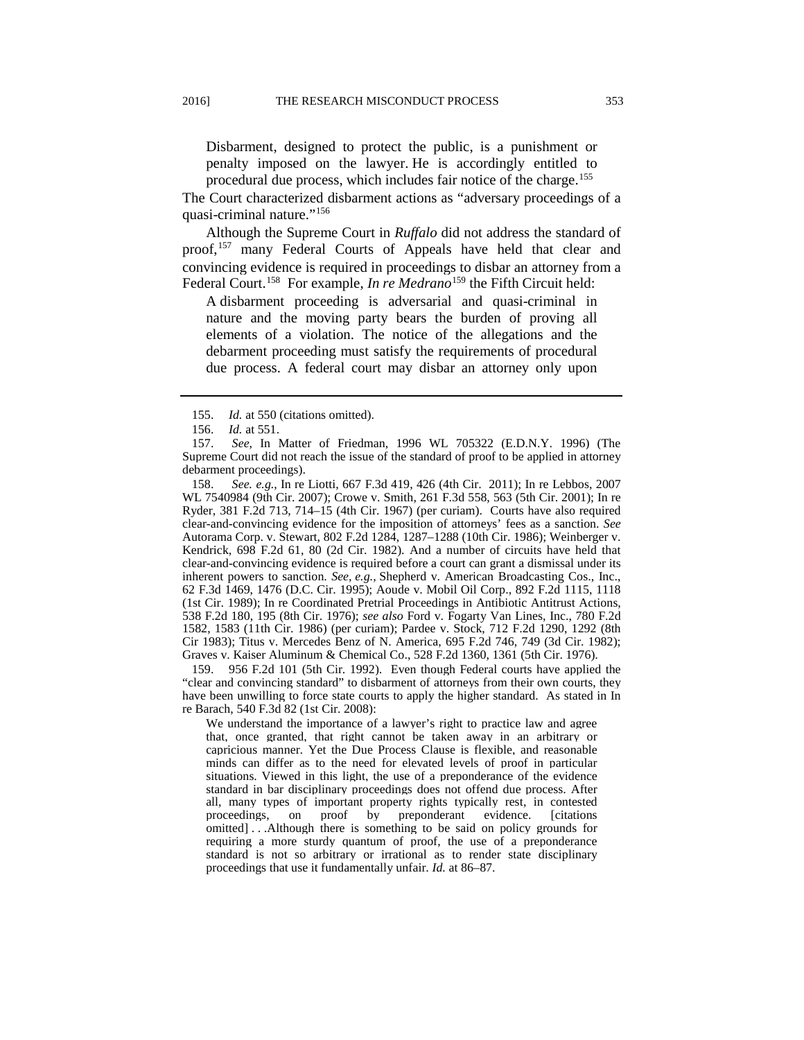Disbarment, designed to protect the public, is a punishment or penalty imposed on the lawyer. He is accordingly entitled to procedural due process, which includes fair notice of the charge.<sup>[155](#page-42-0)</sup>

The Court characterized disbarment actions as "adversary proceedings of a quasi-criminal nature."[156](#page-42-1)

Although the Supreme Court in *Ruffalo* did not address the standard of proof,<sup>[157](#page-42-2)</sup> many Federal Courts of Appeals have held that clear and convincing evidence is required in proceedings to disbar an attorney from a Federal Court.<sup>[158](#page-42-3)</sup> For example, *In re Medrano*<sup>[159](#page-42-4)</sup> the Fifth Circuit held:

A disbarment proceeding is adversarial and quasi-criminal in nature and the moving party bears the burden of proving all elements of a violation. The notice of the allegations and the debarment proceeding must satisfy the requirements of procedural due process. A federal court may disbar an attorney only upon

<span id="page-42-2"></span><span id="page-42-1"></span><span id="page-42-0"></span>157. *See*, In Matter of Friedman, 1996 WL 705322 (E.D.N.Y. 1996) (The Supreme Court did not reach the issue of the standard of proof to be applied in attorney debarment proceedings).

<span id="page-42-3"></span>158. *See. e.g.*, In re Liotti, 667 F.3d 419, 426 (4th Cir. 2011); In re Lebbos, 2007 WL 7540984 (9th Cir. 2007); Crowe v. Smith, 261 F.3d 558, 563 (5th Cir. 2001); In re Ryder, 381 F.2d 713, 714–15 (4th Cir. 1967) (per curiam). Courts have also required clear-and-convincing evidence for the imposition of attorneys' fees as a sanction. *See*  Autorama Corp. v. Stewart, 802 F.2d 1284, 1287–1288 (10th Cir. 1986); Weinberger v. Kendrick, 698 F.2d 61, 80 (2d Cir. 1982). And a number of circuits have held that clear-and-convincing evidence is required before a court can grant a dismissal under its inherent powers to sanction. *See, e.g.*, Shepherd v. American Broadcasting Cos., Inc., 62 F.3d 1469, 1476 (D.C. Cir. 1995); Aoude v. Mobil Oil Corp., 892 F.2d 1115, 1118 (1st Cir. 1989); In re Coordinated Pretrial Proceedings in Antibiotic Antitrust Actions, 538 F.2d 180, 195 (8th Cir. 1976); *see also* Ford v. Fogarty Van Lines, Inc., 780 F.2d 1582, 1583 (11th Cir. 1986) (per curiam); Pardee v. Stock, 712 F.2d 1290, 1292 (8th Cir 1983); Titus v. Mercedes Benz of N. America, 695 F.2d 746, 749 (3d Cir. 1982); Graves v. Kaiser Aluminum & Chemical Co., 528 F.2d 1360, 1361 (5th Cir. 1976).

<span id="page-42-4"></span>159. 956 F.2d 101 (5th Cir. 1992). Even though Federal courts have applied the "clear and convincing standard" to disbarment of attorneys from their own courts, they have been unwilling to force state courts to apply the higher standard. As stated in In re Barach, 540 F.3d 82 (1st Cir. 2008):

We understand the importance of a lawyer's right to practice law and agree that, once granted, that right cannot be taken away in an arbitrary or capricious manner. Yet the Due Process Clause is flexible, and reasonable minds can differ as to the need for elevated levels of proof in particular situations. Viewed in this light, the use of a preponderance of the evidence standard in bar disciplinary proceedings does not offend due process. After all, many types of important property rights typically rest, in contested preponderant evidence. omitted] . . .Although there is something to be said on policy grounds for requiring a more sturdy quantum of proof, the use of a preponderance standard is not so arbitrary or irrational as to render state disciplinary proceedings that use it fundamentally unfair. *Id.* at 86–87.

<sup>155.</sup> *Id.* at 550 (citations omitted).

<sup>156.</sup> *Id.* at 551.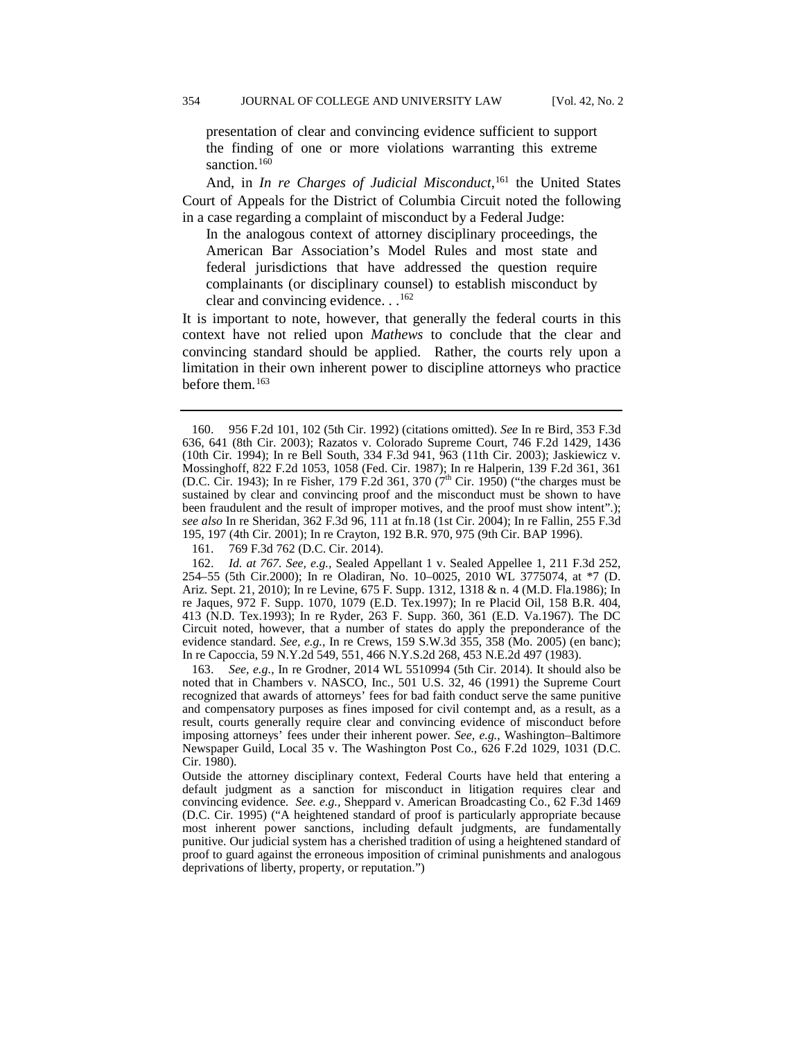presentation of clear and convincing evidence sufficient to support the finding of one or more violations warranting this extreme sanction.<sup>[160](#page-43-0)</sup>

And, in *In re Charges of Judicial Misconduct*, [161](#page-43-1) the United States Court of Appeals for the District of Columbia Circuit noted the following in a case regarding a complaint of misconduct by a Federal Judge:

In the analogous context of attorney disciplinary proceedings, the American Bar Association's Model Rules and most state and federal jurisdictions that have addressed the question require complainants (or disciplinary counsel) to establish misconduct by clear and convincing evidence. . . [162](#page-43-2)

It is important to note, however, that generally the federal courts in this context have not relied upon *Mathews* to conclude that the clear and convincing standard should be applied. Rather, the courts rely upon a limitation in their own inherent power to discipline attorneys who practice before them.<sup>[163](#page-43-3)</sup>

161. 769 F.3d 762 (D.C. Cir. 2014).

<span id="page-43-2"></span><span id="page-43-1"></span>162. *Id. at 767. See, e.g.,* Sealed Appellant 1 v. Sealed Appellee 1, 211 F.3d 252, 254–55 (5th Cir.2000); In re Oladiran, No. 10–0025, 2010 WL 3775074, at \*7 (D. Ariz. Sept. 21, 2010); In re Levine, 675 F. Supp. 1312, 1318 & n. 4 (M.D. Fla.1986); In re Jaques, 972 F. Supp. 1070, 1079 (E.D. Tex.1997); In re Placid Oil, 158 B.R. 404, 413 (N.D. Tex.1993); In re Ryder, 263 F. Supp. 360, 361 (E.D. Va.1967). The DC Circuit noted, however, that a number of states do apply the preponderance of the evidence standard. *See, e.g.*, In re Crews, 159 S.W.3d 355, 358 (Mo. 2005) (en banc); In re Capoccia, 59 N.Y.2d 549, 551, 466 N.Y.S.2d 268, 453 N.E.2d 497 (1983).

<span id="page-43-3"></span>163. *See, e.g.*, In re Grodner, 2014 WL 5510994 (5th Cir. 2014). It should also be noted that in Chambers v. NASCO, Inc., 501 U.S. 32, 46 (1991) the Supreme Court recognized that awards of attorneys' fees for bad faith conduct serve the same punitive and compensatory purposes as fines imposed for civil contempt and, as a result, as a result, courts generally require clear and convincing evidence of misconduct before imposing attorneys' fees under their inherent power. *See, e.g.*, Washington–Baltimore Newspaper Guild, Local 35 v. The Washington Post Co., 626 F.2d 1029, 1031 (D.C. Cir. 1980).

Outside the attorney disciplinary context, Federal Courts have held that entering a default judgment as a sanction for misconduct in litigation requires clear and convincing evidence. *See. e.g.,* Sheppard v. American Broadcasting Co., 62 F.3d 1469 (D.C. Cir. 1995) ("A heightened standard of proof is particularly appropriate because most inherent power sanctions, including default judgments, are fundamentally punitive. Our judicial system has a cherished tradition of using a heightened standard of proof to guard against the erroneous imposition of criminal punishments and analogous deprivations of liberty, property, or reputation.")

<span id="page-43-0"></span><sup>160.</sup> 956 F.2d 101, 102 (5th Cir. 1992) (citations omitted). *See* In re Bird, 353 F.3d 636, 641 (8th Cir. 2003); Razatos v. Colorado Supreme Court, 746 F.2d 1429, 1436 (10th Cir. 1994); In re Bell South, 334 F.3d 941, 963 (11th Cir. 2003); Jaskiewicz v. Mossinghoff, 822 F.2d 1053, 1058 (Fed. Cir. 1987); In re Halperin, 139 F.2d 361, 361 (D.C. Cir. 1943); In re Fisher, 179 F.2d 361, 370 ( $7^{\text{th}}$  Cir. 1950) ("the charges must be sustained by clear and convincing proof and the misconduct must be shown to have been fraudulent and the result of improper motives, and the proof must show intent".); *see also* In re Sheridan, 362 F.3d 96, 111 at fn.18 (1st Cir. 2004); In re Fallin, 255 F.3d 195, 197 (4th Cir. 2001); In re Crayton, 192 B.R. 970, 975 (9th Cir. BAP 1996).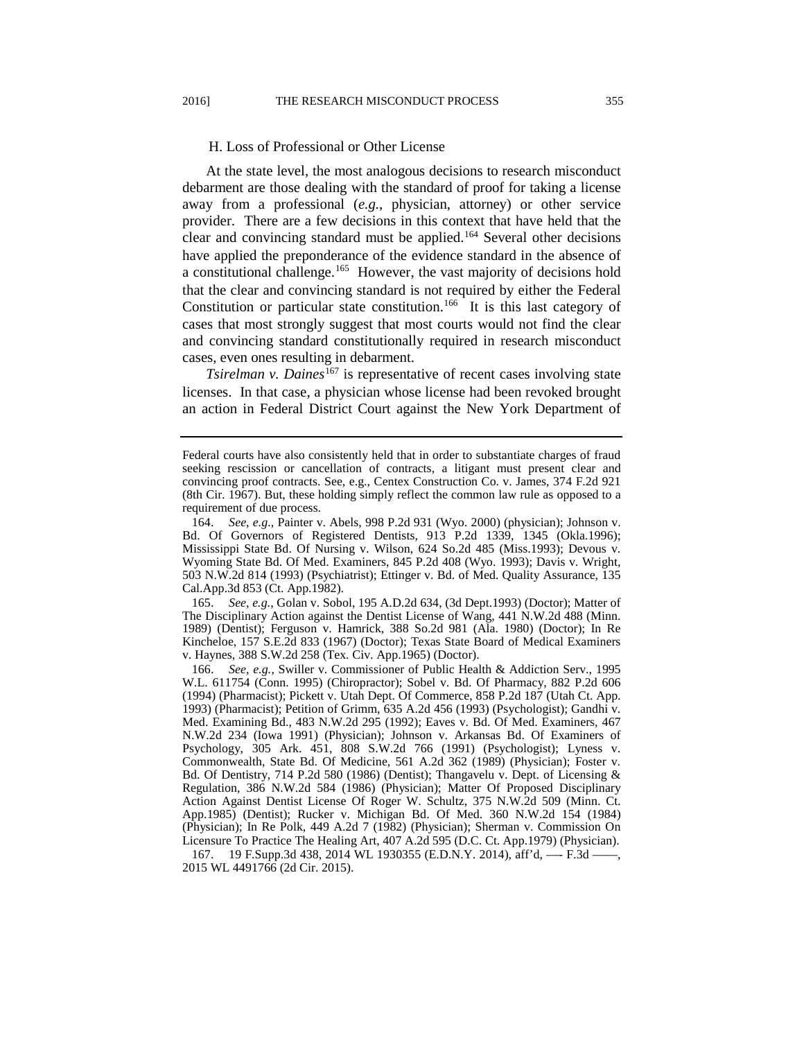#### H. Loss of Professional or Other License

At the state level, the most analogous decisions to research misconduct debarment are those dealing with the standard of proof for taking a license away from a professional (*e.g.*, physician, attorney) or other service provider. There are a few decisions in this context that have held that the clear and convincing standard must be applied.<sup>[164](#page-44-0)</sup> Several other decisions have applied the preponderance of the evidence standard in the absence of a constitutional challenge.<sup>[165](#page-44-1)</sup> However, the vast majority of decisions hold that the clear and convincing standard is not required by either the Federal Constitution or particular state constitution.<sup>166</sup> It is this last category of cases that most strongly suggest that most courts would not find the clear and convincing standard constitutionally required in research misconduct cases, even ones resulting in debarment.

*Tsirelman v. Daines*<sup>[167](#page-44-3)</sup> is representative of recent cases involving state licenses. In that case, a physician whose license had been revoked brought an action in Federal District Court against the New York Department of

<span id="page-44-1"></span>165. *See, e.g.*, Golan v. Sobol, 195 A.D.2d 634, (3d Dept.1993) (Doctor); Matter of The Disciplinary Action against the Dentist License of Wang, 441 N.W.2d 488 (Minn. 1989) (Dentist); Ferguson v. Hamrick, 388 So.2d 981 (Ala. 1980) (Doctor); In Re Kincheloe, 157 S.E.2d 833 (1967) (Doctor); Texas State Board of Medical Examiners v. Haynes, 388 S.W.2d 258 (Tex. Civ. App.1965) (Doctor).

<span id="page-44-2"></span>166. *See, e.g.*, Swiller v. Commissioner of Public Health & Addiction Serv., 1995 W.L. 611754 (Conn. 1995) (Chiropractor); Sobel v. Bd. Of Pharmacy, 882 P.2d 606 (1994) (Pharmacist); Pickett v. Utah Dept. Of Commerce, 858 P.2d 187 (Utah Ct. App. 1993) (Pharmacist); Petition of Grimm, 635 A.2d 456 (1993) (Psychologist); Gandhi v. Med. Examining Bd., 483 N.W.2d 295 (1992); Eaves v. Bd. Of Med. Examiners, 467 N.W.2d 234 (Iowa 1991) (Physician); Johnson v. Arkansas Bd. Of Examiners of Psychology, 305 Ark. 451, 808 S.W.2d 766 (1991) (Psychologist); Lyness v. Commonwealth, State Bd. Of Medicine, 561 A.2d 362 (1989) (Physician); Foster v. Bd. Of Dentistry, 714 P.2d 580 (1986) (Dentist); Thangavelu v. Dept. of Licensing & Regulation, 386 N.W.2d 584 (1986) (Physician); Matter Of Proposed Disciplinary Action Against Dentist License Of Roger W. Schultz, 375 N.W.2d 509 (Minn. Ct. App.1985) (Dentist); Rucker v. Michigan Bd. Of Med. 360 N.W.2d 154 (1984) (Physician); In Re Polk, 449 A.2d 7 (1982) (Physician); Sherman v. Commission On Licensure To Practice The Healing Art, 407 A.2d 595 (D.C. Ct. App.1979) (Physician).

<span id="page-44-3"></span>167. 19 F.Supp.3d 438, 2014 WL 1930355 (E.D.N.Y. 2014), aff'd, —- F.3d ——, 2015 WL 4491766 (2d Cir. 2015).

Federal courts have also consistently held that in order to substantiate charges of fraud seeking rescission or cancellation of contracts, a litigant must present clear and convincing proof contracts. See, e.g., Centex Construction Co. v. James, 374 F.2d 921 (8th Cir. 1967). But, these holding simply reflect the common law rule as opposed to a requirement of due process.

<span id="page-44-0"></span><sup>164.</sup> *See, e.g.*, Painter v. Abels, 998 P.2d 931 (Wyo. 2000) (physician); Johnson v. Bd. Of Governors of Registered Dentists, 913 P.2d 1339, 1345 (Okla.1996); Mississippi State Bd. Of Nursing v. Wilson, 624 So.2d 485 (Miss.1993); Devous v. Wyoming State Bd. Of Med. Examiners, 845 P.2d 408 (Wyo. 1993); Davis v. Wright, 503 N.W.2d 814 (1993) (Psychiatrist); Ettinger v. Bd. of Med. Quality Assurance, 135 Cal.App.3d 853 (Ct. App.1982).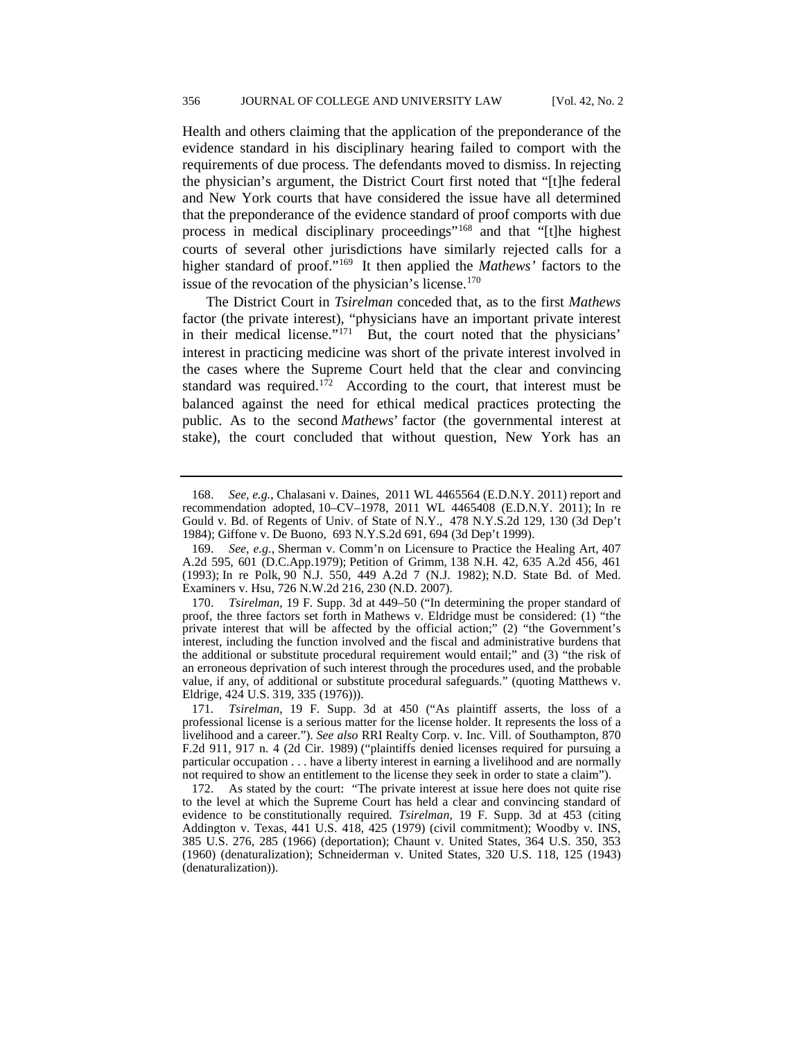Health and others claiming that the application of the preponderance of the evidence standard in his disciplinary hearing failed to comport with the requirements of due process. The defendants moved to dismiss. In rejecting the physician's argument, the District Court first noted that "[t]he federal and New York courts that have considered the issue have all determined that the preponderance of the evidence standard of proof comports with due process in medical disciplinary proceedings"[168](#page-45-0) and that "[t]he highest courts of several other jurisdictions have similarly rejected calls for a higher standard of proof."[169](#page-45-1) It then applied the *Mathews'* factors to the issue of the revocation of the physician's license.<sup>[170](#page-45-2)</sup>

The District Court in *Tsirelman* conceded that, as to the first *Mathews* factor (the private interest), "physicians have an important private interest in their medical license."[171](#page-45-3) But, the court noted that the physicians' interest in practicing medicine was short of the private interest involved in the cases where the Supreme Court held that the clear and convincing standard was required.<sup>172</sup> According to the court, that interest must be balanced against the need for ethical medical practices protecting the public. As to the second *Mathews*' factor (the governmental interest at stake), the court concluded that without question, New York has an

<span id="page-45-0"></span><sup>168.</sup> *See, e.g.,* Chalasani v. Daines, 2011 WL 4465564 (E.D.N.Y. 2011) report and recommendation adopted, [10–CV–1978, 2011 WL 4465408 \(E.D.N.Y. 2011\);](https://web2.westlaw.com/find/default.wl?mt=Westlaw&db=999&tc=-1&rp=%2ffind%2fdefault.wl&findtype=Y&ordoc=2033381605&serialnum=2026230248&vr=2.0&fn=_top&sv=Split&tf=-1&pbc=228B9FA0&rs=WLW14.10) [In re](https://web2.westlaw.com/find/default.wl?mt=Westlaw&db=602&tc=-1&rp=%2ffind%2fdefault.wl&findtype=Y&ordoc=2033381605&serialnum=1984136207&vr=2.0&fn=_top&sv=Split&tf=-1&referencepositiontype=S&pbc=228B9FA0&referenceposition=130&rs=WLW14.10)  [Gould v. Bd. of Regents of Univ. of State of N.Y.,](https://web2.westlaw.com/find/default.wl?mt=Westlaw&db=602&tc=-1&rp=%2ffind%2fdefault.wl&findtype=Y&ordoc=2033381605&serialnum=1984136207&vr=2.0&fn=_top&sv=Split&tf=-1&referencepositiontype=S&pbc=228B9FA0&referenceposition=130&rs=WLW14.10) 478 N.Y.S.2d 129, 130 (3d Dep't [1984\);](https://web2.westlaw.com/find/default.wl?mt=Westlaw&db=602&tc=-1&rp=%2ffind%2fdefault.wl&findtype=Y&ordoc=2033381605&serialnum=1984136207&vr=2.0&fn=_top&sv=Split&tf=-1&referencepositiontype=S&pbc=228B9FA0&referenceposition=130&rs=WLW14.10) Giffone v. De Buono, [693 N.Y.S.2d 691, 694 \(3d Dep't 1999\).](https://web2.westlaw.com/find/default.wl?mt=Westlaw&db=0000602&tc=-1&rp=%2ffind%2fdefault.wl&findtype=Y&ordoc=2033381605&serialnum=1999166900&vr=2.0&fn=_top&sv=Split&tf=-1&referencepositiontype=S&pbc=228B9FA0&referenceposition=694&rs=WLW14.10)

<span id="page-45-1"></span><sup>169.</sup> *See, e.g*., [Sherman v. Comm'n on Licensure to Practice the Healing Art,](https://web2.westlaw.com/find/default.wl?mt=Westlaw&db=0000162&tc=-1&rp=%2ffind%2fdefault.wl&findtype=Y&ordoc=2033381605&serialnum=1979110839&vr=2.0&fn=_top&sv=Split&tf=-1&referencepositiontype=S&pbc=228B9FA0&referenceposition=601&rs=WLW14.10) 407 [A.2d 595, 601 \(D.C.App.1979\);](https://web2.westlaw.com/find/default.wl?mt=Westlaw&db=0000162&tc=-1&rp=%2ffind%2fdefault.wl&findtype=Y&ordoc=2033381605&serialnum=1979110839&vr=2.0&fn=_top&sv=Split&tf=-1&referencepositiontype=S&pbc=228B9FA0&referenceposition=601&rs=WLW14.10) Petition of Grimm, [138 N.H. 42, 635 A.2d 456, 461](https://web2.westlaw.com/find/default.wl?mt=Westlaw&db=0000162&tc=-1&rp=%2ffind%2fdefault.wl&findtype=Y&ordoc=2033381605&serialnum=1993241429&vr=2.0&fn=_top&sv=Split&tf=-1&referencepositiontype=S&pbc=228B9FA0&referenceposition=461&rs=WLW14.10)  [\(1993\);](https://web2.westlaw.com/find/default.wl?mt=Westlaw&db=0000162&tc=-1&rp=%2ffind%2fdefault.wl&findtype=Y&ordoc=2033381605&serialnum=1993241429&vr=2.0&fn=_top&sv=Split&tf=-1&referencepositiontype=S&pbc=228B9FA0&referenceposition=461&rs=WLW14.10) In re Polk, [90 N.J. 550, 449 A.2d 7 \(N.J. 1982\);](https://web2.westlaw.com/find/default.wl?mt=Westlaw&db=0000162&tc=-1&rp=%2ffind%2fdefault.wl&findtype=Y&ordoc=2033381605&serialnum=1982135440&vr=2.0&fn=_top&sv=Split&tf=-1&pbc=228B9FA0&rs=WLW14.10) [N.D. State Bd. of Med.](https://web2.westlaw.com/find/default.wl?mt=Westlaw&db=0000595&tc=-1&rp=%2ffind%2fdefault.wl&findtype=Y&ordoc=2033381605&serialnum=2011253700&vr=2.0&fn=_top&sv=Split&tf=-1&referencepositiontype=S&pbc=228B9FA0&referenceposition=230&rs=WLW14.10)  Examiners v. Hsu, [726 N.W.2d 216, 230 \(N.D. 2007\).](https://web2.westlaw.com/find/default.wl?mt=Westlaw&db=0000595&tc=-1&rp=%2ffind%2fdefault.wl&findtype=Y&ordoc=2033381605&serialnum=2011253700&vr=2.0&fn=_top&sv=Split&tf=-1&referencepositiontype=S&pbc=228B9FA0&referenceposition=230&rs=WLW14.10)

<span id="page-45-2"></span><sup>170.</sup> *Tsirelman*, 19 F. Supp. 3d at 449–50 ("In determining the proper standard of proof, the three factors set forth in Mathews v. Eldridge must be considered: (1) "the private interest that will be affected by the official action;" (2) "the Government's interest, including the function involved and the fiscal and administrative burdens that the additional or substitute procedural requirement would entail;" and (3) "the risk of an erroneous deprivation of such interest through the procedures used, and the probable value, if any, of additional or substitute procedural safeguards." (quoting Matthews v. Eldrige, 424 U.S. 319, 335 (1976))).

<span id="page-45-3"></span><sup>171</sup>*. Tsirelman*, 19 F. Supp. 3d at 450 ("As plaintiff asserts, the loss of a professional license is a serious matter for the license holder. It represents the loss of a livelihood and a career."). *See also* [RRI Realty Corp. v. Inc. Vill. of Southampton, 870](https://web2.westlaw.com/find/default.wl?mt=Westlaw&db=0000350&tc=-1&rp=%2ffind%2fdefault.wl&findtype=Y&ordoc=2033381605&serialnum=1989050137&vr=2.0&fn=_top&sv=Split&tf=-1&referencepositiontype=S&pbc=228B9FA0&referenceposition=917&rs=WLW14.10)  [F.2d 911, 917 n. 4 \(2d Cir. 1989\)](https://web2.westlaw.com/find/default.wl?mt=Westlaw&db=0000350&tc=-1&rp=%2ffind%2fdefault.wl&findtype=Y&ordoc=2033381605&serialnum=1989050137&vr=2.0&fn=_top&sv=Split&tf=-1&referencepositiontype=S&pbc=228B9FA0&referenceposition=917&rs=WLW14.10) ("plaintiffs denied licenses required for pursuing a particular occupation . . . have a liberty interest in earning a livelihood and are normally not required to show an entitlement to the license they seek in order to state a claim").

<span id="page-45-4"></span><sup>172.</sup> As stated by the court: "The private interest at issue here does not quite rise to the level at which the Supreme Court has held a clear and convincing standard of evidence to be constitutionally required*. Tsirelman*, 19 F. Supp. 3d at 453 (citing Addington v. Texas, 441 U.S. 418, 425 (1979) (civil commitment); Woodby v. INS, 385 U.S. 276, 285 (1966) (deportation); Chaunt v. United States, 364 U.S. 350, 353 (1960) (denaturalization); Schneiderman v. United States, 320 U.S. 118, 125 (1943) (denaturalization)).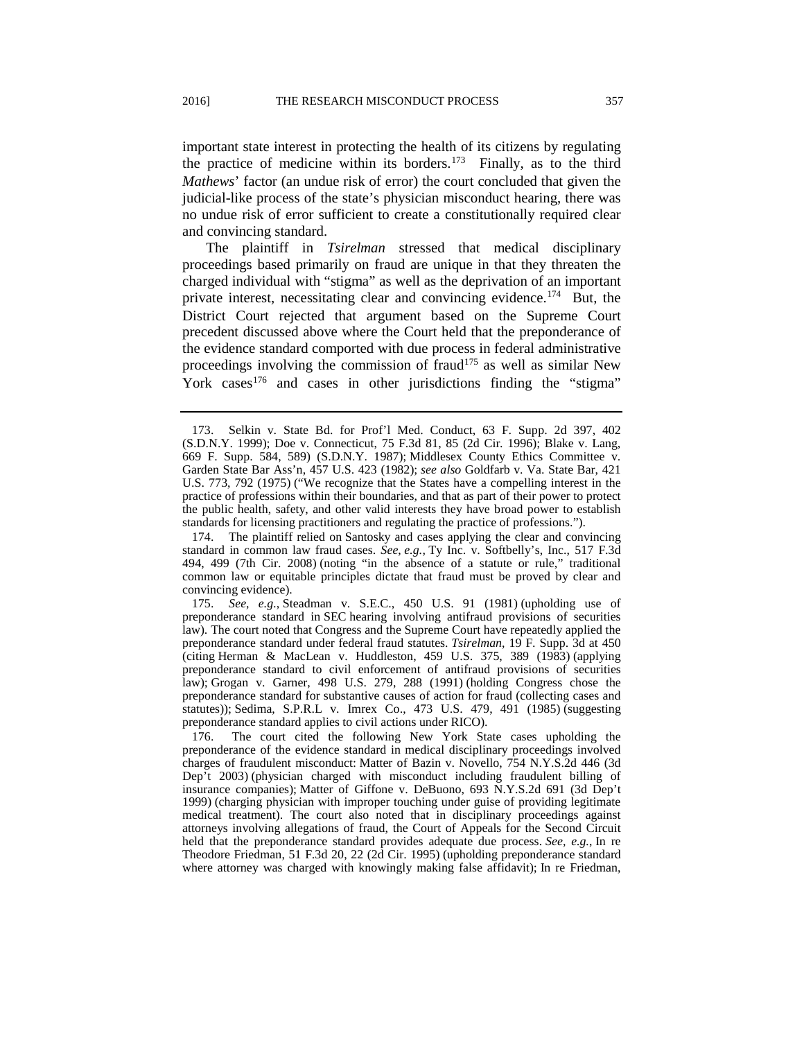important state interest in protecting the health of its citizens by regulating the practice of medicine within its borders.<sup>[173](#page-46-0)</sup> Finally, as to the third *Mathews*' factor (an undue risk of error) the court concluded that given the judicial-like process of the state's physician misconduct hearing, there was no undue risk of error sufficient to create a constitutionally required clear and convincing standard.

The plaintiff in *Tsirelman* stressed that medical disciplinary proceedings based primarily on fraud are unique in that they threaten the charged individual with "stigma" as well as the deprivation of an important private interest, necessitating clear and convincing evidence.<sup>[174](#page-46-1)</sup> But, the District Court rejected that argument based on the Supreme Court precedent discussed above where the Court held that the preponderance of the evidence standard comported with due process in federal administrative proceedings involving the commission of fraud<sup>[175](#page-46-2)</sup> as well as similar New York cases<sup>[176](#page-46-3)</sup> and cases in other jurisdictions finding the "stigma"

<span id="page-46-1"></span>174. The plaintiff relied on Santosky and cases applying the clear and convincing standard in common law fraud cases. *See*, *e.g.,* Ty Inc. v. Softbelly's, Inc., 517 F.3d 494, 499 (7th Cir. 2008) (noting "in the absence of a statute or rule," traditional common law or equitable principles dictate that fraud must be proved by clear and convincing evidence).

<span id="page-46-2"></span>175. *See, e.g.*, Steadman v. S.E.C., 450 U.S. 91 (1981) (upholding use of preponderance standard in SEC hearing involving antifraud provisions of securities law). The court noted that Congress and the Supreme Court have repeatedly applied the preponderance standard under federal fraud statutes. *Tsirelman*, 19 F. Supp. 3d at 450 (citing Herman & MacLean v. Huddleston, 459 U.S. 375, 389 (1983) (applying preponderance standard to civil enforcement of antifraud provisions of securities law); Grogan v. Garner, 498 U.S. 279, 288 (1991) (holding Congress chose the preponderance standard for substantive causes of action for fraud (collecting cases and statutes)); Sedima, S.P.R.L v. Imrex Co., 473 U.S. 479, 491 (1985) (suggesting preponderance standard applies to civil actions under RICO).

<span id="page-46-3"></span>176. The court cited the following New York State cases upholding the preponderance of the evidence standard in medical disciplinary proceedings involved charges of fraudulent misconduct: Matter of Bazin v. Novello, 754 N.Y.S.2d 446 (3d Dep't 2003) (physician charged with misconduct including fraudulent billing of insurance companies); Matter of Giffone v. DeBuono, 693 N.Y.S.2d 691 (3d Dep't 1999) (charging physician with improper touching under guise of providing legitimate medical treatment). The court also noted that in disciplinary proceedings against attorneys involving allegations of fraud, the Court of Appeals for the Second Circuit held that the preponderance standard provides adequate due process. *See, e.g.*, In re Theodore Friedman, 51 F.3d 20, 22 (2d Cir. 1995) (upholding preponderance standard where attorney was charged with knowingly making false affidavit); In re Friedman,

<span id="page-46-0"></span><sup>173.</sup> Selkin v. State Bd. for Prof'l Med. Conduct, 63 F. Supp. 2d 397, 402 (S.D.N.Y. 1999); Doe v. Connecticut, 75 F.3d 81, 85 (2d Cir. 1996); Blake v. Lang, 669 F. Supp. 584, 589) (S.D.N.Y. 1987); Middlesex County Ethics Committee v. Garden State Bar Ass'n, 457 U.S. 423 (1982); *see also* Goldfarb v. Va. State Bar, 421 U.S. 773, 792 (1975) ("We recognize that the States have a compelling interest in the practice of professions within their boundaries, and that as part of their power to protect the public health, safety, and other valid interests they have broad power to establish standards for licensing practitioners and regulating the practice of professions.").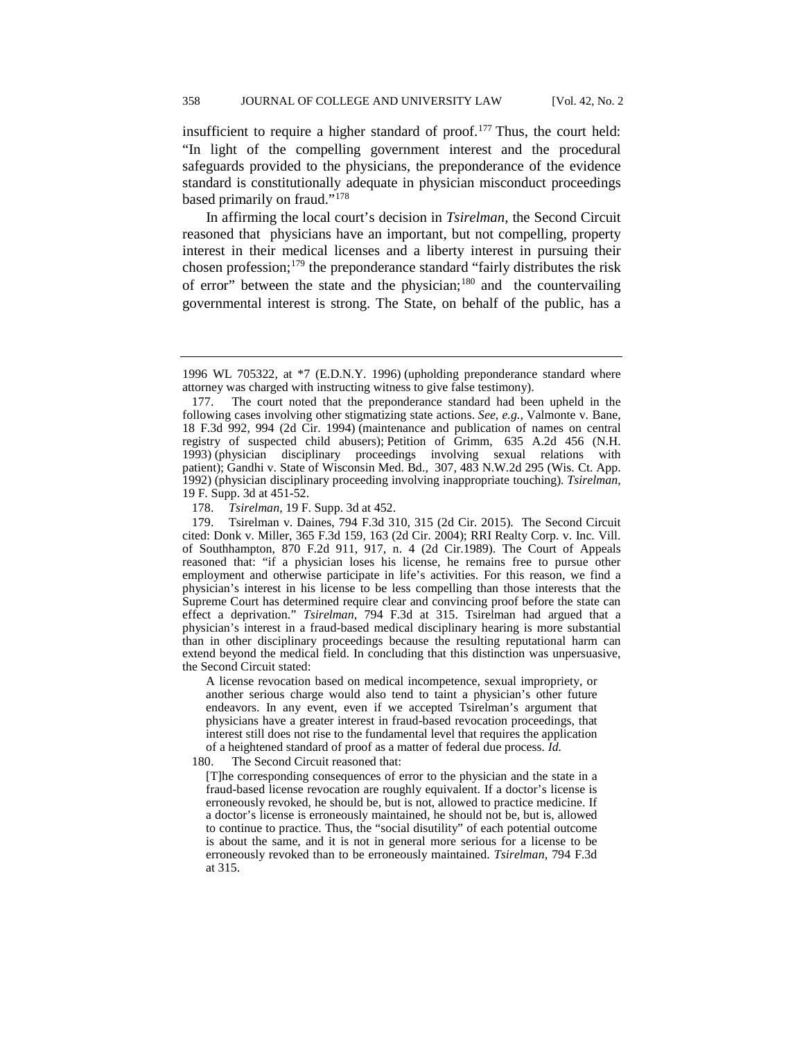insufficient to require a higher standard of proof. $177$  Thus, the court held: "In light of the compelling government interest and the procedural safeguards provided to the physicians, the preponderance of the evidence standard is constitutionally adequate in physician misconduct proceedings based primarily on fraud."[178](#page-47-1)

In affirming the local court's decision in *Tsirelman*, the Second Circuit reasoned that physicians have an important, but not compelling, property interest in their medical licenses and a liberty interest in pursuing their chosen profession;[179](#page-47-2) the preponderance standard "fairly distributes the risk of error" between the state and the physician;[180](#page-47-3) and the countervailing governmental interest is strong. The State, on behalf of the public, has a

178. *Tsirelman*, 19 F. Supp. 3d at 452.

<span id="page-47-2"></span><span id="page-47-1"></span>179. Tsirelman v. Daines, 794 F.3d 310, 315 (2d Cir. 2015). The Second Circuit cited: Donk v. Miller, 365 F.3d 159, 163 (2d Cir. 2004); RRI Realty Corp. v. Inc. Vill. of Southhampton, 870 F.2d 911, 917, n. 4 (2d Cir.1989). The Court of Appeals reasoned that: "if a physician loses his license, he remains free to pursue other employment and otherwise participate in life's activities. For this reason, we find a physician's interest in his license to be less compelling than those interests that the Supreme Court has determined require clear and convincing proof before the state can effect a deprivation." *Tsirelman*, 794 F.3d at 315. Tsirelman had argued that a physician's interest in a fraud-based medical disciplinary hearing is more substantial than in other disciplinary proceedings because the resulting reputational harm can extend beyond the medical field. In concluding that this distinction was unpersuasive, the Second Circuit stated:

A license revocation based on medical incompetence, sexual impropriety, or another serious charge would also tend to taint a physician's other future endeavors. In any event, even if we accepted Tsirelman's argument that physicians have a greater interest in fraud-based revocation proceedings, that interest still does not rise to the fundamental level that requires the application of a heightened standard of proof as a matter of federal due process. *Id.*

<span id="page-47-3"></span>180. The Second Circuit reasoned that:

[T]he corresponding consequences of error to the physician and the state in a fraud-based license revocation are roughly equivalent. If a doctor's license is erroneously revoked, he should be, but is not, allowed to practice medicine. If a doctor's license is erroneously maintained, he should not be, but is, allowed to continue to practice. Thus, the "social disutility" of each potential outcome is about the same, and it is not in general more serious for a license to be erroneously revoked than to be erroneously maintained. *Tsirelman*, 794 F.3d at 315.

<sup>1996</sup> WL 705322, at \*7 (E.D.N.Y. 1996) (upholding preponderance standard where attorney was charged with instructing witness to give false testimony).

<span id="page-47-0"></span><sup>177.</sup> The court noted that the preponderance standard had been upheld in the following cases involving other stigmatizing state actions. *See, e.g.,* [Valmonte v. Bane,](https://web2.westlaw.com/find/default.wl?mt=Westlaw&db=0000506&tc=-1&rp=%2ffind%2fdefault.wl&findtype=Y&ordoc=2033381605&serialnum=1994059553&vr=2.0&fn=_top&sv=Split&tf=-1&referencepositiontype=S&pbc=228B9FA0&referenceposition=994&rs=WLW14.10)  [18 F.3d 992, 994 \(2d Cir. 1994\)](https://web2.westlaw.com/find/default.wl?mt=Westlaw&db=0000506&tc=-1&rp=%2ffind%2fdefault.wl&findtype=Y&ordoc=2033381605&serialnum=1994059553&vr=2.0&fn=_top&sv=Split&tf=-1&referencepositiontype=S&pbc=228B9FA0&referenceposition=994&rs=WLW14.10) (maintenance and publication of names on central registry of suspected child abusers); Petition of Grimm, [635 A.2d 456 \(N.H.](https://web2.westlaw.com/find/default.wl?mt=Westlaw&db=0000162&tc=-1&rp=%2ffind%2fdefault.wl&findtype=Y&ordoc=2033381605&serialnum=1993241429&vr=2.0&fn=_top&sv=Split&tf=-1&pbc=228B9FA0&rs=WLW14.10)  [1993\)](https://web2.westlaw.com/find/default.wl?mt=Westlaw&db=0000162&tc=-1&rp=%2ffind%2fdefault.wl&findtype=Y&ordoc=2033381605&serialnum=1993241429&vr=2.0&fn=_top&sv=Split&tf=-1&pbc=228B9FA0&rs=WLW14.10) (physician disciplinary proceedings involving sexual relations with patient); [Gandhi v. State of Wisconsin Med. Bd.,](https://web2.westlaw.com/find/default.wl?mt=Westlaw&db=0000595&tc=-1&rp=%2ffind%2fdefault.wl&findtype=Y&ordoc=2033381605&serialnum=1992087497&vr=2.0&fn=_top&sv=Split&tf=-1&pbc=228B9FA0&rs=WLW14.10) 307, 483 N.W.2d 295 (Wis. Ct. App. [1992\)](https://web2.westlaw.com/find/default.wl?mt=Westlaw&db=0000595&tc=-1&rp=%2ffind%2fdefault.wl&findtype=Y&ordoc=2033381605&serialnum=1992087497&vr=2.0&fn=_top&sv=Split&tf=-1&pbc=228B9FA0&rs=WLW14.10) (physician disciplinary proceeding involving inappropriate touching). *Tsirelman*, 19 F. Supp. 3d at 451-52.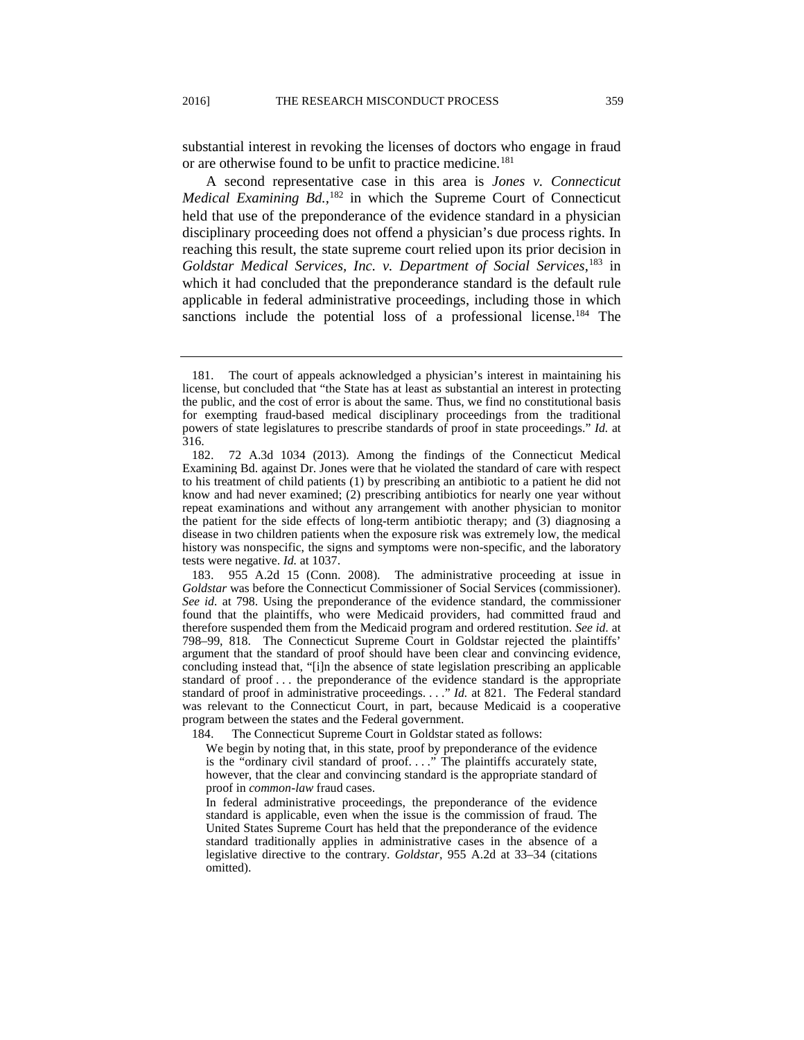substantial interest in revoking the licenses of doctors who engage in fraud or are otherwise found to be unfit to practice medicine.<sup>[181](#page-48-0)</sup>

A second representative case in this area is *Jones v. Connecticut Medical Examining Bd.,*[182](#page-48-1) in which the Supreme Court of Connecticut held that use of the preponderance of the evidence standard in a physician disciplinary proceeding does not offend a physician's due process rights. In reaching this result, the state supreme court relied upon its prior decision in *Goldstar Medical Services, Inc. v. Department of Social Services*, [183](#page-48-2) in which it had concluded that the preponderance standard is the default rule applicable in federal administrative proceedings, including those in which sanctions include the potential loss of a professional license.<sup>184</sup> The

<span id="page-48-0"></span><sup>181.</sup> The court of appeals acknowledged a physician's interest in maintaining his license, but concluded that "the State has at least as substantial an interest in protecting the public, and the cost of error is about the same. Thus, we find no constitutional basis for exempting fraud-based medical disciplinary proceedings from the traditional powers of state legislatures to prescribe standards of proof in state proceedings." *Id.* at 316.

<span id="page-48-1"></span><sup>182.</sup> 72 A.3d 1034 (2013). Among the findings of the Connecticut Medical Examining Bd. against Dr. Jones were that he violated the standard of care with respect to his treatment of child patients (1) by prescribing an antibiotic to a patient he did not know and had never examined; (2) prescribing antibiotics for nearly one year without repeat examinations and without any arrangement with another physician to monitor the patient for the side effects of long-term antibiotic therapy; and (3) diagnosing a disease in two children patients when the exposure risk was extremely low, the medical history was nonspecific, the signs and symptoms were non-specific, and the laboratory tests were negative. *Id.* at 1037.

<span id="page-48-2"></span><sup>183.</sup> 955 A.2d 15 (Conn. 2008). The administrative proceeding at issue in *Goldstar* was before the Connecticut Commissioner of Social Services (commissioner). *See id.* at 798. Using the preponderance of the evidence standard, the commissioner found that the plaintiffs, who were Medicaid providers, had committed fraud and therefore suspended them from the Medicaid program and ordered restitution. *See id.* at 798–99, 818. The Connecticut Supreme Court in Goldstar rejected the plaintiffs' argument that the standard of proof should have been clear and convincing evidence, concluding instead that, "[i]n the absence of state legislation prescribing an applicable standard of proof . . . the preponderance of the evidence standard is the appropriate standard of proof in administrative proceedings. . . ." *Id.* at 821. The Federal standard was relevant to the Connecticut Court, in part, because Medicaid is a cooperative program between the states and the Federal government.

<span id="page-48-3"></span><sup>184.</sup> The Connecticut Supreme Court in Goldstar stated as follows:

We begin by noting that, in this state, proof by preponderance of the evidence is the "ordinary civil standard of proof. . . ." The plaintiffs accurately state, however, that the clear and convincing standard is the appropriate standard of proof in *common-law* fraud cases.

In federal administrative proceedings, the preponderance of the evidence standard is applicable, even when the issue is the commission of fraud. The United States Supreme Court has held that the preponderance of the evidence standard traditionally applies in administrative cases in the absence of a legislative directive to the contrary. *Goldstar*, 955 A.2d at 33–34 (citations omitted).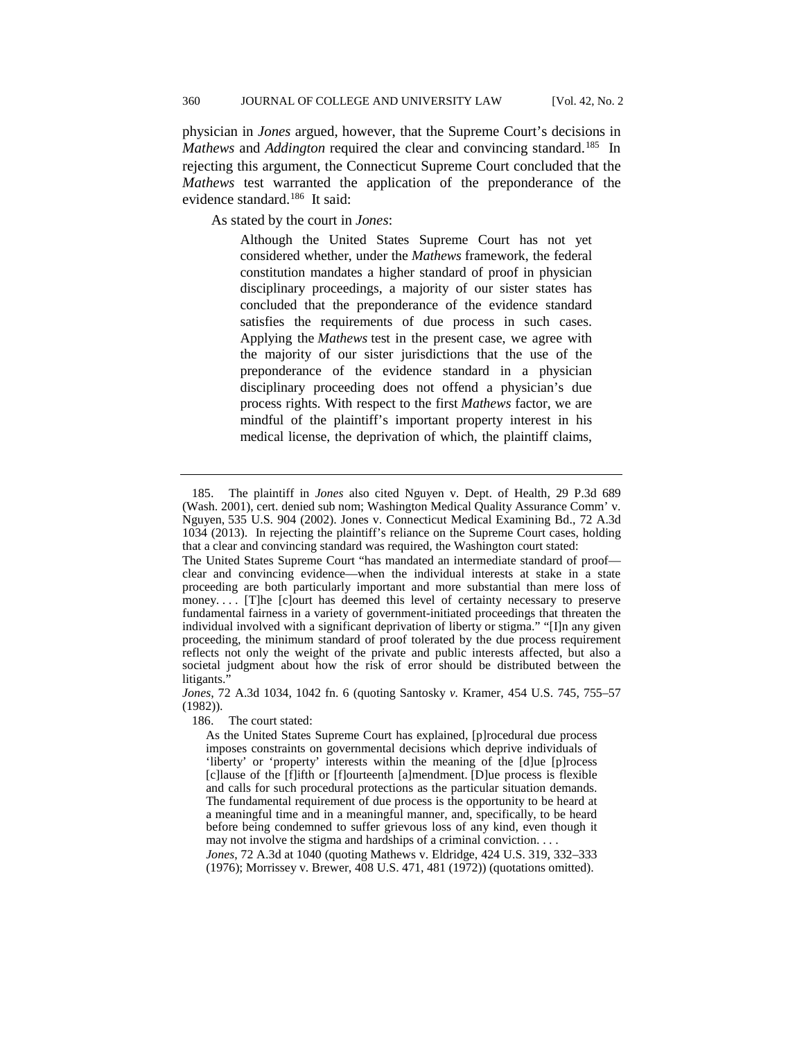physician in *Jones* argued, however, that the Supreme Court's decisions in *Mathews* and *Addington* required the clear and convincing standard.<sup>185</sup> In rejecting this argument, the Connecticut Supreme Court concluded that the *Mathews* test warranted the application of the preponderance of the evidence standard.<sup>186</sup> It said:

As stated by the court in *Jones*:

Although the United States Supreme Court has not yet considered whether, under the *[Mathews](https://web2.westlaw.com/find/default.wl?rs=WLW14.10&pbc=95AEBBDC&vr=2.0&findtype=Y&rp=%2ffind%2fdefault.wl&sv=Split&fn=_top&tf=-1&ordoc=2031233969&mt=Westlaw&serialnum=1976142314&tc=-1)* framework, the federal constitution mandates a higher standard of proof in physician disciplinary proceedings, a majority of our sister states has concluded that the preponderance of the evidence standard satisfies the requirements of due process in such cases. Applying the *[Mathews](https://web2.westlaw.com/find/default.wl?rs=WLW14.10&pbc=95AEBBDC&vr=2.0&findtype=Y&rp=%2ffind%2fdefault.wl&sv=Split&fn=_top&tf=-1&ordoc=2031233969&mt=Westlaw&serialnum=1976142314&tc=-1)* test in the present case, we agree with the majority of our sister jurisdictions that the use of the preponderance of the evidence standard in a physician disciplinary proceeding does not offend a physician's due process rights. With respect to the first *[Mathews](https://web2.westlaw.com/find/default.wl?rs=WLW14.10&pbc=95AEBBDC&vr=2.0&findtype=Y&rp=%2ffind%2fdefault.wl&sv=Split&fn=_top&tf=-1&ordoc=2031233969&mt=Westlaw&serialnum=1976142314&tc=-1)* factor, we are mindful of the plaintiff's important property interest in his medical license, the deprivation of which, the plaintiff claims,

186. The court stated:

<span id="page-49-0"></span><sup>185.</sup> The plaintiff in *Jones* also cited [Nguyen v. Dept. of Health, 29 P.3d 689](https://web2.westlaw.com/find/default.wl?mt=Westlaw&db=4645&tc=-1&rp=%2ffind%2fdefault.wl&findtype=Y&ordoc=2031233969&serialnum=2001717896&vr=2.0&fn=_top&sv=Split&tf=-1&pbc=95AEBBDC&rs=WLW14.10)  [\(Wash. 2001\),](https://web2.westlaw.com/find/default.wl?mt=Westlaw&db=4645&tc=-1&rp=%2ffind%2fdefault.wl&findtype=Y&ordoc=2031233969&serialnum=2001717896&vr=2.0&fn=_top&sv=Split&tf=-1&pbc=95AEBBDC&rs=WLW14.10) cert. denied sub nom; [Washington Medical Quality Assurance Comm'](https://web2.westlaw.com/find/default.wl?mt=Westlaw&db=708&tc=-1&rp=%2ffind%2fdefault.wl&findtype=Y&ordoc=2031233969&serialnum=2001510187&vr=2.0&fn=_top&sv=Split&tf=-1&pbc=95AEBBDC&rs=WLW14.10) v. Nguyen, [535 U.S. 904 \(2002\).](https://web2.westlaw.com/find/default.wl?mt=Westlaw&db=708&tc=-1&rp=%2ffind%2fdefault.wl&findtype=Y&ordoc=2031233969&serialnum=2001510187&vr=2.0&fn=_top&sv=Split&tf=-1&pbc=95AEBBDC&rs=WLW14.10) Jones v. Connecticut Medical Examining Bd., 72 A.3d 1034 (2013). In rejecting the plaintiff's reliance on the Supreme Court cases, holding that a clear and convincing standard was required, the Washington court stated:

The United States Supreme Court "has mandated an intermediate standard of proof clear and convincing evidence—when the individual interests at stake in a state proceeding are both particularly important and more substantial than mere loss of money.... [T]he [c]ourt has deemed this level of certainty necessary to preserve fundamental fairness in a variety of government-initiated proceedings that threaten the individual involved with a significant deprivation of liberty or stigma." "[I]n any given proceeding, the minimum standard of proof tolerated by the due process requirement reflects not only the weight of the private and public interests affected, but also a societal judgment about how the risk of error should be distributed between the litigants.

<span id="page-49-1"></span>*Jones*, 72 A.3d 1034, 1042 fn. 6 (quoting Santosky *v.* Kramer, 454 U.S. 745, 755–57 (1982)).

As the United States Supreme Court has explained, [p]rocedural due process imposes constraints on governmental decisions which deprive individuals of 'liberty' or 'property' interests within the meaning of the [d]ue [p]rocess [c]lause of the [f]ifth or [f]ourteenth [a]mendment. [D]ue process is flexible and calls for such procedural protections as the particular situation demands. The fundamental requirement of due process is the opportunity to be heard at a meaningful time and in a meaningful manner, and, specifically, to be heard before being condemned to suffer grievous loss of any kind, even though it may not involve the stigma and hardships of a criminal conviction. . . .

*Jones*, 72 A.3d at 1040 (quoting Mathews v. Eldridge, 424 U.S. 319, 332–333 (1976); Morrissey v. Brewer, 408 U.S. 471, 481 (1972)) (quotations omitted).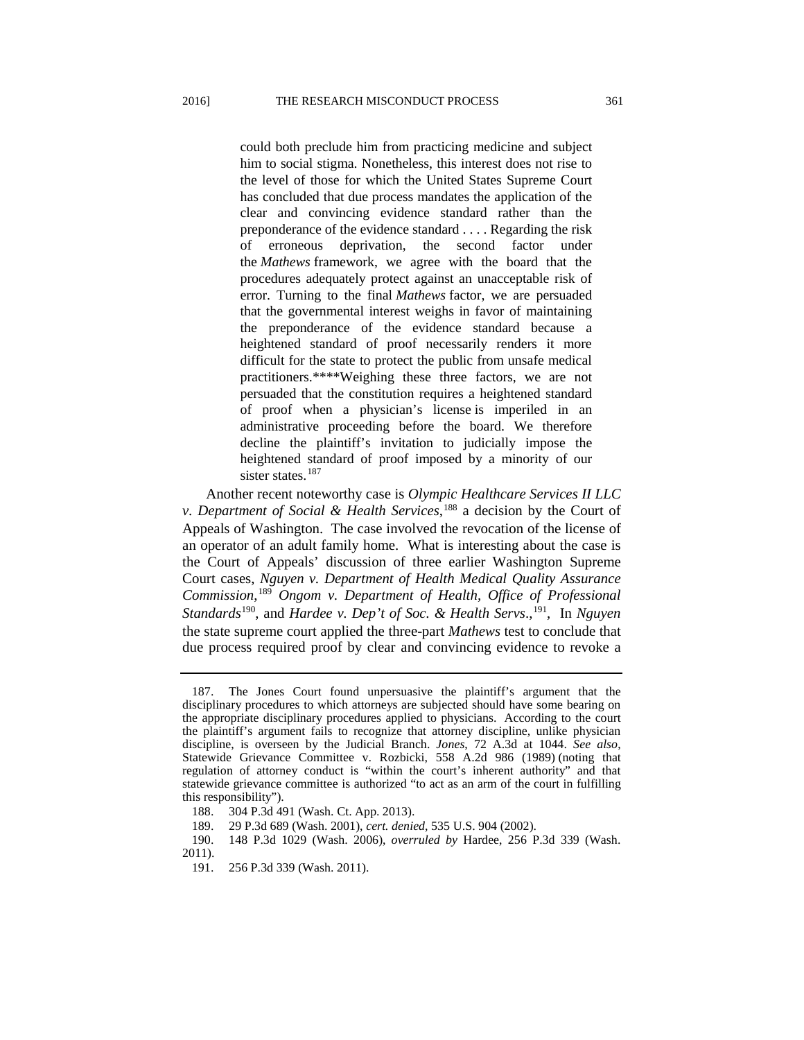could both preclude him from practicing medicine and subject him to social stigma. Nonetheless, this interest does not rise to the level of those for which the United States Supreme Court has concluded that due process mandates the application of the clear and convincing evidence standard rather than the preponderance of the evidence standard . . . . Regarding the risk of erroneous deprivation, the second factor under the *[Mathews](https://web2.westlaw.com/find/default.wl?rs=WLW14.10&pbc=95AEBBDC&vr=2.0&findtype=Y&rp=%2ffind%2fdefault.wl&sv=Split&fn=_top&tf=-1&ordoc=2031233969&mt=Westlaw&serialnum=1976142314&tc=-1)* framework, we agree with the board that the procedures adequately protect against an unacceptable risk of error. Turning to the final *[Mathews](https://web2.westlaw.com/find/default.wl?rs=WLW14.10&pbc=95AEBBDC&vr=2.0&findtype=Y&rp=%2ffind%2fdefault.wl&sv=Split&fn=_top&tf=-1&ordoc=2031233969&mt=Westlaw&serialnum=1976142314&tc=-1)* factor, we are persuaded that the governmental interest weighs in favor of maintaining the preponderance of the evidence standard because a heightened standard of proof necessarily renders it more difficult for the state to protect the public from unsafe medical practitioners.\*\*\*\*Weighing these three factors, we are not persuaded that the constitution requires a heightened standard of proof when a physician's license is imperiled in an administrative proceeding before the board. We therefore decline the plaintiff's invitation to judicially impose the heightened standard of proof imposed by a minority of our sister states.<sup>[187](#page-50-0)</sup>

Another recent noteworthy case is *Olympic Healthcare Services II LLC v. Department of Social & Health Services*, [188](#page-50-1) a decision by the Court of Appeals of Washington. The case involved the revocation of the license of an operator of an adult family home. What is interesting about the case is the Court of Appeals' discussion of three earlier Washington Supreme Court cases, *Nguyen v. Department of Health Medical Quality Assurance Commission*, [189](#page-50-2) *Ongom v. Department of Health, Office of Professional Standards*<sup>190</sup>, and *Hardee v. Dep't of Soc. & Health Servs.*,<sup>191</sup>, In *Nguyen* the state supreme court applied the three-part *Mathews* test to conclude that due process required proof by clear and convincing evidence to revoke a

<span id="page-50-0"></span><sup>187.</sup> The Jones Court found unpersuasive the plaintiff's argument that the disciplinary procedures to which attorneys are subjected should have some bearing on the appropriate disciplinary procedures applied to physicians. According to the court the plaintiff's argument fails to recognize that attorney discipline, unlike physician discipline, is overseen by the Judicial Branch. *Jones*, 72 A.3d at 1044. *See also*, Statewide Grievance Committee v. Rozbicki, 558 A.2d 986 (1989) (noting that regulation of attorney conduct is "within the court's inherent authority" and that statewide grievance committee is authorized "to act as an arm of the court in fulfilling this responsibility").

<sup>188. 304</sup> P.3d 491 (Wash. Ct. App. 2013).<br>189. 29 P.3d 689 (Wash. 2001), cert. denie 189. 29 P.3d 689 (Wash. 2001), *cert. denied*, 535 U.S. 904 (2002).

<span id="page-50-4"></span><span id="page-50-3"></span><span id="page-50-2"></span><span id="page-50-1"></span><sup>190.</sup> 148 P.3d 1029 (Wash. 2006), *overruled by* Hardee, 256 P.3d 339 (Wash. 2011).

<sup>191.</sup> 256 P.3d 339 (Wash. 2011).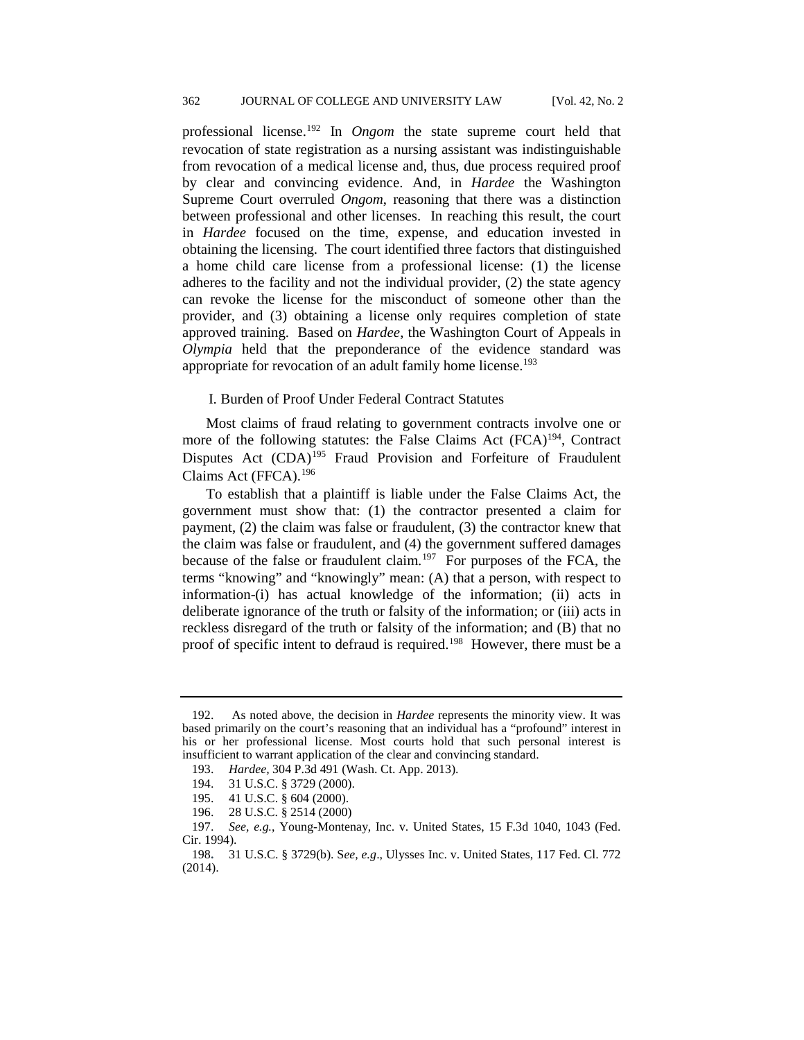professional license.[192](#page-51-0) In *Ongom* the state supreme court held that revocation of state registration as a nursing assistant was indistinguishable from revocation of a medical license and, thus, due process required proof by clear and convincing evidence. And, in *Hardee* the Washington Supreme Court overruled *Ongom*, reasoning that there was a distinction between professional and other licenses. In reaching this result, the court in *Hardee* focused on the time, expense, and education invested in obtaining the licensing. The court identified three factors that distinguished a home child care license from a professional license: (1) the license adheres to the facility and not the individual provider, (2) the state agency can revoke the license for the misconduct of someone other than the provider, and (3) obtaining a license only requires completion of state approved training. Based on *Hardee*, the Washington Court of Appeals in *Olympia* held that the preponderance of the evidence standard was appropriate for revocation of an adult family home license.<sup>[193](#page-51-1)</sup>

#### I. Burden of Proof Under Federal Contract Statutes

Most claims of fraud relating to government contracts involve one or more of the following statutes: the False Claims Act (FCA)<sup>194</sup>, Contract Disputes Act (CDA)<sup>[195](#page-51-3)</sup> Fraud Provision and Forfeiture of Fraudulent Claims Act (FFCA).[196](#page-51-4)

To establish that a plaintiff is liable under the False Claims Act, the government must show that: (1) the contractor presented a claim for payment, (2) the claim was false or fraudulent, (3) the contractor knew that the claim was false or fraudulent, and (4) the government suffered damages because of the false or fraudulent claim.<sup>[197](#page-51-5)</sup> For purposes of the FCA, the terms "knowing" and "knowingly" mean: (A) that a person, with respect to information-(i) has actual knowledge of the information; (ii) acts in deliberate ignorance of the truth or falsity of the information; or (iii) acts in reckless disregard of the truth or falsity of the information; and (B) that no proof of specific intent to defraud is required.<sup>198</sup> However, there must be a

<span id="page-51-1"></span><span id="page-51-0"></span><sup>192.</sup> As noted above, the decision in *Hardee* represents the minority view. It was based primarily on the court's reasoning that an individual has a "profound" interest in his or her professional license. Most courts hold that such personal interest is insufficient to warrant application of the clear and convincing standard.

<sup>193.</sup> *Hardee,* 304 P.3d 491 (Wash. Ct. App. 2013).

<sup>194.</sup> 31 U.S.C. § 3729 (2000).

<sup>195.</sup> 41 U.S.C. § 604 (2000).

<sup>196.</sup> 28 U.S.C. § 2514 (2000)

<span id="page-51-5"></span><span id="page-51-4"></span><span id="page-51-3"></span><span id="page-51-2"></span><sup>197.</sup> *See, e.g.*, Young-Montenay, Inc. v. United States, 15 F.3d 1040, 1043 (Fed. Cir. 1994).

<span id="page-51-6"></span><sup>198</sup>**.** 31 U.S.C. § 3729(b). S*ee, e.g*., Ulysses Inc. v. United States, 117 Fed. Cl. 772 (2014).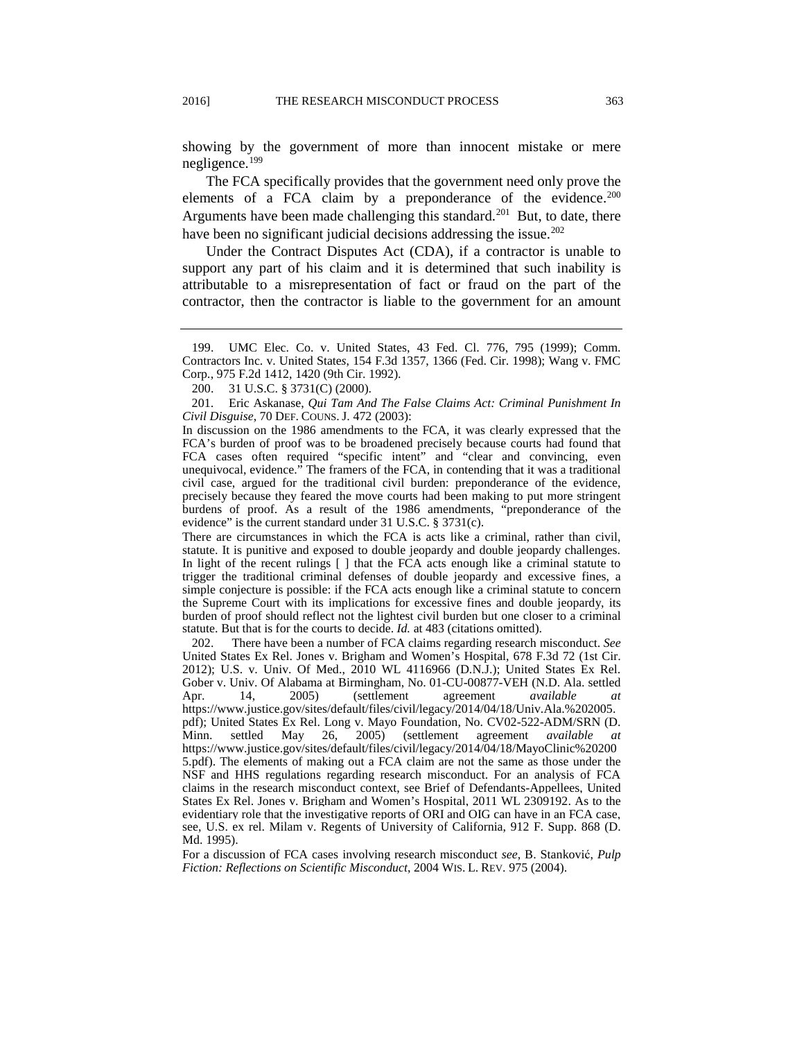showing by the government of more than innocent mistake or mere negligence.[199](#page-52-0)

The FCA specifically provides that the government need only prove the elements of a FCA claim by a preponderance of the evidence.<sup>200</sup> Arguments have been made challenging this standard.<sup>[201](#page-52-2)</sup> But, to date, there have been no significant judicial decisions addressing the issue.<sup>[202](#page-52-3)</sup>

Under the Contract Disputes Act (CDA), if a contractor is unable to support any part of his claim and it is determined that such inability is attributable to a misrepresentation of fact or fraud on the part of the contractor, then the contractor is liable to the government for an amount

In discussion on the 1986 amendments to the FCA, it was clearly expressed that the FCA's burden of proof was to be broadened precisely because courts had found that FCA cases often required "specific intent" and "clear and convincing, even unequivocal, evidence." The framers of the FCA, in contending that it was a traditional civil case, argued for the traditional civil burden: preponderance of the evidence, precisely because they feared the move courts had been making to put more stringent burdens of proof. As a result of the 1986 amendments, "preponderance of the evidence" is the current standard under 31 U.S.C. § 3731(c).

There are circumstances in which the FCA is acts like a criminal, rather than civil, statute. It is punitive and exposed to double jeopardy and double jeopardy challenges. In light of the recent rulings [ ] that the FCA acts enough like a criminal statute to trigger the traditional criminal defenses of double jeopardy and excessive fines, a simple conjecture is possible: if the FCA acts enough like a criminal statute to concern the Supreme Court with its implications for excessive fines and double jeopardy, its burden of proof should reflect not the lightest civil burden but one closer to a criminal statute. But that is for the courts to decide. *Id.* at 483 (citations omitted).

<span id="page-52-3"></span>202. There have been a number of FCA claims regarding research misconduct. *See*  United States Ex Rel. Jones v. Brigham and Women's Hospital, 678 F.3d 72 (1st Cir. 2012); U.S. v. Univ. Of Med., 2010 WL 4116966 (D.N.J.); United States Ex Rel. Gober v. Univ. Of Alabama at Birmingham, No. 01-CU-00877-VEH (N.D. Ala. settled Apr. 14, 2005) (settlement agreement *available at*  https://www.justice.gov/sites/default/files/civil/legacy/2014/04/18/Univ.Ala.%202005. pdf); United States Ex Rel. Long v. Mayo Foundation, No. CV02-522-ADM/SRN (D. Minn. settled May 26, 2005) (settlement agreement *available at* settled May 26, 2005) (settlement agreement *available at* https://www.justice.gov/sites/default/files/civil/legacy/2014/04/18/MayoClinic%20200 5.pdf). The elements of making out a FCA claim are not the same as those under the NSF and HHS regulations regarding research misconduct. For an analysis of FCA claims in the research misconduct context, see Brief of Defendants-Appellees, United States Ex Rel. Jones v. Brigham and Women's Hospital, 2011 WL 2309192. As to the evidentiary role that the investigative reports of ORI and OIG can have in an FCA case, see, U.S. ex rel. Milam v. Regents of University of California, 912 F. Supp. 868 (D. Md. 1995).

For a discussion of FCA cases involving research misconduct *see*, B. Stanković, *Pulp Fiction: Reflections on Scientific Misconduct*, 2004 WIS. L. REV. 975 (2004).

<span id="page-52-0"></span><sup>199.</sup> UMC Elec. Co. v. United States, 43 Fed. Cl. 776, 795 (1999); Comm. Contractors Inc. v. United State*s*, 154 F.3d 1357, 1366 (Fed. Cir. 1998); Wang v. FMC Corp*.*, 975 F.2d 1412, 1420 (9th Cir. 1992).

<sup>200.</sup> 31 U.S.C. § 3731(C) (2000).

<span id="page-52-2"></span><span id="page-52-1"></span><sup>201.</sup> Eric Askanase, *Qui Tam And The False Claims Act: Criminal Punishment In Civil Disguise*, 70 DEF. COUNS.J. 472 (2003):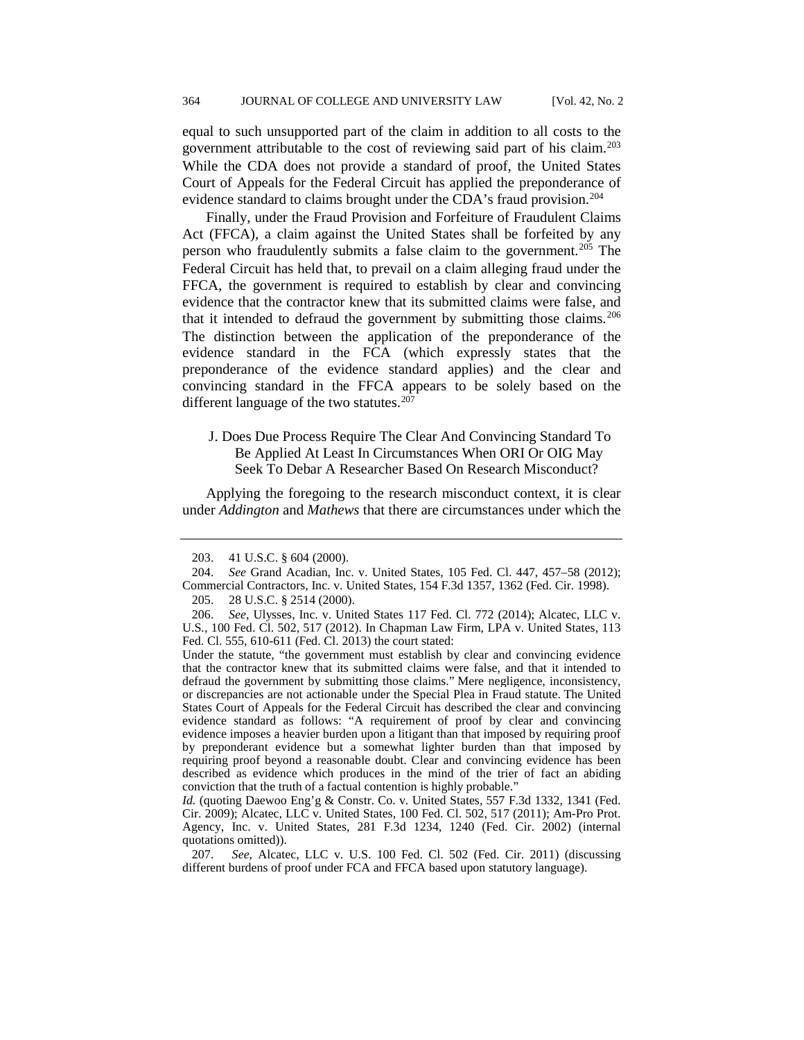equal to such unsupported part of the claim in addition to all costs to the government attributable to the cost of reviewing said part of his claim[.203](#page-53-0) While the CDA does not provide a standard of proof, the United States Court of Appeals for the Federal Circuit has applied the preponderance of evidence standard to claims brought under the CDA's fraud provision.<sup>[204](#page-53-1)</sup>

Finally, under the Fraud Provision and Forfeiture of Fraudulent Claims Act (FFCA), a claim against the United States shall be forfeited by any person who fraudulently submits a false claim to the government.<sup>[205](#page-53-2)</sup> The Federal Circuit has held that, to prevail on a claim alleging fraud under the FFCA, the government is required to establish by clear and convincing evidence that the contractor knew that its submitted claims were false, and that it intended to defraud the government by submitting those claims.<sup>206</sup> The distinction between the application of the preponderance of the evidence standard in the FCA (which expressly states that the preponderance of the evidence standard applies) and the clear and convincing standard in the FFCA appears to be solely based on the different language of the two statutes.<sup>[207](#page-53-4)</sup>

J. Does Due Process Require The Clear And Convincing Standard To Be Applied At Least In Circumstances When ORI Or OIG May Seek To Debar A Researcher Based On Research Misconduct?

Applying the foregoing to the research misconduct context, it is clear under *Addington* and *Mathews* that there are circumstances under which the

<sup>203.</sup> 41 U.S.C. § 604 (2000).

<span id="page-53-1"></span><span id="page-53-0"></span><sup>204.</sup> *See* Grand Acadian, Inc. v. United States, 105 Fed. Cl. 447, 457–58 (2012); Commercial Contractors, Inc. v. United States, 154 F.3d 1357, 1362 (Fed. Cir. 1998). 205. 28 U.S.C. § 2514 (2000).

<span id="page-53-3"></span><span id="page-53-2"></span><sup>206.</sup> *See*, Ulysses, Inc. v. United States 117 Fed. Cl. 772 (2014); Alcatec, LLC v. U.S*.*, 100 Fed. Cl. 502, 517 (2012). In Chapman Law Firm, LPA v. United States, 113 Fed. Cl. 555, 610-611 (Fed. Cl. 2013) the court stated:

Under the statute, "the government must establish by clear and convincing evidence that the contractor knew that its submitted claims were false, and that it intended to defraud the government by submitting those claims." Mere negligence, inconsistency, or discrepancies are not actionable under the Special Plea in Fraud statute. The United States Court of Appeals for the Federal Circuit has described the clear and convincing evidence standard as follows: "A requirement of proof by clear and convincing evidence imposes a heavier burden upon a litigant than that imposed by requiring proof by preponderant evidence but a somewhat lighter burden than that imposed by requiring proof beyond a reasonable doubt. Clear and convincing evidence has been described as evidence which produces in the mind of the trier of fact an abiding conviction that the truth of a factual contention is highly probable."

*Id.* (quoting Daewoo Eng'g & Constr. Co. v. United States, 557 F.3d 1332, 1341 (Fed. Cir. 2009); Alcatec, LLC v. United States, 100 Fed. Cl. 502, 517 (2011); Am-Pro Prot. Agency, Inc. v. United States, 281 F.3d 1234, 1240 (Fed. Cir. 2002) (internal quotations omitted)).

<span id="page-53-4"></span><sup>207.</sup> *See*, Alcatec, LLC v. U.S. 100 Fed. Cl. 502 (Fed. Cir. 2011) (discussing different burdens of proof under FCA and FFCA based upon statutory language).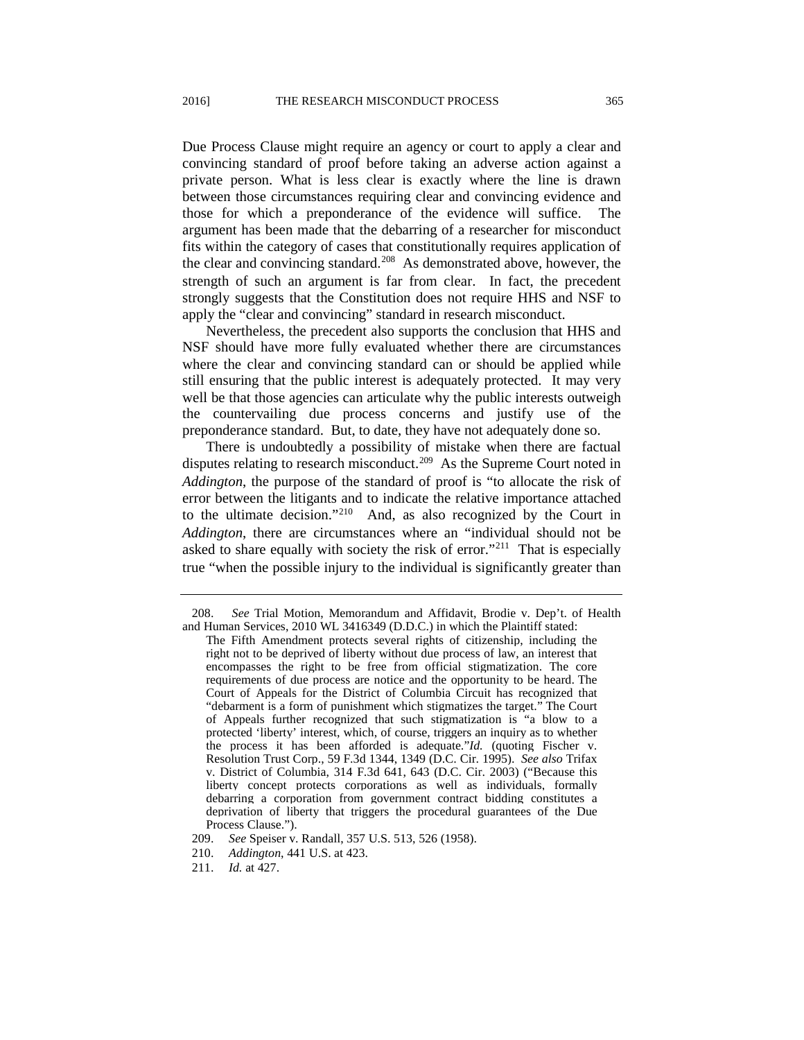Due Process Clause might require an agency or court to apply a clear and convincing standard of proof before taking an adverse action against a private person. What is less clear is exactly where the line is drawn between those circumstances requiring clear and convincing evidence and those for which a preponderance of the evidence will suffice. The argument has been made that the debarring of a researcher for misconduct fits within the category of cases that constitutionally requires application of the clear and convincing standard.<sup>[208](#page-54-0)</sup> As demonstrated above, however, the strength of such an argument is far from clear. In fact, the precedent strongly suggests that the Constitution does not require HHS and NSF to apply the "clear and convincing" standard in research misconduct.

Nevertheless, the precedent also supports the conclusion that HHS and NSF should have more fully evaluated whether there are circumstances where the clear and convincing standard can or should be applied while still ensuring that the public interest is adequately protected. It may very well be that those agencies can articulate why the public interests outweigh the countervailing due process concerns and justify use of the preponderance standard. But, to date, they have not adequately done so.

There is undoubtedly a possibility of mistake when there are factual disputes relating to research misconduct.<sup>209</sup> As the Supreme Court noted in *Addington*, the purpose of the standard of proof is "to allocate the risk of error between the litigants and to indicate the relative importance attached to the ultimate decision."[210](#page-54-2) And, as also recognized by the Court in *Addington*, there are circumstances where an "individual should not be asked to share equally with society the risk of error."[211](#page-54-3) That is especially true "when the possible injury to the individual is significantly greater than

- <span id="page-54-2"></span>210. *Addington*, 441 U.S. at 423.
- <span id="page-54-3"></span>211. *Id.* at 427.

<span id="page-54-0"></span><sup>208.</sup> *See* Trial Motion, Memorandum and Affidavit, Brodie v. Dep't. of Health and Human Services, 2010 WL 3416349 (D.D.C.) in which the Plaintiff stated:

The Fifth Amendment protects several rights of citizenship, including the right not to be deprived of liberty without due process of law, an interest that encompasses the right to be free from official stigmatization. The core requirements of due process are notice and the opportunity to be heard. The Court of Appeals for the District of Columbia Circuit has recognized that "debarment is a form of punishment which stigmatizes the target." The Court of Appeals further recognized that such stigmatization is "a blow to a protected 'liberty' interest, which, of course, triggers an inquiry as to whether the process it has been afforded is adequate."*Id.* (quoting Fischer v. Resolution Trust Corp., 59 F.3d 1344, 1349 (D.C. Cir. 1995). *See also* Trifax v. District of Columbia, 314 F.3d 641, 643 (D.C. Cir. 2003) ("Because this liberty concept protects corporations as well as individuals, formally debarring a corporation from government contract bidding constitutes a deprivation of liberty that triggers the procedural guarantees of the Due Process Clause.").

<span id="page-54-1"></span><sup>209.</sup> *See* Speiser v. Randall, 357 U.S. 513, 526 (1958).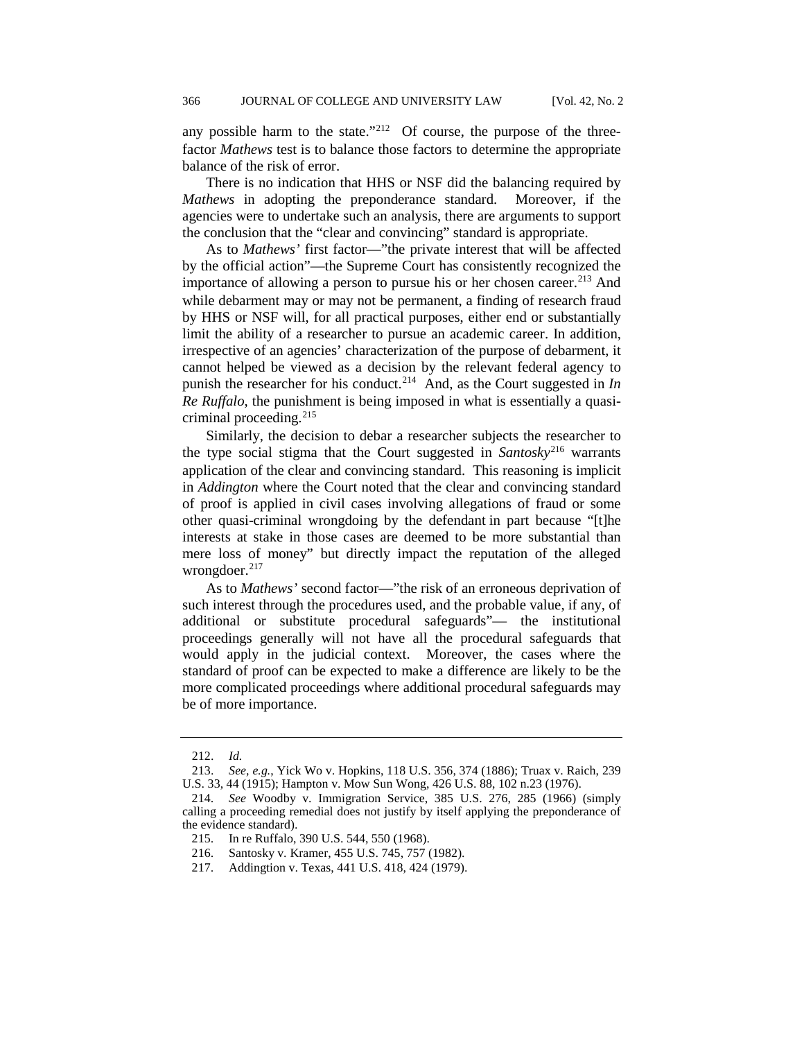any possible harm to the state."<sup>[212](#page-55-0)</sup> Of course, the purpose of the threefactor *Mathews* test is to balance those factors to determine the appropriate balance of the risk of error.

There is no indication that HHS or NSF did the balancing required by *Mathews* in adopting the preponderance standard. Moreover, if the agencies were to undertake such an analysis, there are arguments to support the conclusion that the "clear and convincing" standard is appropriate.

As to *Mathews'* first factor—"the private interest that will be affected by the official action"—the Supreme Court has consistently recognized the importance of allowing a person to pursue his or her chosen career.<sup>[213](#page-55-1)</sup> And while debarment may or may not be permanent, a finding of research fraud by HHS or NSF will, for all practical purposes, either end or substantially limit the ability of a researcher to pursue an academic career. In addition, irrespective of an agencies' characterization of the purpose of debarment, it cannot helped be viewed as a decision by the relevant federal agency to punish the researcher for his conduct.[214](#page-55-2) And, as the Court suggested in *In Re Ruffalo*, the punishment is being imposed in what is essentially a quasicriminal proceeding. $215$ 

Similarly, the decision to debar a researcher subjects the researcher to the type social stigma that the Court suggested in *Santosky*[216](#page-55-4) warrants application of the clear and convincing standard. This reasoning is implicit in *Addington* where the Court noted that the clear and convincing standard of proof is applied in civil cases involving allegations of fraud or some other quasi-criminal wrongdoing by the defendant in part because "[t]he interests at stake in those cases are deemed to be more substantial than mere loss of money" but directly impact the reputation of the alleged wrongdoer.<sup>[217](#page-55-5)</sup>

As to *Mathews'* second factor—"the risk of an erroneous deprivation of such interest through the procedures used, and the probable value, if any, of additional or substitute procedural safeguards"— the institutional proceedings generally will not have all the procedural safeguards that would apply in the judicial context. Moreover, the cases where the standard of proof can be expected to make a difference are likely to be the more complicated proceedings where additional procedural safeguards may be of more importance.

<sup>212.</sup> *Id.*

<span id="page-55-1"></span><span id="page-55-0"></span><sup>213.</sup> *See, e.g.*, Yick Wo v. Hopkins, 118 U.S. 356, 374 (1886); Truax v. Raich, 239 U.S. 33, 44 (1915); Hampton v. Mow Sun Wong, 426 U.S. 88, 102 n.23 (1976).

<span id="page-55-4"></span><span id="page-55-3"></span><span id="page-55-2"></span><sup>214.</sup> *See* Woodby v. Immigration Service, 385 U.S. 276, 285 (1966) (simply calling a proceeding remedial does not justify by itself applying the preponderance of the evidence standard).

<sup>215.</sup> In re Ruffalo, 390 U.S. 544, 550 (1968).

<sup>216.</sup> Santosky v. Kramer, 455 U.S. 745, 757 (1982).

<span id="page-55-5"></span><sup>217.</sup> Addingtion v. Texas, 441 U.S. 418, 424 (1979).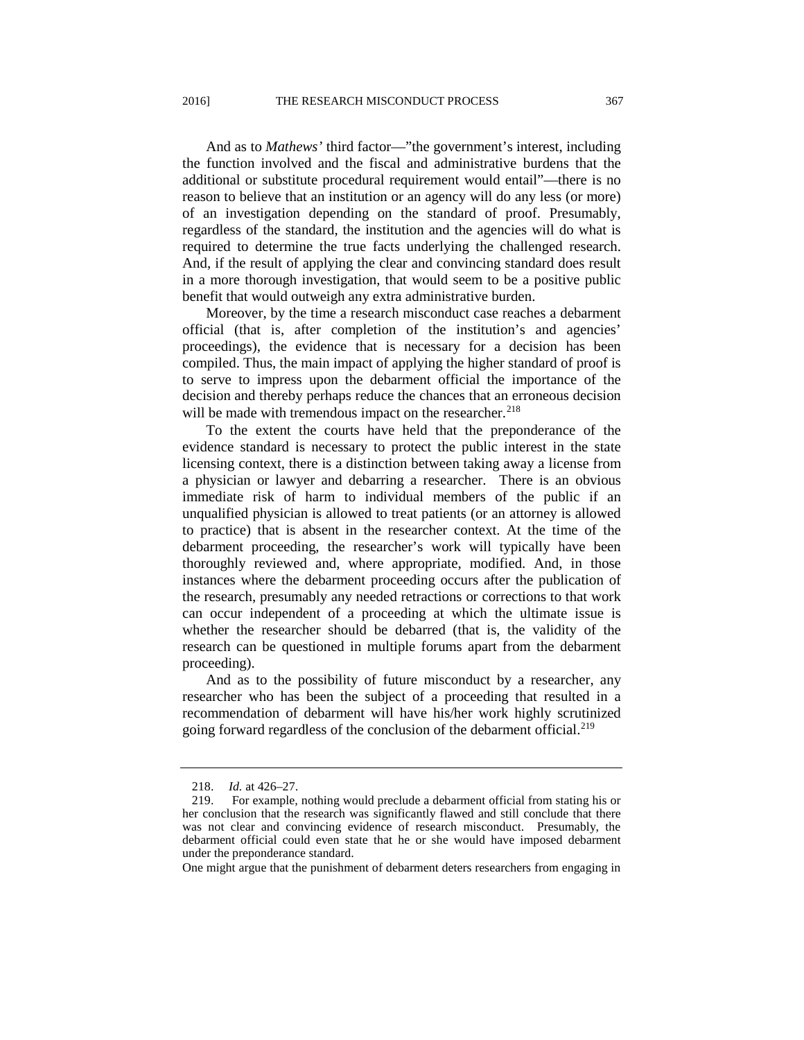And as to *Mathews'* third factor—"the government's interest, including the function involved and the fiscal and administrative burdens that the additional or substitute procedural requirement would entail"—there is no reason to believe that an institution or an agency will do any less (or more) of an investigation depending on the standard of proof. Presumably, regardless of the standard, the institution and the agencies will do what is required to determine the true facts underlying the challenged research. And, if the result of applying the clear and convincing standard does result in a more thorough investigation, that would seem to be a positive public benefit that would outweigh any extra administrative burden.

Moreover, by the time a research misconduct case reaches a debarment official (that is, after completion of the institution's and agencies' proceedings), the evidence that is necessary for a decision has been compiled. Thus, the main impact of applying the higher standard of proof is to serve to impress upon the debarment official the importance of the decision and thereby perhaps reduce the chances that an erroneous decision will be made with tremendous impact on the researcher.<sup>[218](#page-56-0)</sup>

To the extent the courts have held that the preponderance of the evidence standard is necessary to protect the public interest in the state licensing context, there is a distinction between taking away a license from a physician or lawyer and debarring a researcher. There is an obvious immediate risk of harm to individual members of the public if an unqualified physician is allowed to treat patients (or an attorney is allowed to practice) that is absent in the researcher context. At the time of the debarment proceeding, the researcher's work will typically have been thoroughly reviewed and, where appropriate, modified. And, in those instances where the debarment proceeding occurs after the publication of the research, presumably any needed retractions or corrections to that work can occur independent of a proceeding at which the ultimate issue is whether the researcher should be debarred (that is, the validity of the research can be questioned in multiple forums apart from the debarment proceeding).

And as to the possibility of future misconduct by a researcher, any researcher who has been the subject of a proceeding that resulted in a recommendation of debarment will have his/her work highly scrutinized going forward regardless of the conclusion of the debarment official.<sup>[219](#page-56-1)</sup>

One might argue that the punishment of debarment deters researchers from engaging in

<sup>218.</sup> *Id.* at 426–27.

<span id="page-56-1"></span><span id="page-56-0"></span><sup>219.</sup> For example, nothing would preclude a debarment official from stating his or her conclusion that the research was significantly flawed and still conclude that there was not clear and convincing evidence of research misconduct. Presumably, the debarment official could even state that he or she would have imposed debarment under the preponderance standard.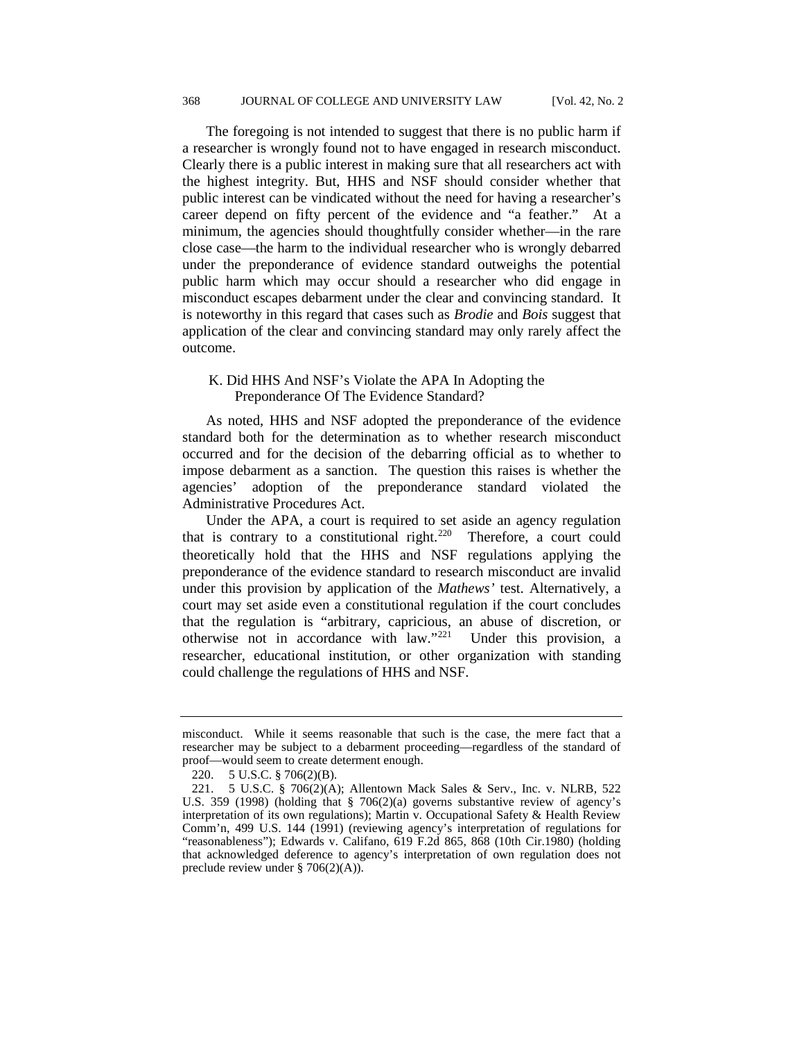The foregoing is not intended to suggest that there is no public harm if a researcher is wrongly found not to have engaged in research misconduct. Clearly there is a public interest in making sure that all researchers act with the highest integrity. But, HHS and NSF should consider whether that public interest can be vindicated without the need for having a researcher's career depend on fifty percent of the evidence and "a feather." At a minimum, the agencies should thoughtfully consider whether—in the rare close case—the harm to the individual researcher who is wrongly debarred under the preponderance of evidence standard outweighs the potential public harm which may occur should a researcher who did engage in misconduct escapes debarment under the clear and convincing standard. It is noteworthy in this regard that cases such as *Brodie* and *Bois* suggest that application of the clear and convincing standard may only rarely affect the outcome.

### K. Did HHS And NSF's Violate the APA In Adopting the Preponderance Of The Evidence Standard?

As noted, HHS and NSF adopted the preponderance of the evidence standard both for the determination as to whether research misconduct occurred and for the decision of the debarring official as to whether to impose debarment as a sanction. The question this raises is whether the agencies' adoption of the preponderance standard violated the Administrative Procedures Act.

Under the APA, a court is required to set aside an agency regulation that is contrary to a constitutional right.[220](#page-57-0) Therefore, a court could theoretically hold that the HHS and NSF regulations applying the preponderance of the evidence standard to research misconduct are invalid under this provision by application of the *Mathews'* test. Alternatively, a court may set aside even a constitutional regulation if the court concludes that the regulation is "arbitrary, capricious, an abuse of discretion, or otherwise not in accordance with law."[221](#page-57-1) Under this provision, a researcher, educational institution, or other organization with standing could challenge the regulations of HHS and NSF.

misconduct. While it seems reasonable that such is the case, the mere fact that a researcher may be subject to a debarment proceeding—regardless of the standard of proof—would seem to create determent enough.

<sup>220. 5</sup> U.S.C. § 706(2)(B).<br>221. 5 U.S.C. § 706(2)(A)

<span id="page-57-1"></span><span id="page-57-0"></span><sup>5</sup> U.S.C. § 706(2)(A); Allentown Mack Sales & Serv., Inc. v. NLRB, 522 U.S. 359 (1998) (holding that § 706(2)(a) governs substantive review of agency's interpretation of its own regulations); Martin v. Occupational Safety & Health Review Comm'n, 499 U.S. 144 (1991) (reviewing agency's interpretation of regulations for "reasonableness"); Edwards v. Califano, 619 F.2d 865, 868 (10th Cir.1980) (holding that acknowledged deference to agency's interpretation of own regulation does not preclude review under § 706(2)(A)).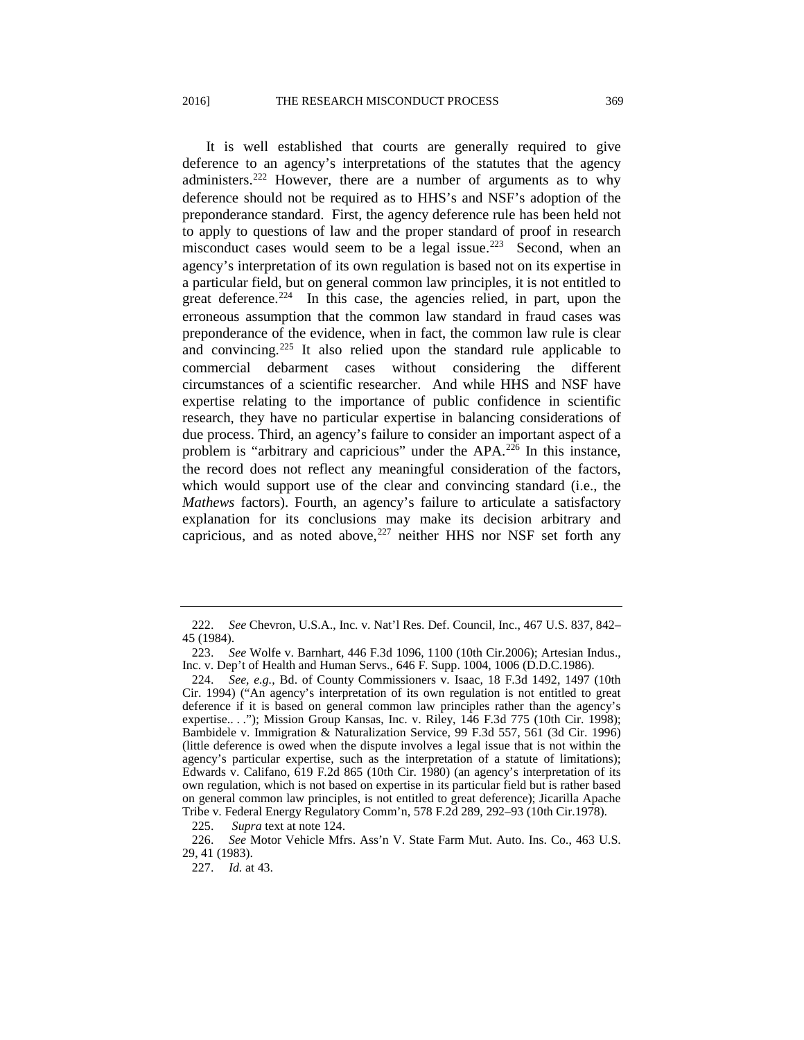It is well established that courts are generally required to give deference to an agency's interpretations of the statutes that the agency administers.<sup>[222](#page-58-0)</sup> However, there are a number of arguments as to why deference should not be required as to HHS's and NSF's adoption of the preponderance standard. First, the agency deference rule has been held not to apply to questions of law and the proper standard of proof in research misconduct cases would seem to be a legal issue.<sup>223</sup> Second, when an agency's interpretation of its own regulation is based not on its expertise in a particular field, but on general common law principles, it is not entitled to great deference.<sup>224</sup> In this case, the agencies relied, in part, upon the erroneous assumption that the common law standard in fraud cases was preponderance of the evidence, when in fact, the common law rule is clear and convincing.<sup>[225](#page-58-3)</sup> It also relied upon the standard rule applicable to commercial debarment cases without considering the different circumstances of a scientific researcher. And while HHS and NSF have expertise relating to the importance of public confidence in scientific research, they have no particular expertise in balancing considerations of due process. Third, an agency's failure to consider an important aspect of a problem is "arbitrary and capricious" under the APA. $226$  In this instance, the record does not reflect any meaningful consideration of the factors, which would support use of the clear and convincing standard (i.e., the *Mathews* factors). Fourth, an agency's failure to articulate a satisfactory explanation for its conclusions may make its decision arbitrary and capricious, and as noted above, $227$  neither HHS nor NSF set forth any

225. *Supra* text at note 124.

<span id="page-58-0"></span><sup>222.</sup> *See* Chevron, U.S.A., Inc. v. Nat'l Res. Def. Council, Inc., 467 U.S. 837, 842– 45 (1984).

<span id="page-58-1"></span><sup>223.</sup> *See* Wolfe v. Barnhart, 446 F.3d 1096, 1100 (10th Cir.2006); Artesian Indus., Inc. v. Dep't of Health and Human Servs., 646 F. Supp. 1004, 1006 (D.D.C.1986).

<span id="page-58-2"></span><sup>224.</sup> *See, e.g.*, Bd. of County Commissioners v. Isaac, 18 F.3d 1492, 1497 (10th Cir. 1994) ("An agency's interpretation of its own regulation is not entitled to great deference if it is based on general common law principles rather than the agency's expertise..."); Mission Group Kansas, Inc. v. Riley, 146 F.3d 775 (10th Cir. 1998); Bambidele v. Immigration & Naturalization Service, 99 F.3d 557, 561 (3d Cir. 1996) (little deference is owed when the dispute involves a legal issue that is not within the agency's particular expertise, such as the interpretation of a statute of limitations); Edwards v. Califano,  $619$  F.2d 865 (10th Cir. 1980) (an agency's interpretation of its own regulation, which is not based on expertise in its particular field but is rather based on general common law principles, is not entitled to great deference); Jicarilla Apache Tribe v. Federal Energy Regulatory Comm'n, 578 F.2d 289, 292–93 (10th Cir.1978).

<span id="page-58-5"></span><span id="page-58-4"></span><span id="page-58-3"></span><sup>226.</sup> *See* Motor Vehicle Mfrs. Ass'n V. State Farm Mut. Auto. Ins. Co*.*, 463 U.S. 29, 41 (1983).

<sup>227.</sup> *Id.* at 43.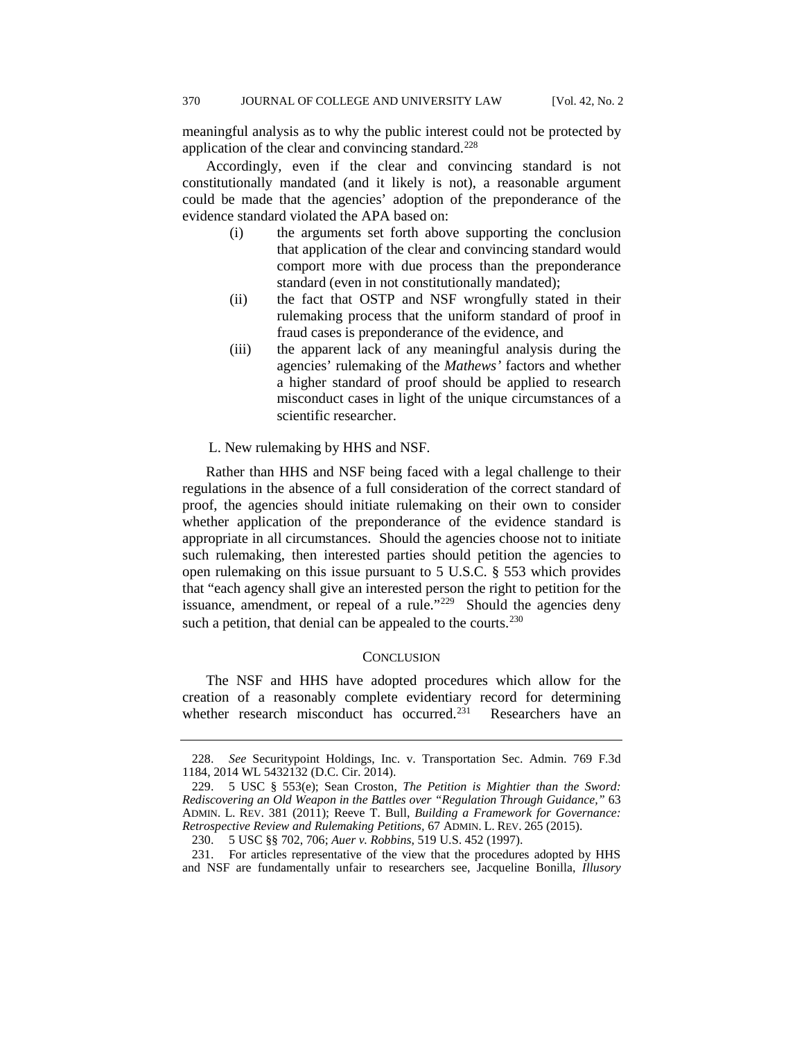meaningful analysis as to why the public interest could not be protected by application of the clear and convincing standard.<sup>[228](#page-59-0)</sup>

Accordingly, even if the clear and convincing standard is not constitutionally mandated (and it likely is not), a reasonable argument could be made that the agencies' adoption of the preponderance of the evidence standard violated the APA based on:

- (i) the arguments set forth above supporting the conclusion that application of the clear and convincing standard would comport more with due process than the preponderance standard (even in not constitutionally mandated);
- (ii) the fact that OSTP and NSF wrongfully stated in their rulemaking process that the uniform standard of proof in fraud cases is preponderance of the evidence, and
- (iii) the apparent lack of any meaningful analysis during the agencies' rulemaking of the *Mathews'* factors and whether a higher standard of proof should be applied to research misconduct cases in light of the unique circumstances of a scientific researcher.

#### L. New rulemaking by HHS and NSF.

Rather than HHS and NSF being faced with a legal challenge to their regulations in the absence of a full consideration of the correct standard of proof, the agencies should initiate rulemaking on their own to consider whether application of the preponderance of the evidence standard is appropriate in all circumstances. Should the agencies choose not to initiate such rulemaking, then interested parties should petition the agencies to open rulemaking on this issue pursuant to 5 U.S.C. § 553 which provides that "each agency shall give an interested person the right to petition for the issuance, amendment, or repeal of a rule."<sup>[229](#page-59-1)</sup> Should the agencies deny such a petition, that denial can be appealed to the courts.<sup>[230](#page-59-2)</sup>

#### **CONCLUSION**

The NSF and HHS have adopted procedures which allow for the creation of a reasonably complete evidentiary record for determining whether research misconduct has occurred.<sup>231</sup> Researchers have an

<span id="page-59-0"></span><sup>228.</sup> *See* Securitypoint Holdings, Inc. v. Transportation Sec. Admin*.* 769 F.3d 1184, 2014 WL 5432132 (D.C. Cir. 2014).

<span id="page-59-1"></span><sup>229.</sup> 5 USC § 553(e); Sean Croston, *The Petition is Mightier than the Sword: Rediscovering an Old Weapon in the Battles over "Regulation Through Guidance,"* 63 ADMIN. L. REV. 381 (2011); Reeve T. Bull, *Building a Framework for Governance: Retrospective Review and Rulemaking Petitions,* 67 ADMIN. L. REV. 265 (2015).

<sup>230.</sup> 5 USC §§ 702, 706; *Auer v. Robbins*, 519 U.S. 452 (1997).

<span id="page-59-3"></span><span id="page-59-2"></span><sup>231.</sup> For articles representative of the view that the procedures adopted by HHS and NSF are fundamentally unfair to researchers see, Jacqueline Bonilla, *Illusory*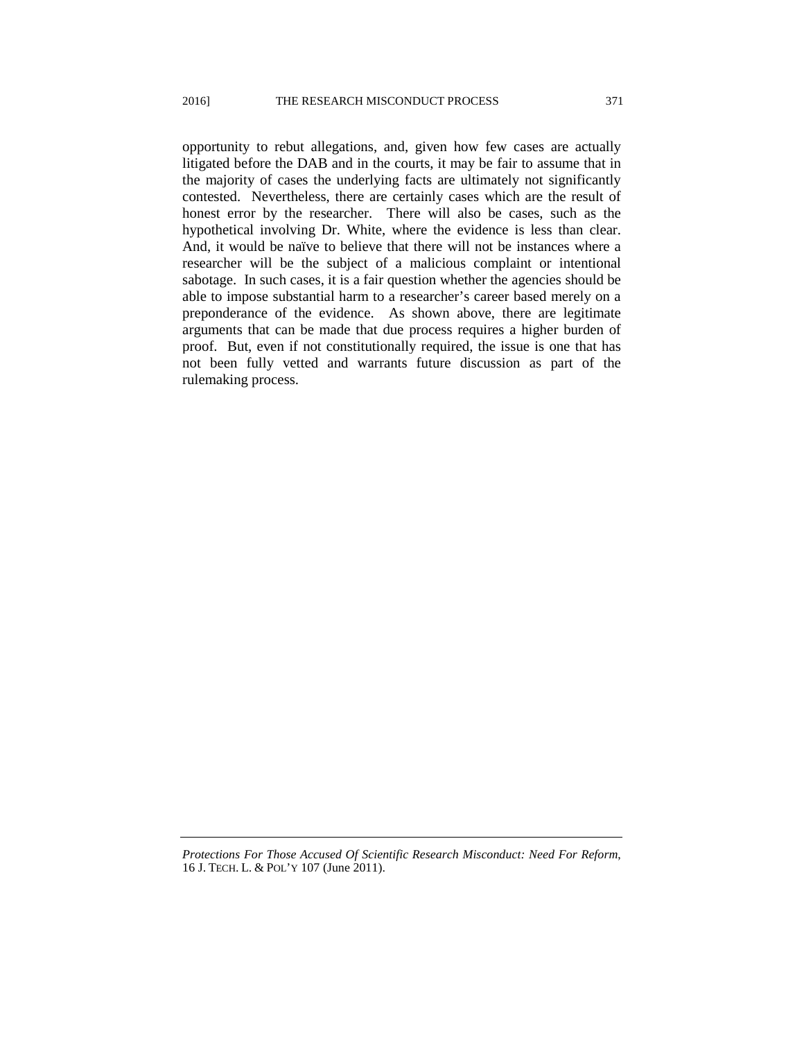opportunity to rebut allegations, and, given how few cases are actually litigated before the DAB and in the courts, it may be fair to assume that in the majority of cases the underlying facts are ultimately not significantly contested. Nevertheless, there are certainly cases which are the result of honest error by the researcher. There will also be cases, such as the hypothetical involving Dr. White, where the evidence is less than clear. And, it would be naïve to believe that there will not be instances where a researcher will be the subject of a malicious complaint or intentional sabotage. In such cases, it is a fair question whether the agencies should be able to impose substantial harm to a researcher's career based merely on a preponderance of the evidence. As shown above, there are legitimate arguments that can be made that due process requires a higher burden of proof. But, even if not constitutionally required, the issue is one that has not been fully vetted and warrants future discussion as part of the rulemaking process.

*Protections For Those Accused Of Scientific Research Misconduct: Need For Reform*, 16 J. TECH. L. & POL'Y 107 (June 2011).